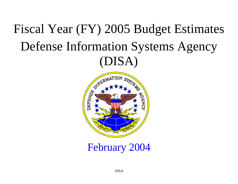# Fiscal Year (FY) 2005 Budget Estimates Defense Information Systems Agency (DISA)



February 2004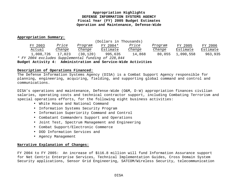## **Appropriation Highlights DEFENSE INFORMATION SYSTEMS AGENCY Fiscal Year (FY) 2005 Budget Estimates Operation and Maintenance, Defense-Wide**

#### **Appropriation Summary:**

|           |        |           | (Dollars in Thousands)                             |        |         |           |          |
|-----------|--------|-----------|----------------------------------------------------|--------|---------|-----------|----------|
| FY 2003   | Price  | Program   | FY 2004*                                           | Price  | Program | FY 2005   | FY 2006  |
| Actual    | Change | Change    | Estimate                                           | Change | Change  | Estimate  | Estimate |
| 1,008,726 | 17,023 | (30, 120) | 995,635                                            | 14,868 | 80,055  | 1,090,558 | 963,935  |
|           |        |           | * FY 2004 excludes Supplemental funding of 228,844 |        |         |           |          |

**Budget Activity 4: Administration and Service-Wide Activities**

#### **Description of Operations Financed:**

The Defense Information Systems Agency (DISA) is a Combat Support Agency responsible for planning, engineering, acquiring, fielding, and supporting global command and control and communications.

DISA's operations and maintenance, Defense-Wide (O&M, D-W) appropriation finances civilian salaries, operating costs and technical contractor support, including Combating Terrorism and special operations efforts, for the following eight business activities:

- White House and National Command
- Information Systems Security Program
- Information Superiority Command and Control
- Combatant Commanders Support and Operations
- Joint Test, Spectrum Management and Engineering
- Combat Support/Electronic Commerce
- DOD Information Services and
- Agency Management

#### **Narrative Explanation of Changes:**

FY 2004 to FY 2005: An increase of \$116.8 million will fund Information Assurance support for Net Centric Enterprise Services, Technical Implementation Guides, Cross Domain System Security applications, Sensor Grid Engineering, SATCOM/Wireless Security, telecommunication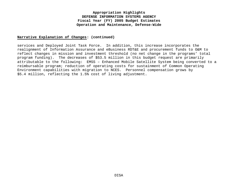## **Appropriation Highlights DEFENSE INFORMATION SYSTEMS AGENCY Fiscal Year (FY) 2005 Budget Estimates Operation and Maintenance, Defense-Wide**

#### **Narrative Explanation of Changes: (continued)**

services and Deployed Joint Task Force. In addition, this increase incorporates the realignment of Information Assurance and eBusiness RDT&E and procurement funds to O&M to reflect changes in mission and investment threshold (no net change in the programs' total program funding). The decreases of \$53.5 million in this budget request are primarily attributable to the following: EMSS – Enhanced Mobile Satellite System being converted to a reimbursable program; reduction of operating costs for sustainment of Common Operating Environment capabilities with migration to NCES. Personnel compensation grows by \$5.4 million, reflecting the 1.5% cost of living adjustment.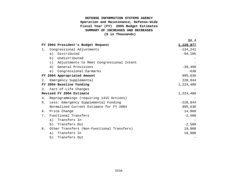# **DEFENSE INFORMATION SYSTEMS AGENCY Operation and Maintenance, Defense-Wide Fiscal Year (FY) 2005 Budget Estimates SUMMARY OF INCREASES AND DECREASES**

 **(\$ in Thousands)**

BA 4

|                  | FY 2004 President's Budget Request                    | <u>1,129,877</u> |
|------------------|-------------------------------------------------------|------------------|
| 1.               | Congressional Adjustments                             | $-134, 241$      |
|                  | Distributed<br>a)                                     | $-94,105$        |
|                  | Undistributed<br>b)                                   |                  |
|                  | Adjustments to Meet Congressional Intent<br>$\circ$ ) |                  |
|                  | d)<br>General Provisions                              | $-39,498$        |
|                  | Congressional Earmarks<br>e)                          | $-638$           |
|                  | FY 2004 Appropriated Amount                           | 995,636          |
| 2.               | Emergency Supplemental                                | 228,844          |
|                  | FY 2004 Baseline Funding                              | 1,224,480        |
| $\overline{3}$ . | Fact-of-Life Changes                                  |                  |
|                  | Revised FY 2004 Estimate                              | 1,224,480        |
| 4.               | Reprogrammings (requiring 1415 Actions)               |                  |
| 5.               | Less: Emergency Supplemental Funding                  | $-228,844$       |
|                  | Normalized Current Estimate for FY 2004               | 995,636          |
| 6.               | Price Change                                          | 14,868           |
| 7.               | Functional Transfers                                  | $-2,500$         |
|                  | Transfers In<br>a)                                    |                  |
|                  | Transfers Out<br>b)                                   | $-2,500$         |
| 8.               | Other Transfers (Non-Functional Transfers)            | 19,908           |
|                  | Transfers In<br>a)                                    | 19,908           |
|                  | Transfers Out<br>b)                                   |                  |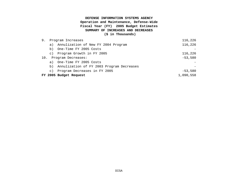#### **DEFENSE INFORMATION SYSTEMS AGENCY**

# **Operation and Maintenance, Defense-Wide Fiscal Year (FY) 2005 Budget Estimates SUMMARY OF INCREASES AND DECREASES**

 **(\$ in Thousands)**

| 9.  | Program Increases | 116,226                                      |           |
|-----|-------------------|----------------------------------------------|-----------|
|     |                   | a) Annulization of New FY 2004 Program       | 116,226   |
|     | b)                | One-Time FY 2005 Costs                       |           |
|     |                   | c) Program Growth in FY 2005                 | 116,226   |
| 10. |                   | Program Decreases:                           | $-53,580$ |
|     |                   | a) One-Time FY 2005 Costs                    |           |
|     |                   | b) Annulization of FY 2003 Program Decreases |           |
|     | $\circ$ )         | Program Decreases in FY 2005                 | $-53,580$ |
|     |                   | FY 2005 Budget Request                       | 1,090,558 |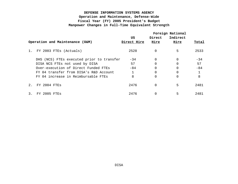|       |                                           |             | Foreign National |             |       |
|-------|-------------------------------------------|-------------|------------------|-------------|-------|
|       |                                           | US          | Direct           | Indirect    |       |
|       | Operation and Maintenance (O&M)           | Direct Hire | <u>Hire</u>      | <u>Hire</u> | Total |
| $1$ . | FY 2003 FTES (Actuals)                    | 2528        | 0                | 5           | 2533  |
|       | DHS (NCS) FTEs executed prior to transfer | $-34$       | 0                | $\Omega$    | $-34$ |
|       | DISA NCS FTEs not used by DISA            | 57          | 0                | $\Omega$    | 57    |
|       | Over-execution of Direct Funded FTEs      | $-84$       | 0                | $\Omega$    | $-84$ |
|       | FY 04 transfer from DISA's R&D Account    |             | 0                | $\Omega$    |       |
|       | FY 04 increase in Reimbursable FTEs       | 8           | 0                | $\Omega$    | 8     |
| 2.    | FY 2004 FTES                              | 2476        | 0                | 5           | 2481  |
| 3.    | FY 2005 FTES                              | 2476        | 0                | 5           | 2481  |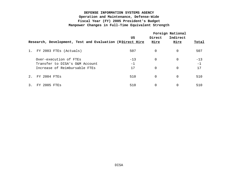|       |                                                          | US    | Direct      | Foreign National<br>Indirect |       |
|-------|----------------------------------------------------------|-------|-------------|------------------------------|-------|
|       | Research, Development, Test and Evaluation (RDirect Hire |       | <u>Hire</u> | <u>Hire</u>                  | Total |
| $1$ . | FY 2003 FTES (Actuals)                                   | 507   | 0           | 0                            | 507   |
|       | Over-execution of FTEs                                   | $-13$ | $\Omega$    | $\Omega$                     | $-13$ |
|       | Transfer to DISA's O&M Account                           | $-1$  |             |                              | $-1$  |
|       | Increase of Reimbursable FTEs                            | 17    | $\Omega$    | $\Omega$                     | 17    |
| $2$ . | FY 2004 FTES                                             | 510   | $\Omega$    | $\Omega$                     | 510   |
|       | $2005$ FTES<br>FY.                                       | 510   | 0           |                              | 510   |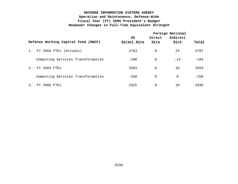|       | Defense Working Capital Fund (DWCF) | US<br>Direct Hire | Direct<br><u>Hire</u> | Foreign National<br>Indirect<br><u>Hire</u> | Total  |  |
|-------|-------------------------------------|-------------------|-----------------------|---------------------------------------------|--------|--|
| $1$ . | FY 2003 FTES (Actuals)              | 2763              | 0                     | 24                                          | 2787   |  |
|       | Computing Services Transformation   | $-180$            | 0                     | $-14$                                       | $-194$ |  |
| 2.    | FY 2004 FTES                        | 2583              | 0                     | 10                                          | 2593   |  |
|       | Computing Services Transformation   | $-258$            | 0                     | $\Omega$                                    | $-258$ |  |
| 3.    | FY 2005 FTES                        | 2325              | 0                     | 10                                          | 2335   |  |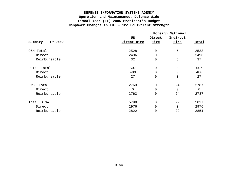|                    | Foreign National |                     |             |       |  |  |
|--------------------|------------------|---------------------|-------------|-------|--|--|
|                    | US               | Direct              | Indirect    |       |  |  |
| FY 2003<br>Summary | Direct Hire      | Hire                | Hire        | Total |  |  |
| O&M Total          | 2528             | $\mathsf{O}\xspace$ | 5           | 2533  |  |  |
| Direct             | 2496             | $\mathsf{O}\xspace$ | $\Omega$    | 2496  |  |  |
| Reimbursable       | 32               | $\mathsf{O}\xspace$ | 5           | 37    |  |  |
| RDT&E Total        | 507              | $\mathsf{O}\xspace$ | $\Omega$    | 507   |  |  |
| Direct             | 480              | $\mathbf 0$         | $\Omega$    | 480   |  |  |
| Reimbursable       | 27               | $\mathsf{O}\xspace$ | $\mathbf 0$ | 27    |  |  |
| DWCF Total         | 2763             | $\mathsf{O}\xspace$ | 24          | 2787  |  |  |
| Direct             | 0                | $\mathsf{O}\xspace$ | $\Omega$    | 0     |  |  |
| Reimbursable       | 2763             | $\mathsf{O}\xspace$ | 24          | 2787  |  |  |
| Total DISA         | 5798             | $\mathsf{O}\xspace$ | 29          | 5827  |  |  |
| Direct             | 2976             | $\mathbf 0$         | $\Omega$    | 2976  |  |  |
| Reimbursable       | 2822             | $\mathsf{O}\xspace$ | 29          | 2851  |  |  |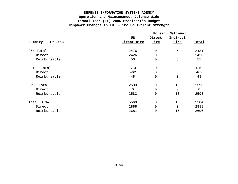|                    | Foreign National |                     |                |       |  |  |
|--------------------|------------------|---------------------|----------------|-------|--|--|
|                    | US               | Direct              | Indirect       |       |  |  |
| FY 2004<br>Summary | Direct Hire      | Hire                | Hire           | Total |  |  |
| O&M Total          | 2476             | $\mathsf{O}\xspace$ | 5              | 2481  |  |  |
| Direct             | 2426             | $\mathsf 0$         | $\Omega$       | 2426  |  |  |
| Reimbursable       | 50               | $\mathsf{O}\xspace$ | 5              | 55    |  |  |
| RDT&E Total        | 510              | $\mathsf{O}\xspace$ | $\Omega$       | 510   |  |  |
| Direct             | 462              | $\mathbf 0$         | $\Omega$       | 462   |  |  |
| Reimbursable       | 48               | $\mathsf{O}\xspace$ | $\mathbf 0$    | 48    |  |  |
| DWCF Total         | 2583             | $\mathbf 0$         | 10             | 2593  |  |  |
| Direct             | 0                | $\mathsf{O}\xspace$ | $\overline{0}$ | 0     |  |  |
| Reimbursable       | 2583             | $\mathsf{O}\xspace$ | 10             | 2593  |  |  |
| Total DISA         | 5569             | $\mathbf 0$         | 15             | 5584  |  |  |
| Direct             | 2888             | 0                   | $\Omega$       | 2888  |  |  |
| Reimbursable       | 2681             | $\mathbf 0$         | 15             | 2696  |  |  |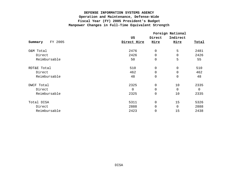|              | Foreign National    |                     |                  |       |  |
|--------------|---------------------|---------------------|------------------|-------|--|
| FY 2005      | US                  | Direct<br>Hire      | Indirect<br>Hire |       |  |
| Summary      | Direct Hire         |                     |                  | Total |  |
| O&M Total    | 2476                | $\mathsf 0$         | 5                | 2481  |  |
| Direct       | 2426                | 0                   | $\Omega$         | 2426  |  |
| Reimbursable | 50                  | $\mathbf 0$         | 5                | 55    |  |
| RDT&E Total  | 510                 | $\mathbf 0$         | $\mathbf 0$      | 510   |  |
| Direct       | 462                 | $\mathbf 0$         | $\Omega$         | 462   |  |
| Reimbursable | 48                  | $\mathsf{O}\xspace$ | 0                | 48    |  |
| DWCF Total   | 2325                | $\mathsf 0$         | 10               | 2335  |  |
| Direct       | $\mathsf{O}\xspace$ | 0                   | $\overline{0}$   | 0     |  |
| Reimbursable | 2325                | $\mathsf 0$         | 10               | 2335  |  |
| Total DISA   | 5311                | 0                   | 15               | 5326  |  |
| Direct       | 2888                | 0                   | $\Omega$         | 2888  |  |
| Reimbursable | 2423                | $\mathsf 0$         | 15               | 2438  |  |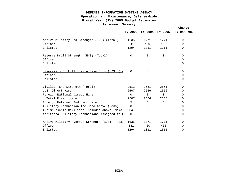|                                                   |          |             |             | Change     |
|---------------------------------------------------|----------|-------------|-------------|------------|
|                                                   | FY 2003  | FY 2004     | FY 2005     | FY 04/FY05 |
| Active Military End Strength (E/S) (Total)        | 1635     | 1771        | 1771        | $\Omega$   |
| Officer                                           | 341      | 460         | 460         | 0          |
| Enlisted                                          | 1294     | 1311        | 1311        | 0          |
| Reserve Drill Strength (E/S)<br>(Total)           | $\Omega$ | $\Omega$    | $\Omega$    | $\Omega$   |
| Officer                                           |          |             |             | 0          |
| Enlisted                                          |          |             |             | 0          |
| Reservists on Full Time Active Duty (E/S)<br>(Tc) | $\Omega$ | $\mathbf 0$ | $\mathbf 0$ | $\Omega$   |
| Officer                                           |          |             |             | 0          |
| Enlisted                                          |          |             |             | $\Omega$   |
| Civilian End Strength (Total)                     | 2512     | 2561        | 2561        | 0          |
| U.S. Direct Hire                                  | 2507     | 2556        | 2556        | 0          |
| Foreign National Direct Hire                      | $\Omega$ | $\Omega$    | 0           | 0          |
| Total Direct Hire                                 | 2507     | 2556        | 2556        | 0          |
| Foreign National Indirect Hire                    | 5        | 5           | 5           | 0          |
| (Military Technician Included Above (Memo)        | $\Omega$ | $\Omega$    | $\Omega$    | 0          |
| (Reimbursable Civilians Included Above (Memo)     | 34       | 55          | 55          | 0          |
| Additional Military Technicians Assigned to I     | $\Omega$ | $\Omega$    | $\Omega$    | 0          |
| Active Military Average Strength (A/S) (Total     | 1635     | 1771        | 1771        | $\Omega$   |
| Officer                                           | 341      | 460         | 460         | 0          |
| Enlisted                                          | 1294     | 1311        | 1311        | $\Omega$   |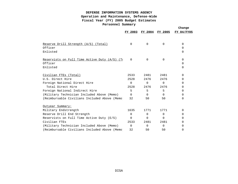|                                                 |          |          |          | Change     |
|-------------------------------------------------|----------|----------|----------|------------|
|                                                 | FY 2003  | FY 2004  | FY 2005  | FY 04/FY05 |
|                                                 |          |          |          |            |
| Reserve Drill Strength (A/S) (Total)            | $\Omega$ | $\Omega$ | $\Omega$ | $\Omega$   |
| Officer                                         |          |          |          | 0          |
| Enlisted                                        |          |          |          | 0          |
| Reservists on Full Time Active Duty $(A/S)$ (To | 0        | 0        | 0        | 0          |
| Officer                                         |          |          |          | 0          |
| Enlisted                                        |          |          |          | 0          |
| Civilian FTEs (Total)                           | 2533     | 2481     | 2481     | 0          |
| U.S. Direct Hire                                | 2528     | 2476     | 2476     | 0          |
| Foreign National Direct Hire                    | $\Omega$ | $\Omega$ | $\Omega$ | 0          |
| Total Direct Hire                               | 2528     | 2476     | 2476     | 0          |
| Foreign National Indirect Hire                  | 5        | 5        | 5        | 0          |
| (Military Technician Included Above (Memo)      | $\Omega$ | $\Omega$ | $\Omega$ | 0          |
| (Reimbursable Civilians Included Above (Memo)   | 32       | 50       | 50       | 0          |
| Outyear Summary:                                |          |          |          |            |
| Military Endstrength                            | 1635     | 1771     | 1771     | $\Omega$   |
| Reserve Drill End Strength                      | $\Omega$ | $\Omega$ | 0        | 0          |
| Reservists on Full Time Active Duty (E/S)       | $\Omega$ | $\Omega$ | $\Omega$ | 0          |
| Civilian FTEs                                   | 2533     | 2481     | 2481     | 0          |
| (Military Technician Included Above (Memo)      | $\Omega$ | $\Omega$ | $\Omega$ | 0          |
| (Reimbursable Civilians Included Above (Memo)   | 32       | 50       | 50       | 0          |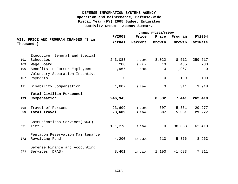|            |                                                    | Change FY2003/FY2004 |            |                |           |               |  |
|------------|----------------------------------------------------|----------------------|------------|----------------|-----------|---------------|--|
|            |                                                    | <b>FY2003</b>        | Price      | Price          | Program   | <b>FY2004</b> |  |
| Thousands) | VII. PRICE AND PROGRAM CHANGES (\$ in              | Actual               | Percent    | Growth         | Growth    | Estimate      |  |
|            | Executive, General and Special                     |                      |            |                |           |               |  |
| 101        | Schedules                                          | 243,083              | 3.300%     | 8,022          | 8,512     | 259,617       |  |
| 103        | Wage Board                                         | 288                  | 3.472%     | $10 \,$        | 485       | 783           |  |
| 106        | Benefits to Former Employees                       | 1,967                | $0.000$ %  | $\Omega$       | $-1,967$  | $\Omega$      |  |
|            | Voluntary Separation Incentive                     |                      |            |                |           |               |  |
| 107        | Payments                                           | $\mathbf 0$          |            | $\overline{0}$ | 100       | 100           |  |
| 111        | Disability Compensation                            | 1,607                | $0.000$ %  | 0              | 311       | 1,918         |  |
| 199        | Total Civilian Personnel<br>Compensation           | 246,945              |            | 8,032          | 7,441     | 262,418       |  |
| 308        | Travel of Persons                                  | 23,609               | 1.300%     | 307            | 5,361     | 29,277        |  |
| 399        | Total Travel                                       | 23,609               | 1.300%     | 307            | 5,361     | 29,277        |  |
|            | Communications Services (DWCF)                     |                      |            |                |           |               |  |
| 671        | Tier <sub>2</sub>                                  | 101,278              | $0.000$ %  | $\overline{0}$ | $-38,868$ | 62,410        |  |
| 672        | Pentagon Reservation Maintenance<br>Revolving Fund | 4,200                | $-14.595%$ | $-613$         | 5,376     | 8,963         |  |
|            |                                                    |                      |            |                |           |               |  |
| 673        | Defense Finance and Accounting<br>Services (DFAS)  | 8,401                | 14.201%    | 1,193          | $-1,683$  | 7,911         |  |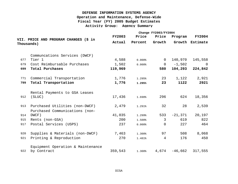|     |                                       | Change FY2003/FY2004 |           |                |           |                 |  |
|-----|---------------------------------------|----------------------|-----------|----------------|-----------|-----------------|--|
|     | VII. PRICE AND PROGRAM CHANGES (\$ in | <b>FY2003</b>        | Price     | Price          | Program   | <b>FY2004</b>   |  |
|     | Thousands)                            | Actual               | Percent   | Growth         |           | Growth Estimate |  |
|     | Communcations Services (DWCF)         |                      |           |                |           |                 |  |
| 677 | Tier 1                                | 4,588                | $0.000$ % | $\Omega$       | 140,970   | 145,558         |  |
| 679 | Cost Reimbursable Purchases           | 1,502                | $0.000$ % | $\overline{0}$ | $-1,502$  | $\Omega$        |  |
| 699 | Total Purchases                       | 119,969              |           | 580            | 104,293   | 224,842         |  |
| 771 | Commercial Transportation             | 1,776                | 1.295%    | 23             | 1,122     | 2,921           |  |
| 799 | Total Transportation                  | 1,776                | 1.295%    | 23             | 1122      | 2921            |  |
|     | Rental Payments to GSA Leases         |                      |           |                |           |                 |  |
| 912 | (SLUC)                                | 17,436               | 1.698%    | 296            | 624       | 18,356          |  |
| 913 | Purchased Utilities (non-DWCF)        | 2,479                | 1.291%    | 32             | 28        | 2,539           |  |
|     | Purchased Communications (non-        |                      |           |                |           |                 |  |
| 914 | DWCF)                                 | 41,035               | 1.299%    | 533            | $-21,371$ | 20,197          |  |
| 915 | Rents (non-GSA)                       | 200                  | 1.500%    | $\overline{3}$ | 619       | 822             |  |
| 917 | Postal Services (USPS)                | 237                  | $0.000$ % | $\Omega$       | 227       | 464             |  |
| 920 | Supplies & Materials (non-DWCF)       | 7,463                | 1.300%    | 97             | 508       | 8,068           |  |
| 921 | Printing & Reproduction               | 270                  | 1.481%    | 4              | 176       | 450             |  |
|     | Equipment Operation & Maintenance     |                      |           |                |           |                 |  |
| 922 | by Contract                           | 359,543              | 1.300%    | 4,674          | $-46,662$ | 317,555         |  |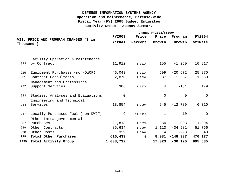| Change FY2003/FY2004 |                                       |                |             |                |            |                 |  |  |
|----------------------|---------------------------------------|----------------|-------------|----------------|------------|-----------------|--|--|
|                      |                                       | <b>FY2003</b>  | Price       | Price          | Program    | <b>FY2004</b>   |  |  |
| Thousands )          | VII. PRICE AND PROGRAM CHANGES (\$ in | Actual         | Percent     | Growth         |            | Growth Estimate |  |  |
|                      |                                       |                |             |                |            |                 |  |  |
|                      | Facility Operation & Maintenance      |                |             |                |            |                 |  |  |
| 923                  | by Contract                           | 11,912         | 1.301%      | 155            | $-1,250$   | 10,817          |  |  |
|                      |                                       |                |             |                |            |                 |  |  |
| 925                  | Equipment Purchases (non-DWCF)        | 46,043         | 1.301%      | 599            | $-20,672$  | 25,970          |  |  |
| 931                  | Contract Consultants                  | 2,870          | 1.289%      | 37             | $-1,357$   | 1,550           |  |  |
|                      | Management and Professional           |                |             |                |            |                 |  |  |
| 932                  | Support Services                      | 306            | 1.307%      | 4              | $-131$     | 179             |  |  |
|                      |                                       |                |             |                |            |                 |  |  |
| 933                  | Studies, Analyses and Evaluations     | $\overline{0}$ |             | $\overline{0}$ | $\Omega$   | $\overline{0}$  |  |  |
|                      | Engineering and Technical             |                |             |                |            |                 |  |  |
| 934                  | Services                              | 18,854         | 1.299%      | 245            | $-12,789$  | 6,310           |  |  |
| 937                  | Locally Purchased Fuel (non-DWCF)     | 9              | 11.111%     | $\mathbf{1}$   | $-10$      | $\overline{0}$  |  |  |
|                      | Other Intra-governmental              |                |             |                |            |                 |  |  |
| 987                  | Purchases                             | 21,813         | 1.302%      | 284            | $-11,003$  | 11,094          |  |  |
| 989                  | Other Contracts                       | 85,634         | 1.300%      | 1,113          | -34,981    | 51,766          |  |  |
|                      |                                       |                |             |                |            |                 |  |  |
| 998                  | Other Costs                           | 329            | 1.216%      | 4              | $-293$     | 40              |  |  |
| 999                  | Total Other Purchases                 | 616,433        | $\mathbf 0$ | 8,081          | $-148,337$ | 476,177         |  |  |
| 9999                 | Total Activity Group                  | 1,008,732      |             | 17,023         | $-30,120$  | 995,635         |  |  |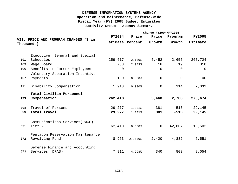|     |                                                     | Change FY2004/FY2005 |           |                |                |                 |  |  |
|-----|-----------------------------------------------------|----------------------|-----------|----------------|----------------|-----------------|--|--|
|     |                                                     | <b>FY2004</b>        | Price     | Price          | Program        | <b>FY2005</b>   |  |  |
|     | VII. PRICE AND PROGRAM CHANGES (\$ in<br>Thousands) | Estimate Percent     |           | Growth         | Growth         | <b>Estimate</b> |  |  |
|     | Executive, General and Special                      |                      |           |                |                |                 |  |  |
| 101 | Schedules                                           | 259,617              | 2.100%    | 5,452          | 2,655          | 267,724         |  |  |
| 103 | Wage Board                                          | 783                  | 2.043%    | 16             | 19             | 818             |  |  |
| 106 | Benefits to Former Employees                        | $\Omega$             |           | $\Omega$       | $\Omega$       | $\Omega$        |  |  |
| 107 | Voluntary Separation Incentive<br>Payments          | 100                  | $0.000$ % | 0              | $\overline{0}$ | 100             |  |  |
|     |                                                     |                      |           |                |                |                 |  |  |
| 111 | Disability Compensation                             | 1,918                | $0.000$ % | $\mathbf 0$    | 114            | 2,032           |  |  |
|     | Total Civilian Personnel                            |                      |           |                |                |                 |  |  |
| 199 | Compensation                                        | 262,418              |           | 5,468          | 2,788          | 270,674         |  |  |
| 308 | Travel of Persons                                   | 29,277               | 1.301%    | 381            | $-513$         | 29,145          |  |  |
| 399 | Total Travel                                        | 29,277               | 1.301%    | 381            | $-513$         | 29,145          |  |  |
|     | Communications Services (DWCF)                      |                      |           |                |                |                 |  |  |
| 671 | Tier <sub>2</sub>                                   | 62,410               | $0.000$ % | $\overline{0}$ | $-42,807$      | 19,603          |  |  |
|     | Pentagon Reservation Maintenance                    |                      |           |                |                |                 |  |  |
| 672 | Revolving Fund                                      | 8,963                | 27.000%   | 2,420          | $-4,832$       | 6,551           |  |  |
|     | Defense Finance and Accounting                      |                      |           |                |                |                 |  |  |
| 673 | Services (DFAS)                                     | 7,911                | 4.298%    | 340            | 803            | 9,054           |  |  |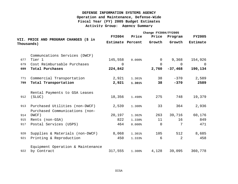|            |                                       | Change FY2004/FY2005 |                  |                |                |                |  |
|------------|---------------------------------------|----------------------|------------------|----------------|----------------|----------------|--|
|            |                                       | <b>FY2004</b>        | Price            | Price          | Program        | <b>FY2005</b>  |  |
| Thousands) | VII. PRICE AND PROGRAM CHANGES (\$ in |                      | Estimate Percent | Growth         | Growth         | Estimate       |  |
|            | Communcations Services (DWCF)         |                      |                  |                |                |                |  |
| 677        | Tier 1                                | 145,558              | $0.000$ %        | $\overline{0}$ | 9,368          | 154,926        |  |
| 679        | Cost Reimbursable Purchases           | $\Omega$             |                  | $\overline{0}$ | $\overline{0}$ | $\overline{0}$ |  |
| 699        | Total Purchases                       | 224,842              |                  | 2,760          | $-37,468$      | 190,134        |  |
| 771        | Commercial Transportation             | 2,921                | 1.301%           | 38             | $-370$         | 2,589          |  |
| 799        | Total Transportation                  | 2,921                | 1.301%           | 38             | $-370$         | 2589           |  |
|            | Rental Payments to GSA Leases         |                      |                  |                |                |                |  |
| 912        | (SLUC)                                | 18,356               | 1.498%           | 275            | 748            | 19,379         |  |
| 913        | Purchased Utilities (non-DWCF)        | 2,539                | 1.300%           | 33             | 364            | 2,936          |  |
|            | Purchased Communications (non-        |                      |                  |                |                |                |  |
| 914        | DWCF)                                 | 20,197               | 1.302%           | 263            | 39,716         | 60,176         |  |
| 915        | Rents (non-GSA)                       | 822                  | 1.338%           | 11             | 16             | 849            |  |
| 917        | Postal Services (USPS)                | 464                  | $0.000$ %        | $\Omega$       | 7              | 471            |  |
| 920        | Supplies & Materials (non-DWCF)       | 8,068                | 1.301%           | 105            | 512            | 8,685          |  |
| 921        | Printing & Reproduction               | 450                  | 1.333%           | 6              | 2              | 458            |  |
|            | Equipment Operation & Maintenance     |                      |                  |                |                |                |  |
| 922        | by Contract                           | 317,555              | 1.300%           | 4,128          | 39,095         | 360,778        |  |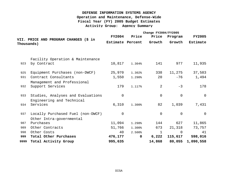|            |                                                                | Change FY2004/FY2005 |        |                |                |                 |  |
|------------|----------------------------------------------------------------|----------------------|--------|----------------|----------------|-----------------|--|
|            |                                                                | <b>FY2004</b>        | Price  | Price          | Program        | <b>FY2005</b>   |  |
| Thousands) | VII. PRICE AND PROGRAM CHANGES (\$ in                          | Estimate Percent     |        | Growth         | Growth         | <b>Estimate</b> |  |
|            | Facility Operation & Maintenance                               |                      |        |                |                |                 |  |
| 923        | by Contract                                                    | 10,817               | 1.304% | 141            | 977            | 11,935          |  |
| 925        | Equipment Purchases (non-DWCF)                                 | 25,970               | 1.302% | 338            | 11,275         | 37,583          |  |
| 931        | Contract Consultants                                           | 1,550                | 1.290% | 20             | $-76$          | 1,494           |  |
|            | Management and Professional                                    |                      |        |                |                |                 |  |
| 932        | Support Services                                               | 179                  | 1.117% | 2              | $-3$           | 178             |  |
| 933        | Studies, Analyses and Evaluations<br>Engineering and Technical | $\mathbf 0$          |        | $\mathbf 0$    | 0              | $\overline{0}$  |  |
| 934        | Services                                                       | 6,310                | 1.300% | 82             | 1,039          | 7,431           |  |
| 937        | Locally Purchased Fuel (non-DWCF)                              | $\mathbf 0$          |        | $\overline{0}$ | $\overline{0}$ | $\overline{0}$  |  |
| 987        | Other Intra-governmental<br>Purchases                          | 11,094               | 1.298% | 144            | 627            | 11,865          |  |
| 989        | Other Contracts                                                | 51,766               | 1.300% | 673            | 21,318         | 73,757          |  |
| 998        | Other Costs                                                    | 40                   | 2.500% | $\mathbf{1}$   | $\Omega$       | 41              |  |
| 999        | Total Other Purchases                                          | 476,177              | 0      | 6,222          | 115,617        | 598,016         |  |
| 9999       | Total Activity Group                                           | 995,635              |        | 14,868         | 80,055         | 1,090,558       |  |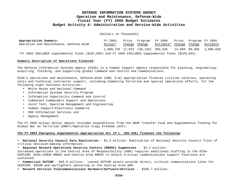(Dollars in Thousands)

| Appropriation Summary:                                                                                | FY 2003 |               | Price Program FY 2004 Price Program FY 2005               |  |          |
|-------------------------------------------------------------------------------------------------------|---------|---------------|-----------------------------------------------------------|--|----------|
| Operation and Maintenance, Defense-Wide                                                               | Actual* | Change Change | Estimate* Change Change                                   |  | Estimate |
|                                                                                                       |         |               | 1,008,726 17,023 (30,120) 995,635 14,868 80,055 1,090,558 |  |          |
| *FY 2003 INCLUDES supplemental funds (\$187,805) and FY 2004 EXCLUDES supplemental funds (\$228,844). |         |               |                                                           |  |          |

#### **Summary Description of Operations Financed:**

The Defense Information Systems Agency (DISA) is a Combat Support Agency responsible for planning, engineering, acquiring, fielding, and supporting global command and control and communications.

DISA's operations and maintenance, Defense-Wide (O&M, D-W) appropriation finances civilian salaries, operating costs and technical contractor support, including Combating Terrorism and special operations efforts, for the following eight business activities:

- White House and National Command
- Information Systems Security Program
- Information Superiority Command and Control
- Combatant Commanders Support and Operations
- Joint Test, Spectrum Management and Engineering
- Combat Support/Electronic Commerce
- DOD Information Services and
- Agency Management

The FY 2003 Actual dollar amount includes expenditures from the DERF Transfer Fund and Supplemental funding for Global War on Terrorism (GWOT)/Operation Iraqi Freedom (OIF).

#### **The FY 2004 Emergency Supplemental Appropriation Act (P.L. 108-106) finances the following:**

• **National Security Council Data Replication** - \$1.3 million: Replication of National Security Council files of critical decision-making information.

• **Regional Network Operations Security Centers (RNOSC) Augmentees** - \$2.2 million:

Increased operations in the Central Area of Responsibility (AOR) requires additional staffing in the DISA-CENTCOM, DISA-CONUS RNOSC and Central Area RNOSC to ensure critical communications support functions are sustained.

• **Commercial SATCOM** - \$48.0 million: Leased SATCOM assets provide direct, critical communications links for CENTCOM, SOCOM and warfighters operating in the Central Area AOR.

• **Network Services Telecommunications Hardware/Software/Services** - \$106.7 million: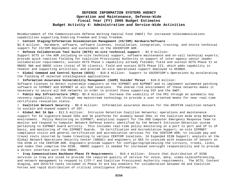Reimbursement of the Communications Defense Working Capital Fund (DWCF) for increased telecommunications capabilities supporting Enduring Freedom and Iraqi Freedom.

• **Content Staging/Information Dissemination Management (CS/IDM) Hardware/Software** -

\$2.8 million: Hardware, software, software licenses, installation, integration, training, and onsite technical support for CS/IDM deployment and sustainment in the USCENTCOM AOR.

• **Defense Collaboration Tool Suite (DCTS) on-site technical support** - \$2.9 million:

Support DCTS in the AOR including on-site technical support, software maintenance and on-call technical experts; provide quick reaction fielding for Coalition Provisional Authority in support of inter-agency senior leader collaboration requirements; sustain DCTS Phase 1 capability already fielded; field and sustain DCTS Phase II at RNOSC SWA and GNOSC sites (total of 50 clients); field and sustain DCTS Phase III, which adds capability in theater and supporting activities; and provide on-site operational support deployed to OCONUS.

• **Global Command and Control System (GCCS)** - \$10.8 million: Support to USCENTCOM's Operations by accelerating the fielding of selected intellegience applications.

• **Information Assurance Vulnerability Management (IAVM) Insider Threat** - \$10.0 million:

Software licenses to detect vulnerable computers on the SIPRNET and NIPRNET and to implement automated patching software on SIPRNET and NIPRNET at all DoD locations. The shared risk environment of these networks makes it necessary to secure all DoD networks in order to protect those supporting OIF and the GWOT.

• **Public Key Infrastructure (PKI)**- \$5.0 million: Increase the usability of the PKI through an automatic key recovery capability, and through new mainstream technology to provide a user oriented means for near real-time certificate revocation status.

• **Coalition Network Security** - \$8.0 million: Information assurance devices for the GRIFFIN coalition network to sustain and expand support of OIF.

• **Global Net IA Ops** - \$11.5 million: Intrusion Detection Coalition Networks; operations and maintenance support for 64 signature-based IDSs and 35 platforms for anomaly based IDSs in the Coalition Wide Area Network environment. Policy Monitoring on SIPRNET; analytical support for the DOD Computer Emergency Response Team to monitor and respond to Computer Network Defense events identified by the Network Intrusion Detection system pertaining to SIPRNET Guard activity. This includes real-time policy monitoring on a port to port and IP to IP basis, and monitoring of the SIPRNET Guards. IA Certification and Accreditation Support; on-site SIPRNET compliance visits and general certification and accreditation services for the CENTCOM AOR, to include pay and travel costs incurred by teams traveling to various CENTCOM locations. IA Expanded DISN Support; analysts at the Global Network Operations Security Center (GNOSC) and engineers in GES to coincide with expansion of sensors on the DISN in the CENTCOM AOR. Engineers provide support for configuring/optimizing the circuits, trunks, links, and nodes that comprise the DISN. GNOSC support is needed for increased oversight responsibility and to provide a direct interface with the RNOSC.

• **Iraq Communications Backbone-Phase IV Requirements** - \$19.4 million: Ensure that distribution of DISN services in Iraq are sized to provide the required quality of service for voice, data, video-teleconferencing, and network management to respond to CJTF-7 and Coalition Provisional Authority requirements. The DCTS, Content Staging, and GCCS/I3 tasks included in Phase IV are key enablers for collaboration between US and Coalition Forces and rapid distribution of critical intelligence information.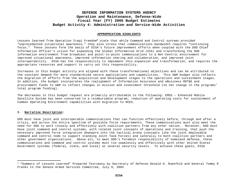#### **APPROPRIATION HIGHLIGHTS**

Lessons learned from Operation Iraqi Freedom**<sup>1</sup>** state that while Command and Control systems provided "unprecedented situational awareness," they also stress that communications bandwidth requires "continuing focus." These lessons form the basis of DISA's future improvement efforts when coupled with the DOD Chief Information Officer's vision for expanding the Global Information Grid (GIG) and transforming the DOD information environment from broadcast and point-to-point communications to a Net-Centric environment for improved situational awareness, improved information sharing and collaboration, and improved joint interoperability. DISA has the responsibility to implement this expansion and transformation, and requires the appropriate resources and support to carry out this responsibility.

Increases in this budget activity are aligned with these transformational objectives and can be attributed to the constant demand for more standardized secure applications and capabilities. This O&M budget also reflects the migration of efforts from the acquisition and development stages to the operations and sustainment stages. In addition, the budget incorporates the realignment of Information Assurance and eBusiness RDT&E and procurement funds to O&M to reflect changes in mission and investment threshold (no net change in the programs' total program funding).

The decreases in this budget request are primarily attributable to the following: EMSS – Enhanced Mobile Satellite System has been converted to a reimbursable program; reduction of operating costs for sustainment of Common Operating Environment capabilities with migration to NCES.

#### **I. Narrative Description:**

i

DOD must have joint and interoperable communications that can function effectively before, through and after a crisis, and across the entire spectrum of possible force requirements. These communications must also meet the need for DOD to work closely and effectively with coalition partners from any other nation. Moreover, DOD must have joint command and control systems, with related joint concepts of operations and training, that push the necessary improved force integration downward into the tactical arena (concepts like the joint deployable command and control node to support standing Joint Task Forces) and laterally to both coalition partners and other government organizations. Above all, to meet DOD's foremost responsibility of homeland defense, these communications and command and control systems must tie seamlessly and effectively with other United States Government systems (federal, state, and local) at several security levels. To achieve these goals, DISA

 $1$  "Summary of Lessons Learned" Prepared Testimony by Secretary of Defense Donald H. Rumsfeld and General Tommy R Franks to the Senate Armed Services Committee, July 9, 2003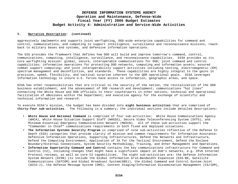#### **I. Narrative Description: (continued)**

aggressively implements and supports joint warfighting, DOD-wide enterprise capabilities for command and control, communications, and computing to support intelligence, surveillance and reconnaissance missions, reachback to military bases and systems, and defensive information operations.

The GIG provides the framework that defines how DOD will build and improve tomorrow's command, control, communications, computing, intelligence, surveillance, and reconnaissance capabilities. DISA provides as its core warfighting mission: global, secure, interoperable communications for DOD; joint command and control capabilities; information operations for protecting DOD networks, computing and information assets; assured combat support computing; and joint interoperability support activities including testing, electromagnetic (EM) spectrum management and deconfliction, and standards. These capabilities are highly integral to the gains in precision, speed, flexibility, and tactical surprise inherent to the QDR operational goals. DISA leverages information technology to insure U.S. forces have access to information, geographic areas, and space.

DISA has other responsibilities that are critical to the security of the nation, the revitalization of the DOD business establishment, and the advancement of DOD research and development; communications "hot lines" connecting the White House and DOD officials to their counterparts in other nations; technical and operational facilitation of eBusiness within the Department; and executive agency for the exchange of scientific and technical information and research.

To execute DISA's mission, the budget has been divided into **eight business activities** that are comprised of **thirty-four sub-activities**. The following is a summary; the individual sections include detailed descriptions:

- **White House and National Command** is comprised of four sub-activities: White House Communications Agency (WHCA), White House Situation Support Staff (WHSSS), Secure Video Teleconferencing System (SVTS), and Minimum Essential Emergency Communications Network (MEECN). All of these sub-activities support the "Commander in Chief" communications requirements in both fixed and deployed situations.
- **The Information Systems Security Program** is comprised of nine sub-activities reflective of the Defense In Depth (DID) categories that provide clarity of mission and common requirements for Information Assurance: Defensive Information Operations, Supporting Infrastructures, Defend the Networks and Infrastructure, Defend the Computing Environment, Application of IA for the Tactical Environment, Defend the Enclave Boundary/External Connections, System Security Methodology, Training, and Other Management and Operations.
- **Information Superiority Command and Control** contains the key communications infrastructure for Command and Control (C2), including changes that might have a significant impact on DoD's networks, e.g. IPv6 Internet Protocol reviews, as well as core C2 capabilities. The eight sub-activities are: the Defense Information System Network (DISN) (to include the Global Information Grid-Bandwidth Expansion (GIG-BE, Satellite Communications (SATCOM) and Global Broadcast System(GBS)), the Global Command and Control System-Joint (GCCS-J), the Defense Message System (DMS), Content Staging/Information Dissemination Management (CS/IDM),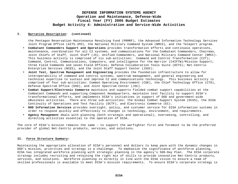#### **I. Narrative Description: (continued)**

the Pentagon Reservation Maintenance Revolving Fund (PRMRF), the Advanced Information Technology Services Joint Program Office (AITS-JPO), the National Military Command System (NMCS), and the Teleport program.

- **Combatant Commanders Support and Operations** provides transformation efforts and continuous operations, maintenance, coordination for all C2 systems, and communications for the Combatant Commanders, Chairman, Joint Chiefs of Staff, Joint Staff (JS), Unified Commanders, and National Military Command Center (NMCC). This business activity is comprised of six sub-activities: Command and Control Transformation (C2T); Command, Control, Communications, Computers, and intelligence for the Warrior (C4IFTW)/Mission Support; three Field Commands and seven Field Offices; Defense Collaboration Tools Suite (DCTS); Net-Centric Enterprise Services (NCES), and the Joint Staff Support Center (JSSC).
- **Joint Test, Spectrum Management and Engineering** provides the foundation infrastructure to allow for interoperability of command and control systems, spectrum management, and general engineering and technical expertise to sustain and improve C2 and communications technology. This business activity is comprised of four sub-activities: Common Operating Environment (COE), the Chief Technology Office (CTO), Defense Spectrum Office (DSO), and Joint Spectrum Center (JSC).
- **Combat Support/Electronic Commerce** maintains and supports fielded combat support capabilities at the Combatant Commands and supporting Component Headquarters, maintains test facility to support DISA's transformational efforts, and implements DISA's initiatives in support of DOD and government-wide eBusiness activities. There are three sub-activities: the Global Combat Support System (GCSS), the DISA Continuity of Operations and Test Facility (DCTF), and Electronic Commerce (EC).
- **DOD Information Services** provides oversight, policy, and customer service for DISA information systems in order to respond quickly and effectively to changes in technology, environment, and requirements.
- **Agency Management** deals with planning (both strategic and operational), overseeing, controlling, and directing activities essential to the operation of DISA.

The core of DISA's mission remains the same – to support the warfighter first and foremost to be the preferred provider of global Net-Centric products, services, and solutions.

#### **II. Force Structure Summary:**

Maintaining the appropriate allocation of DISA's personnel and dollars to keep pace with the dynamic changes in DOD's mission, priorities and strategy is a challenge. To emphasize the significance of workforce planning, DISA has integrated workforce planning with strategic planning in the agency's 500-Day Plan. The DISA corporate strategy includes recruiting and retaining the right mix of skills to provide innovative Net-Centric products, services, and solutions. Workforce planning is directly in line with the DISA vision to ensure a team of skilled professionals is available to meet DISA's mission requirements. To ensure DISA's corporate strategy is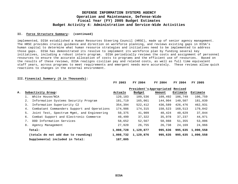#### **II. Force Structure Summary: (continued)**

implemented, DISA established a Human Resources Steering Council (HRSC), made up of senior agency management. The HRSC provides crucial guidance and direction on workforce planning, and reviews existing gaps in DISA's human capital to determine what human resource strategies and initiatives need to be implemented to address those gaps. DISA has demonstrated its resolve to implement its workforce plan by funding several key initiatives, including a robust intern program. DISA periodically reviews the costs and assignment of personnel resources to ensure the accurate allocation of costs to programs and the efficient use of resources. Based on the results of these reviews, DISA realigns civilian pay and related costs, as well as full time equivalent staff years, across programs to meet requirements and emergent needs more accurately. These reviews allow quick reactions to changes in the external environment.

#### **III. Financial Summary (\$ in Thousands):**

|    |    |                                             | FY 2003   | FY 2004                          | FY 2004 | FY 2004  | FY 2005   |
|----|----|---------------------------------------------|-----------|----------------------------------|---------|----------|-----------|
|    |    |                                             |           | President's Appropriated Revised |         |          |           |
| Α. |    | Subactivity Group:                          | Actuals   | Budget                           | Amount  | Estimate | Estimate  |
|    | 1. | White House/NCA                             | 120,183   | 109,536                          | 109,492 | 106,749  | 106,759   |
|    | 2. | Information Systems Security Program        | 181,719   | 165,061                          | 144,904 | 140,507  | 181,039   |
|    | 3. | Information Superiority C2                  | 354,394   | 522,412                          | 436,589 | 426,476  | 462,931   |
|    | 4. | Combatant Commanders Support and Operations | 174,986   | 174,315                          | 150,523 | 168,513  | 179,042   |
|    | 5. | Joint Test, Spectrum Mqmt, and Engineering  | 50,375    | 41,909                           | 40,424  | 40,629   | 37,844    |
|    | 6. | Combat Support and Electronic Commerce      | 40,499    | 37,322                           | 35,978  | 37,237   | 44,971    |
|    | 7. | DOD Information Services                    | 58,652    | 52,567                           | 50,988  | 51,355   | 53,006    |
|    | 8. | Agency Management                           | 27,920    | 26,755                           | 26,738  | 24,169   | 24,966    |
|    |    | Total:                                      | 1,008,728 | 1,129,877                        | 995,636 | 995,635  | 1,090,558 |
|    |    | (totals do not add due to rounding)         | 1,008,732 | 1,129,876                        | 995,635 | 995,635  | 1,090,558 |
|    |    | Supplemental included in Total:             | 187,805   |                                  |         |          |           |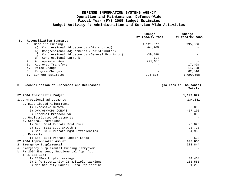|           |       |                                                            | Change<br>FY 2004/FY 2004 | Change<br>FY 2004/FY 2005 |
|-----------|-------|------------------------------------------------------------|---------------------------|---------------------------|
| <b>B.</b> |       | Reconciliation Summary:                                    |                           |                           |
|           |       | Baseline Funding                                           | 1,129,877                 | 995,636                   |
|           |       | Congressional Adjustments (Distributed)<br>a)              | $-94, 105$                |                           |
|           |       | Congressional Adjustments (Undistributed)<br>b)            |                           |                           |
|           |       | Congressional Adjustments (General Provision)<br>$\circ$ ) | $-39,498$                 |                           |
|           |       | Congressional Earmark<br>d)                                | $-638$                    |                           |
|           | $2$ . | Appropriated Amount                                        | 995,636                   |                           |
|           |       | Approved Transfers                                         |                           | 17,408                    |
|           | 4.    | Price Change                                               |                           | 14,868                    |
|           | 5.    | Program Changes                                            |                           | 62,646                    |
|           | б.    | Current Estimates                                          | 995,636                   | 1,090,558                 |
|           |       |                                                            |                           |                           |

| C. Reconciliation of Increases and Decreases: | (Dollars in Thousands) |
|-----------------------------------------------|------------------------|
|                                               | Totals                 |
| FY 2004 President's Budget                    | 1,129,877              |
| 1. Congressional adjustments                  | $-134,241$             |
| a. Distributed Adjustments                    |                        |
| 1) Excessive Growth                           | $-35,000$              |
| 2) ONW/OSW/ODS CONOPS                         | $-57,105$              |
| 3) Internal Protocol v6                       | $-2,000$               |
| b. Undistributed Adjustments                  |                        |
| c. General Provisions                         |                        |
| 1) Sec. 8094 Prorate Prof Svcs                | $-5,820$               |
| 2) Sec. 8101 Cost Growth I                    | $-28,720$              |
| 3) Sec. 8126 Prorate Mgmt Efficiencies        | $-4,958$               |
| d. Earmarks                                   |                        |
| 1) Sec. 8044 Prorate Indian Lands             | $-638$                 |
| FY 2004 Appropriated Amount                   | 995,636                |
| 2. Emergency Supplemental                     | 228,844                |
| a. Emergency Supplemental Funding Carryover   |                        |
| b. FY 2004 Emergency Supplemental App. Act    |                        |
| $(P.L.108-106)$                               |                        |
| 1) ISSP-multiple taskings                     | 34,464                 |
| 2) Info Superiority C2-multiple taskings      | 183,585                |
| 3) Nat Security Council Data Replication      | 1,280                  |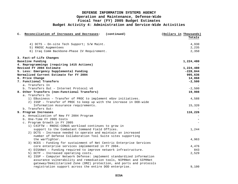| C. Reconciliation of Increases and Decreases:<br>(continued)           | (Dollars in Thousands) |
|------------------------------------------------------------------------|------------------------|
|                                                                        | Totals                 |
| 4) DCTS - On-site Tech Support; S/W Maint.                             | 4,930                  |
| 5) RNOSC Augmentees                                                    | 2,235                  |
| 6) Iraq Comm Backbone-Phase IV Requirement.                            | 2,350                  |
| 3. Fact-of-Life Changes                                                |                        |
| Baseline Funding                                                       | 1,224,480              |
| 4. Reprogrammings (requiring 1415 Actions)                             |                        |
| Revised FY 2004 Estimate                                               | 1,224,480              |
| 5. Less: Emergency Supplemental Funding                                | $-228,844$             |
| Normalized Current Estimate for FY 2004                                | 995,636                |
| 6. Price Change                                                        | 14,868                 |
| 7. Functional Transfers                                                | $-2,500$               |
| a. Transfers In                                                        |                        |
| b. Transfers Out - Internet Protocol v6                                | $-2,500$               |
| 8. Other Transfers (non-Functional Transfers)                          | 19,908                 |
| a. Transfers In                                                        |                        |
| 1) EBusiness - Transfer of PROC to implement eGov initiatives.         | 4,588                  |
| 2) ISSP - Transfer of PROC to keep up with the increase in DOD-wide    |                        |
| Information Assurance requirements.                                    | 15,320                 |
| b. Transfers Out-                                                      |                        |
| 9. Program Increases                                                   | 116,226                |
| a. Annualization of New FY 2004 Program                                |                        |
| b. One-Time FY 2005 Costs                                              |                        |
| c. Program Growth in FY 2005                                           |                        |
| 1) C4IFTW - RNOSC-CONUS workload continues to grow in                  |                        |
| support to the Combatant Command Field Offices.                        | 1,244                  |
| 2) DCTS - Increase needed to operate and maintain an increased         |                        |
| number of Defense Collaboration Tool Suite sites supporting            |                        |
| the warfighter.                                                        | 4,963                  |
| 3) NCES - Funding for sustainment of Net Centric Enterprise Services   |                        |
| core enterprise services implemented in FY 2004.                       | 4,476                  |
| 4) DISANet - Funding required to improve network infrastructure.       | 843                    |
| 5) DCTF - Increased operating costs.                                   | 2,529                  |
| 6) ISSP - Computer Network Defense: implement standardized information |                        |
| assurance vulnerability and remediation tools, NIPRNet and SIPRNet     |                        |
| gateway/Demilitarized Zone (DMZ) protection, and ports and protocols   |                        |
| registration support across the entire DOD enterprise.                 | 9.100                  |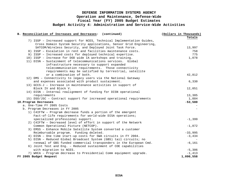| B. Reconciliation of Increases and Decreases: (continued)              | (Dollars in Thousands) |
|------------------------------------------------------------------------|------------------------|
|                                                                        | Totals                 |
| 7) ISSP - Increased support for NCES, Technical Implementation Guides, |                        |
| Cross Domain System Security applications, Sensor Grid Engineering,    |                        |
| SATCOM/Wireless Security, and Deployed Joint Task Force.               | 13,997                 |
| 8) ISSP - Escalation in rent and facilities maintenance costs.         | 758                    |
| 9) ISSP - Increased costs for deployed technical expertise.            | 775                    |
| 10) ISSP - Increase for DOD wide IA workshops and training.            | 1,078                  |
| 11) DISN - Sustainment of telecommunications services. Global          |                        |
| infrastructure necessary to support expanded                           |                        |
| telecommunication requirements. Those connectivity                     |                        |
| requirements may be satisfied by terrestrial, satellite                |                        |
| or a combination of both.                                              | 42,812                 |
| 12) DMS - Connectivity to legacy users via the National Gateway        |                        |
| and expenses associated with product sustainment.                      | 6,330                  |
| 13) GCCS-J - Increase in maintenance activities in support of          |                        |
| Block IV and Block V.                                                  | 12,051                 |
| 14) DISN - Internal realignment of funding for DISN operational        |                        |
| requirements                                                           | 13,385                 |
| 15) DSO/JSC - Contract support for increased operational requirements  | 1,884                  |
| 10. Program Decreases                                                  | $-53,580$              |
| a. One-Time FY 2005 Costs                                              |                        |
| b. Program Decreases in FY 2005                                        |                        |
| 1) C4IFTW - Program decrease funds a portion of the emergent           |                        |
| Fact-of-life requirements for world-wide DISA operations;              |                        |
| specialized professional support.                                      | $-1,399$               |
| 2) C4IFTW - Decreased level of effort in support of the Network        |                        |
| Common Operational Picture (NETCOP).                                   | $-1,872$               |
| 3) EMSS - Enhance Mobile Satellite System converted a customer         |                        |
| Reimbursable program. Funding deleted.                                 | $-33,995$              |
| 4) DISN - One time start-up costs for SWA circuits in FY 2004.         | $-3,434$               |
| 5) DISN - Reduced Global Broadcast System (GBS) tail circuits; no      |                        |
| renewal of GBS funded commercial transponders in the European Cmd.     | $-6,161$               |
| 6) Joint Test and Eng. - Reduced sustainment of COE capabilities       |                        |
| with migration to NCES.                                                | $-5,306$               |
| 7) WHCA - Program decrease to Presidential Comm equipment upgrade.     | $-1,413$               |
| FY 2005 Budget Request                                                 | 1,090,558              |
|                                                                        |                        |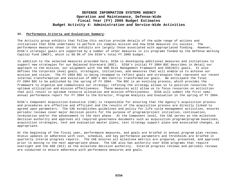#### **IV. Performance Criteria and Evaluation Summary**:

The Activity group exhibits that follow this section provide details of the wide range of actions and initiatives that DISA undertakes to perform its complex mission and how DISA measures its success. The performance measures shown in the exhibits are largely those associated with appropriated funding. However, DISA's strategic goals are supported by a number of other measures in its programs funded by the Defense Working Capital Fund (DWCF), which is 68.9% of the DISA's total FY 2005 budget.

In addition to the selected measures provided here, DISA is developing additional measures and initiatives to support new strategies for our Balanced Scorecard (BSC). DISA's initial FY 2004 BSC describes in detail our approach to the mission, our alignment with the DOD Risk Management Framework and ASD(NII) goals. It also defines the corporate level goals, strategies, initiatives, and measures that will enable us to achieve our mission and vision. The FY 2004 BSC is being revamped to reflect goals and strategies that represent our recent internal transformation and evolution of DOD's Net-Centric transformation goals. We anticipate the final FY 2004 BSC to be published by the spring of FY 2004. The BSC is an evolving process, which provides the framework to organize and communicate our strategy; refining the strategy allows us to position resources for optimum utilization and mission effectiveness. These measures will allow us to focus resources on activities that will result in optimum resource allocation and mission effectiveness. DISA will submit the first semiannual performance report for FY 2004 to the Director, Program Analysis and Evaluation in the spring of FY 2004.

DISA's Component Acquisition Executive (CAE) is responsible for ensuring that the Agency's acquisition process and procedures are effective and efficient and the results of the acquisition process are directly linked to agreed upon parameters. The CAE establishes guidelines and policy for life cycle management activities, ensures periodic reviews cover major decision points for the purpose of program/project initiation, continuation, termination and/or the advancement to the next phase. At the Component level, the CAE serves as the milestone decision authority and approves all required governance documents such as acquisition program/program baselines, acquisition strategies, test and evaluation master plans, test strategy support plans and associated changes, as appropriate.

At the beginning of the fiscal year, performance measures, and goals are briefed in annual program plan reviews. Status updates on adherence with cost, schedule, and key performance parameters and thresholds are briefed in quarterly interim progress reports. The CAE ensures all milestone metrics are prepared, presented, and approved prior to moving to the next appropriate phase. The CAE also has authority over DISA programs that require oversight and the ASD (NII) as the milestone decision authority. Interim progress reviews and periodic reviews are conducted to ensure adherence with performance measures and goals.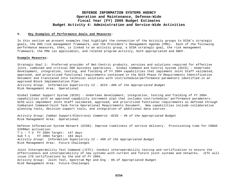#### **V. Key Examples of Performance Goals and Measures:**

In this section we present examples that highlight the connection of the Activity groups to DISA's strategic goals, the DOD risk management framework, and the President's Management Agenda (PMA). Each of the following performance measures, then, is linked to an activity group, a DISA strategic goal, the risk management framework, the PMA (as applicable), and related program activity, both appropriated and DWCF.

#### **Example Measures:**

Strategic Goal 1: Preferred provider of Net-Centric products, services and solutions required for effective joint, combined and critical DOD business operations. Global Command and Control System (GCCS) – Undertake development, integration, testing, and fielding of FY 2004 capabilities that implement Joint Staff validated, approved, and prioritized functional requirements contained in the GCCS Phase IV Requirements Identification Document and translated into technical solutions with cost/schedule/performance parameters identified in an approved Block Implementation Plan. *Activity Group: Information Superiority C2 - GCCS –40% of the Appropriated Budget* Risk Management Area: Operational

Global Combat Support System (GCSS) - Undertake development, integration, testing and fielding of FY 2004 capabilities with an approved capability increment plan that includes cost/schedule/ performance parameters. GCSS will implement Joint Staff validated, approved, and prioritized functional requirements as defined through Combatant Command/Joint Task Force Operational Requirements Document. New capabilities include collaborative planning tools, decision support tools, and integration of additional data sources.

*Activity Group: Combat Support/Electronic Commerce -GCSS – 4% of the Appropriated Budget*  Risk Management Area: Operational

Defense Information System Network (DISN)- Improve timeliness of service delivery. Provisioning time for CONUS SIPRNet activation: T-1 – T-3 FY 2004 Target: 147 days Sub T-1 FY 2004 Target: 183 days *Activity Group: Information Superiority C2 – 40% of the Appropriated Bu*dget Risk Management Area: Future Challenges

Joint Interoperability Test Command (JITC)- Conduct interoperability testing and certification to ensure the effectiveness and interoperability of new systems with current and future joint systems and networks. JITC will issue 170 certifications by the end of FY 2004. Activity Group: Joint Test, Spectrum Mgt and Eng - 6% of Appropriated Budget Risk Management Area: Future Challenges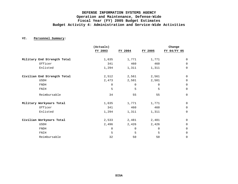#### **VI. Personnel Summary:**

|                             | (Actuals)   |          |          | Change      |
|-----------------------------|-------------|----------|----------|-------------|
|                             | FY 2003     | FY 2004  | FY 2005  | FY 04/FY 05 |
| Military End Strength Total | 1,635       | 1,771    | 1,771    | 0           |
| Officer                     | 341         | 460      | 460      | $\mathbf 0$ |
| Enlisted                    | 1,294       | 1,311    | 1,311    | $\mathsf 0$ |
| Civilian End Strength Total | 2,512       | 2,561    | 2,561    | $\mathsf 0$ |
| <b>USDH</b>                 | 2,473       | 2,501    | 2,501    | $\mathsf 0$ |
| <b>FNDH</b>                 | 0           | $\Omega$ | $\Omega$ | $\mathsf 0$ |
| FNIH                        | 5           | 5        | 5        | $\mathbf 0$ |
| Reimbursable                | 34          | 55       | 55       | $\mathsf 0$ |
| Military Workyears Total    | 1,635       | 1,771    | 1,771    | $\mathbf 0$ |
| Officer                     | 341         | 460      | 460      | $\mathsf 0$ |
| Enlisted                    | 1,294       | 1,311    | 1,311    | 0           |
| Civilian Workyears Total    | 2,533       | 2,481    | 2,481    | 0           |
| USDH                        | 2,496       | 2,426    | 2,426    | 0           |
| <b>FNDH</b>                 | $\mathbf 0$ | 0        | 0        | $\mathbf 0$ |
| FNIH                        | 5           | 5        | 5        | 0           |
| Reimbursable                | 32          | 50       | 50       | 0           |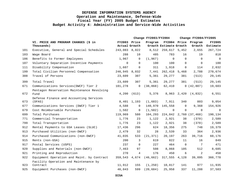|     |                                                    |                               | Change FY2003/FY2004 |           |                                |             | Change FY2004/FY2005           |                           |  |
|-----|----------------------------------------------------|-------------------------------|----------------------|-----------|--------------------------------|-------------|--------------------------------|---------------------------|--|
|     | VI. PRICE AND PROGRAM CHANGES (\$ in<br>Thousands) | FY2003 Price<br>Actual Growth |                      | Program   | Growth Estimate Growth         |             | FY2004 Price Program<br>Growth | <b>FY2005</b><br>Estimate |  |
| 101 | Executive, General and Special Schedules           | 243,083 8,022                 |                      |           | 8,512 259,617 5,452            |             | 2,655                          | 267,724                   |  |
| 103 | Wage Board                                         | 288                           | 10                   | 485       | 783                            | 16          | 19                             | 818                       |  |
| 106 | Benefits to Former Employees                       | 1,967                         | $\Omega$             | (1, 967)  | $\mathbf 0$                    | $\Omega$    | $\Omega$                       | $\mathbf 0$               |  |
| 107 | Voluntary Separation Incentive Payments            | $\Omega$                      | $\Omega$             | 100       | 100                            | $\Omega$    | $\Omega$                       | 100                       |  |
| 111 | Disability Compensation                            | 1,607                         | $\mathbf 0$          | 311       | 1,918                          | $\Omega$    | 114                            | 2,032                     |  |
| 199 | Total Civilian Personnel Compensation              | 246,945 8,032                 |                      | 7,441     | 262,418 5,468                  |             | 2,788                          | 270,674                   |  |
| 308 | Travel of Persons                                  | 23,609                        | 307                  | 5,361     | 29,277                         | 381         | (513)                          | 29,145                    |  |
| 399 | Total Travel                                       | 23,609                        | 307                  | 5,361     | 29,277                         | 381         | (513)                          | 29,145                    |  |
| 671 | Communications Services (DWCF) Tier 2              | 101,278                       | 0                    | (38, 868) | 62,410                         |             | 0(42,807)                      | 19,603                    |  |
| 672 | Pentagon Reservation Maintenance Revolving<br>Fund | 4,200                         | (613)                | 5,376     |                                | 8,963 2,420 | (4, 832)                       | 6,551                     |  |
| 673 | Defense Finance and Accounting Services<br>(DFAS)  | 8,401                         | 1,193                | (1,683)   | 7,911                          | 340         | 803                            | 9,054                     |  |
| 677 | Communications Services (DWCF) Tier 1              | 4,588                         | $\overline{0}$       | 140,970   | 145,558                        | $\Omega$    | 9,368                          | 154,926                   |  |
| 679 | Cost Reimbursable Purchases                        | 1,502                         | $\overline{0}$       | (1, 502)  | $\mathbf 0$                    | $\mathbf 0$ | $\overline{0}$                 | $\mathbf 0$               |  |
| 699 | Total Purchases                                    | 119,969                       | 580                  |           | 104,293 224,842 2,760 (37,468) |             |                                | 190,134                   |  |
| 771 | Commercial Transportation                          | 1,776                         | 23                   | 1,122     | 2,921                          | 38          | (370)                          | 2,589                     |  |
| 799 | Total Transportation                               | 1,776                         | 23                   | 1,122     | 2,921                          | 38          | (370)                          | 2,589                     |  |
| 912 | Rental Payments to GSA Leases (SLUC)               | 17,436                        | 296                  | 624       | 18,356                         | 275         | 748                            | 19,379                    |  |
| 913 | Purchased Utilities (non-DWCF)                     | 2,479                         | 32                   | 28        | 2,539                          | 33          | 364                            | 2,936                     |  |
| 914 | Purchased Communications (non-DWCF)                | 41,035                        | 533                  | (21, 371) | 20,197                         | 263         | 39,716                         | 60,176                    |  |
| 915 | Rents (non-GSA)                                    | 200                           | 3                    | 619       | 822                            | 11          | 16                             | 849                       |  |
| 917 | Postal Services (USPS)                             | 237                           | $\mathbf 0$          | 227       | 464                            | $\Omega$    | $7\phantom{.0}$                | 471                       |  |
| 920 | Supplies and Materials (non-DWCF)                  | 7,463                         | 97                   | 508       | 8,068                          | 105         | 512                            | 8,685                     |  |
| 921 | Printing and Reproduction                          | 270                           | 4                    | 176       | 450                            | 6           | $\overline{2}$                 | 458                       |  |
| 922 | Equipment Operation and Maint. by Contract         | 359,543 4,674                 |                      | (46, 662) | 317,555                        | 4,128       | 39,095                         | 360,778                   |  |
| 923 | Facility Operation and Maintenance by<br>Contract  | 11,912                        | 155                  | (1, 250)  | 10,817                         | 141         | 977                            | 11,935                    |  |
| 925 | Equipment Purchases (non-DWCF)                     | 46,043                        | 599                  | (20, 684) | 25,958                         | 337         | 11,288                         | 37,583                    |  |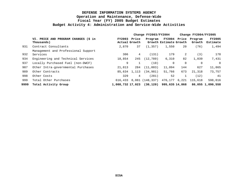|      |                                                    |               | Change FY2003/FY2004   |                                          |                        | Change $FY2004/FY2005$ |                                |                           |
|------|----------------------------------------------------|---------------|------------------------|------------------------------------------|------------------------|------------------------|--------------------------------|---------------------------|
|      | VI. PRICE AND PROGRAM CHANGES (\$ in<br>Thousands) | <b>FY2003</b> | Price<br>Actual Growth | Program                                  | Growth Estimate Growth |                        | FY2004 Price Program<br>Growth | <b>FY2005</b><br>Estimate |
| 931  | Contract Consultants                               | 2,870         | 37                     | (1, 357)                                 | 1,550                  | 20                     | (76)                           | 1,494                     |
|      | Management and Professional Support                |               |                        |                                          |                        |                        |                                |                           |
| 932  | Services                                           | 306           | 4                      | (131)                                    | 179                    | 2                      | (3)                            | 178                       |
| 934  | Engineering and Technical Services                 | 18,854        | 245                    | (12, 789)                                | 6,310                  | 82                     | 1,039                          | 7,431                     |
| 937  | Locally Purchased Fuel (non-DWCF)                  | 9             |                        | (10)                                     | $\Omega$               | $\Omega$               | 0                              | $\Omega$                  |
| 987  | Other Intra-governmental Purchases                 | 21,813        | 284                    | (11,003)                                 | 11,094                 | 144                    | 627                            | 11,865                    |
| 989  | Other Contracts                                    | 85,634        | 1,113                  | (34, 981)                                | 51,766                 | 673                    | 21,318                         | 73,757                    |
| 998  | Other Costs                                        | 329           | 4                      | (281)                                    | 52                     |                        | (12)                           | 41                        |
| 999  | Total Other Purchases                              | 616,433       |                        | 8,081 (148,337)                          |                        |                        | 476,177 6,221 115,618          | 598,016                   |
| 9999 | Total Activity Group                               |               |                        | 1,008,732 17,023 (30,120) 995,635 14,868 |                        |                        |                                | 80,055 1,090,558          |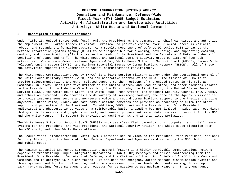## **DEFENSE INFORMATION SYSTEMS AGENCY Operation and Maintenance, Defense-Wide Fiscal Year (FY) 2005 Budget Estimates Activity 4: Administration and Service-Wide Activities Activity: White House and National Command**

#### **I. Description of Operations Financed:**

Under Title 10, United States Code (USC), only the President as the Commander in Chief can direct and authorize the employment of US Armed Forces in combat. Critical to positive control over US Armed Forces is reliable, robust, and redundant information systems. As a result, Department of Defense Directive 5105.19 tasked the Defense Information Systems Agency (DISA) to be "responsible for planning, developing, and supporting command, control, and communications (C3) that serve the needs of the President and the Secretary of Defense under all conditions of peace and war". The White House and National Command activity group consists of four subactivities: White House Communications Agency (WHCA), White House Situation Support Staff (WHSSS), Secure Video Teleconferencing System (SVTS), and Minimum Essential Emergency Communications Network (MEECN). All of these sub-activities support the "Commander in Chief" communications requirements.

The White House Communications Agency (WHCA) is a joint service military agency under the operational control of the White House Military Office (WHMO) and administrative control of the DISA. The mission of WHCA is to provide telecommunications and other related support to the President of the United States in his role as Commander in Chief, Chief Executive Officer of the United States, and Head of State; and other elements related to the President, to include the Vice President, the First Lady, the First Family, the United States Secret Service (USSS), the White House Staff, the White House Press Office, the National Security Council (NSC), WHMO, and others as directed. WHCA provides a wide variety of services; however, the core of the Agency's mission is to provide instantaneous secure and non-secure voice and record communications support to the President anytime, anywhere. Other voice, video, and data communications services are provided as necessary to allow for staff support and protection of the President. In addition, WHCA provides the President and Vice President audiovisual and photographic services on a reimbursable basis, including but not limited: video tape recording; photographic laboratory and graphics support; and general purpose automated data processing support for the NSC and the White House. This support is provided in Washington DC and at trip sites worldwide.

The White House Situation Support Staff (WHSSS) provides classified communications, computer, and intelligence systems for the President, the Vice President, the National Security Advisor, the White House Situation Room, the NSC staff, and other White House offices.

The Secure Video Teleconferencing System (SVTS) provides secure video to the President, Vice President, National Security Advisor, and the heads of other Federal Departments and Agencies as directed by the NSC, both in fixed and mobile modes.

The Minimum Essential Emergency Communications Network (MEECN) is a highly survivable communications network capable of transmitting Single Integrated Operational Plan (SIOP) messages and crisis conferencing from the President, Vice President, Secretary of Defense, and the Chairman of the Joint Chiefs of Staff to the Combatant Commands and to deployed US nuclear forces. It includes the emergency action message dissemination systems and those systems used for tactical warning and attack assessment, senior leadership conferencing, force report back, re-targeting, force management and requests for permission to use nuclear weapons. In any emergency,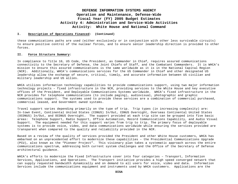## **DEFENSE INFORMATION SYSTEMS AGENCY Operation and Maintenance, Defense-Wide Fiscal Year (FY) 2005 Budget Estimates Activity 4: Administration and Service-Wide Activities Activity: White House and National Command**

#### **I. Description of Operations Financed: (Continued)**

these communications paths are used (either exclusively or in conjunction with other less survivable circuits) to ensure positive control of the nuclear forces, and to ensure senior leadership direction is provided to other forces.

#### **II. Force Structure Summary:**

In compliance to Title 10, US Code, the President, as Commander in Chief, requires assured communications connectivity to the Secretary of Defense, the Joint Chiefs of Staff, and the Combatant Commanders. It is WHCA's mission to ensure this assured communications is the same worldwide as it is in the National Capital Region (NCR). Additionally, WHCA's communications services for the US Commander in Chief and other designated US leadership allow the exchange of secure, critical, timely, and accurate information between US civilian and military leadership and US allies.

WHCA utilizes information technology capabilities to provide communications support, using two major information technology projects – fixed infrastructure in the NCR, providing services to the White House and key executive offices of the President, and Deployable Communications Systems worldwide. WHCA's fixed infrastructure in the NCR provides for telephone communications (to include paging), audiovisual, photographic and graphic communications support. The systems used to provide these services are a combination of commercial purchased, commercial leased, and Government owned systems.

Travel support varies depending primarily on the type of trip. Trip types (in increasing complexity) are: In-town Event, Continental United States (CONUS) In/Out, CONUS Overnight, Overseas Continental United States (OCONUS) In/Out, and OCONUS Overnight. The support provided at each trip site can be grouped into five basic areas: Telephone Support, Radio Support, Office Automation, Record Communications Capability, and Audio Visual Support. The equipment needed for this support varies from trip to trip. The primary focus of deployable systems is to provide voice, video, and data communications worldwide while ensuring the services provided are transparent when compared to the quality and reliability provided in the NCR.

Based on a review of the quality of services provided the President and other White House customers, WHCA has embarked on an unprecedented effort to modernize these capabilities – the Presidential Communications Upgrade (PCU), also known as the "Pioneer Project". This visionary plan takes a systematic approach across the entire communications spectrum, addressing both current system challenges and the Office of the Secretary of Defense architectural guidance.

WHCA's efforts to modernize the Fixed Infrastructure cover into four categories – Transport, Information Services, Applications, and Operations. The Transport initiative provides a high speed converged network that can supply requested bandwidth dynamically and on demand to all users for voice, video and data. Information Services include the communications equipment and instruments used by WHCA customers. Applications are the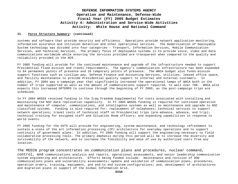## **DEFENSE INFORMATION SYSTEMS AGENCY Operation and Maintenance, Defense-Wide Fiscal Year (FY) 2005 Budget Estimates Activity 4: Administration and Service-Wide Activities Activity: White House and National Command**

#### **II. Force Structure Summary: (continued)**

systems and software that provide security and efficiency. Operations provide network application monitoring, information assurance and intrusion detection and other operational services. The modernization of Deployable System technology was divided into four categories – Transport, Information Services, Mobile Communication Services, and Technical Services. The primary focus of deployable systems is to provide voice, video and data communications worldwide while ensuring the services provided are transparent when compared to the quality and reliability provided in the NCR.

FY 2005 funding will provide for the continued maintenance and upgrade of the infrastructure needed to support Presidential fixed mission and travel requirements. The Agency's communication infrastructure has been expanded to 64 permanent points of presence and 10 temporary points of presence. The WHCA budget also funds mission support functions such as civilian pay, Defense Finance and Accounting Services, utilities, leased office space, and facility maintenance to provide Presidential quality support to internal and external customers. In addition, FY 2004 was a campaign year that significantly increased the operational tempo of WHCA both in the number of trips supported as well as the amount of communications support required, to well over 700. WHCA also expects this increased OPTEMPO to continue through the beginning of FY 2005, as the post-campaign trips are scheduled.

In FY 2004 WHSSS received funding in the Iraq Freedom Supplemental for costs associated with installing and maintaining the NSC data replication capability. In FY 2005 WHSSS funding is required for continued operation and maintenance of computer, communications, and intelligence systems as well as maintenance and upgrade to NSC classified systems. Funding is also required for: replacement of telephones; technical services to support network operations; travel costs of technical staff on Presidential trips (pre-advance, advance, and trip); technical training for assigned staff and Situation Room officers; and expanding capabilities in response to world events.

FY 2005 funding for the SVTS will provide for engineering, system maintenance, and technology refreshment to sustain a state of the art information processing (IP) architecture for everyday operations and to support continuity of government plans. In addition, FY 2005 funding will support the engineering necessary to field collaborative processing tools. The primary emphasis during this period will be to increase the diversity and survivability of the network, and to increase the flexibility and ease of use by authorized users from any location.

The MEECN program concentrates on communication plans and procedures, nuclear command, control, and communications analysis and reports, operational assessments, and senior leadership communication system engineering and architectures. Efforts being funded include: maintenance and revision of DOD communications plans and vulnerability assessments; update and validation of communication plans, procedures, operation orders, training, equipment, and end-to end system configurations; and, development of architectures and migration plans in support of the Global Information Grid.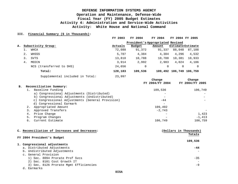### **III. Financial Summary (\$ in Thousands):**

|    |    |                                 | FY 2003 | FY 2004                          | FY 2004 | FY 2004 FY 2005          |          |
|----|----|---------------------------------|---------|----------------------------------|---------|--------------------------|----------|
|    |    |                                 |         | President's Appropriated Revised |         |                          |          |
| Α. |    | Subactivity Group:              | Actuals | Budget                           | Amount  | <b>Estimate Estimate</b> |          |
|    |    | WHCA                            | 72,088  | 91,372                           | 91,337  | 88,048                   | 87,108   |
|    | 2. | WHSSS                           | 5,707   | 4,384                            | 4,384   | 4,296                    | 4,532    |
|    | 3. | SVTS                            | 13,818  | 10,788                           | 10,788  | 10,381                   | 10,933   |
|    | 4. | MEECN                           | 3,914   | 2,992                            | 2,983   | 4,024                    | 4,186    |
|    |    | NCS (transferred to DHS)        | 24,656  | 0                                | 0       | $\Omega$                 | $\Omega$ |
|    |    | Total:                          | 120,183 | 109,536                          |         | 109,492 106,749 106,759  |          |
|    |    | Supplemental included in Total: | 23,997  |                                  |         |                          |          |

|    |                                                  | Change          | Change          |
|----|--------------------------------------------------|-----------------|-----------------|
|    |                                                  | FY 2004/FY 2004 | FY 2004/FY 2005 |
| в. | Reconciliation Summary:                          |                 |                 |
|    | Baseline Funding                                 | 109,536         | 106,749         |
|    | a) Congressional Adjustments (Distributed)       |                 |                 |
|    | b) Congressional Adjustments (Undistributed)     |                 |                 |
|    | c) Congressional Adjustments (General Provision) | $-44$           |                 |
|    | d) Congressional Earmark                         |                 |                 |
|    | Appropriated Amount                              | 109,492         |                 |
|    | Approved Transfers                               | $-2.743$        |                 |
|    | Price Change<br>4.                               | $\qquad \qquad$ | 1,423           |
|    | Program Changes<br>5.                            |                 | $-1.413$        |
|    | Current Estimate<br>6.                           | 106,749         | 106,759         |

| C. Reconciliation of Increases and Decreases: | (Dollars in Thousands) |
|-----------------------------------------------|------------------------|
| FY 2004 President's Budget                    | Totals                 |
|                                               | 109,536                |
| 1. Congressional adjustments                  |                        |
| a. Distributed Adjustments                    | -44                    |
| b. Undistributed Adjustments                  |                        |
| c. General Provision                          |                        |
| 1) Sec. 8094 Prorate Prof Svcs                | $-35$                  |
| 2) Sec. 8101 Cost Growth IT                   |                        |
| 3) Sec. 8126 Prorate Mgmt Efficiencies        | -9                     |
|                                               |                        |

d. Earmarks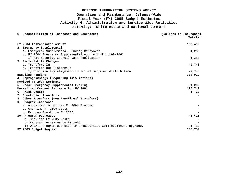| C. Reconciliation of Increases and Decreases:                      | (Dollars in Thousands) |
|--------------------------------------------------------------------|------------------------|
|                                                                    | Totals                 |
| FY 2004 Appropriated Amount                                        | 109,492                |
| 2. Emergency Supplemental                                          |                        |
| a. Emergency Supplemental Funding Carryover                        | 1,280                  |
| b. FY 2004 Emergency Supplemental App. Act (P.L.108-106)           |                        |
| 1) Nat Security Council Data Replication                           | 1,280                  |
| 3. Fact-of-Life Changes                                            |                        |
| a. Transfers In                                                    | $-2,743$               |
| b. Transfers Out (internal)                                        |                        |
| 1) Civilian Pay alignment to actual manpower distribution          | $-2,743$               |
| Baseline Funding                                                   | 108,029                |
| 4. Reprogrammings (requiring 1415 Actions)                         |                        |
| Revised FY 2004 Estimate                                           |                        |
| 5. Less: Emergency Supplemental Funding                            | $-1,280$               |
| Normalized Current Estimate for FY 2004                            | 106,749                |
| 6. Price Change                                                    | 1,423                  |
| 7. Functional Transfers                                            |                        |
| 8. Other Transfers (non-Functional Transfers)                      |                        |
| 9. Program Increases                                               |                        |
| a. Annualization of New FY 2004 Program                            |                        |
| b. One-Time FY 2005 Costs                                          |                        |
| c. Program Growth in FY 2005                                       |                        |
| 10. Program Decreases                                              | $-1,413$               |
| a. One-Time FY 2005 Costs                                          |                        |
| b. Program Decreases in FY 2005                                    |                        |
| 1) WHCA - Program decrease to Presidential Comm equipment upgrade. | $-1,413$               |
| FY 2005 Budget Request                                             | 106,759                |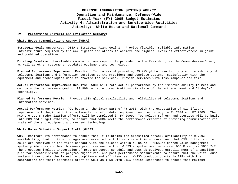### **IV. Performance Criteria and Evaluation Summary:**

### **White House Communications Agency (WHCA)**

**Strategic Goals Supported:** DISA's Strategic Plan, Goal 1: Provide flexible, reliable information infrastructure required by the war fighter and others to achieve the highest levels of effectiveness in joint and combined operations.

**Existing Baseline:** Unreliable communications capability provided to the President, as the Commander-in-Chief, as well as other customers; outdated equipment and technology.

**Planned Performance Improvement Results:** In process of providing 99.99% global availability and reliability of telecommunications and information services to the President and complete customer satisfaction with the equipment and technologies used to provide the services. Provide services with less manpower and time.

**Actual Performance Improvement Results:** WHCA will rate actual performance by the improved ability to meet and maintain the performance goal of 99.99% reliable communications via state of the art equipment and "today's" technology.

**Planned Performance Metric:** Provide 100% global availability and reliability of telecommunications and information services.

**Actual Performance Metric:** PCU began in the later part of FY 2003, with the expectation of significant improvements to begin with the implementation of updated equipment and technology in FY 2004 and FY 2005. The PCU project's modernization efforts will be completed in FY 2009. Technology refresh and upgrades will be built into POM and budget exhibits, to ensure that WHCA meets the performance criteria of providing communication via state of the art equipment and current technology.

### **White House Situation Support Staff (WHSSS)**

WHSSS monitors its performance to ensure that it maintains the classified network availability at 99.99% availability, that critical outages are corrected to full service within 4 hours, and that 65% of the trouble calls are resolved on the first contact with the balance within 48 hours. WHSSS's earned value management system guidelines and best business practices ensure that WHSSS's system meet or exceed DOD Directive 5000.2-R. The processes include integration of program scope, schedule and cost objectives, establishment of a baseline plan for accomplishment of program objectives, and past performance measurements to ensure that the White House systems incorporate the latest in compliance and efficiencies. WHSSS conducts quarterly IPRs with the contractors and their technical staff as well as IPRs with DISA senior leadership to ensure that maximum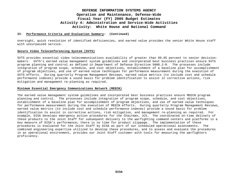### **IV. Performance Criteria and Evaluation Summary: (Continued)**

oversight, quick resolution of identified deficiencies, and earned value provides the senior White House staff with unsurpassed service.

### **Secure Video Teleconferencing System (SVTS)**

SVTS provides essential video telecommunications availability of greater than 99.95 percent to senior decisionmakers. SVTS's earned value management system guidelines and incorporated best business practices ensure SVTS program planning and control as defined in Department of Defense Directive 5000.2-R. The processes include integration of program scope, schedule, and cost objectives, establishment of a baseline plan for accomplishment of program objectives, and use of earned value techniques for performance measurement during the execution of SVTS efforts. During quarterly Program Management Reviews, earned value metrics (to include cost and schedule performance indexes) provide a sound basis for problem identification to assist in corrective actions, risk mitigation and management re-planning as required.

### **Minimum Essential Emergency Communications Network (MEECN)**

The earned value management system guidelines and incorporated best business practices ensure MEECN program planning and control. The processes include integration of program scope, schedule, and cost objectives, establishment of a baseline plan for accomplishment of program objectives, and use of earned value techniques for performance measurement during the execution of MEECN efforts. During quarterly Program Management Reviews, earned value metrics (to include cost and schedule performance indexes) provide a sound basis for problem identification to assist in corrective actions, risk mitigation, and management re-planning as required. For example, DISA develops emergency action procedures for the Chairman, JCS. The coordinated on-time delivery of these products to the Joint Staff for subsequent delivery to the warfighting command centers and platforms is a key measure of DISA's performance; there is no time for product slippage. The implementation of these procedures is evaluated for the Joint Staff by DISA as part of our scheduled operational assessments. The combined engineering expertise utilized to develop these procedures, and to assess and evaluate the procedures in an operational environment, provides our Joint Staff customer with tools for measuring the warfighters proficiency.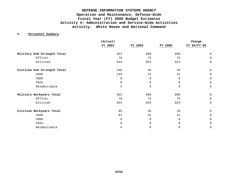### **V. Personnel Summary:**

|                             | (Actual)    |          |         | Change         |
|-----------------------------|-------------|----------|---------|----------------|
|                             | FY 2003     | FY 2004  | FY 2005 | FY 04/FY 05    |
| Military End Strength Total | 922         | 899      | 899     | $\overline{0}$ |
| Officer                     | 78          | 75       | 75      | $\mathbf 0$    |
| Enlisted                    | 844         | 824      | 824     | 0              |
| Civilian End Strength Total | 149         | 40       | 40      | $\mathbf 0$    |
| USDH                        | 145         | 31       | 31      | $\mathbf 0$    |
| <b>FNDH</b>                 | $\mathbf 0$ | 0        | 0       | 0              |
| FNIH                        | 0           | $\Omega$ | 0       | $\mathbf 0$    |
| Reimbursable                | 4           | 9        | 9       | $\mathbf 0$    |
| Military Workyears Total    | 922         | 899      | 899     | $\mathbf 0$    |
| Officer                     | 78          | 75       | 75      | $\mathbf 0$    |
| Enlisted                    | 844         | 824      | 824     | 0              |
| Civilian Workyears Total    | 85          | 39       | 39      | $\mathbf 0$    |
| USDH                        | 81          | 31       | 31      | 0              |
| <b>FNDH</b>                 | 0           | $\Omega$ | 0       | $\Omega$       |
| FNIH                        | 0           | $\Omega$ | 0       | $\mathbf 0$    |
| Reimbursable                | 4           | 8        | 8       | 0              |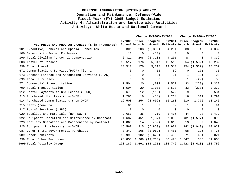|     |                                                     | Change FY2003/FY2004          |              |                        | Change FY2004/FY2005                   |              |                           |                |
|-----|-----------------------------------------------------|-------------------------------|--------------|------------------------|----------------------------------------|--------------|---------------------------|----------------|
|     | VI. PRICE AND PROGRAM CHANGES (\$ in Thousands)     | FY2003 Price<br>Actual Growth |              | Program                | Growth Estimate Growth Growth Estimate |              | FY2004 Price Program      | <b>FY2005</b>  |
|     | 101 Executive, General and Special Schedules        | 6,301                         | 208          | (2, 308)               | 4,201                                  | 88           | 43                        | 4,332          |
|     | 106 Benefits to Former Employees                    | 10                            | 0            | (10)                   | 0                                      | $\Omega$     | $\mathbf 0$               | 0              |
|     | 199 Total Civilian Personnel Compensation           | 6,311                         | 208          | (2, 318)               | 4,201                                  | 88           | 43                        | 4,332          |
|     | 308 Travel of Persons                               | 13,517                        | 176          | 5,817                  | 19,510                                 |              | 254 (1,532)               | 18,232         |
|     | 399 Total Travel                                    | 13,517                        | 176          | 5,817                  | 19,510                                 |              | 254 (1,532)               | 18,232         |
|     | 671 Communications Services (DWCF) Tier 2           | $\Omega$                      | 0            | 52                     | 52                                     | $\mathbf 0$  | (17)                      | 35             |
|     | 673 Defense Finance and Accounting Services (DFAS)  | $\Omega$                      | 0            | 31                     | 31                                     | $\mathbf{1}$ | (12)                      | 20             |
|     | 699 Total Purchases                                 | $\mathbf 0$                   | 0            | 83                     | 83                                     | $\mathbf{1}$ | (29)                      | 55             |
|     | 771 Commercial Transportation                       | 1,504                         | 20           | 1,003                  | 2,527                                  | 33           | (228)                     | 2,332          |
|     | 799 Total Transportation                            | 1,504                         | 20           | 1,003                  | 2,527                                  | 33           | (228)                     | 2,332          |
|     | 912 Rental Payments to GSA Leases (SLUC)            | 679                           | 12           | (119)                  | 572                                    | 9            | 3                         | 584            |
|     | 913 Purchased Utilities (non-DWCF)                  | 1,266                         | 16           | (18)                   | 1,264                                  | 16           | 511                       | 1,791          |
|     | 914 Purchased Communications (non-DWCF)             | 19,508                        | 254          | (3,602)                | 16,160                                 | 210          | 1,776                     | 18,146         |
|     | 915 Rents (non-GSA)                                 | 86                            | $\mathbf{1}$ | 2                      | 89                                     | $\mathbf{1}$ | 1                         | 91             |
|     | 917 Postal Services (USPS)                          | $\Omega$                      | $\mathbf 0$  | 0                      | $\Omega$                               | $\Omega$     | 0                         | $\overline{0}$ |
|     | 920 Supplies and Materials (non-DWCF)               | 2,660                         | 35           | 710                    | 3,405                                  | 44           | 28                        | 3,477          |
|     | 922 Equipment Operation and Maintenance by Contract | 34,687                        | 451          | 1,871                  | 37,009                                 |              | 481 (1,597)               | 35,893         |
|     | 923 Facility Operation and Maintenance by Contract  | 1,063                         | 14           | (59)                   | 1,018                                  | 13           | 9                         | 1,040          |
| 925 | Equipment Purchases (non-DWCF)                      | 16,569                        | 215          | (5, 853)               | 10,931                                 |              | 142 (1,043)               | 10,030         |
|     | 987 Other Intra-governmental Purchases              | 8,342                         | 108          | (3, 969)               | 4,481                                  | 58           | 196                       | 4,735          |
|     | 989 Other Contracts                                 | 13,990                        | 182          | (8, 673)               | 5,499                                  | 71           | 451                       | 6,021          |
|     | 999 Total Other Purchases                           | 98,850                        |              | 1,288 (19,710)         | 80,428                                 | 1,047        | 333                       | 81,808         |
|     | 9999 Total Activity Group                           |                               |              | 120,182 1,692 (15,125) |                                        |              | $106,749$ 1,423 $(1,413)$ | 106,759        |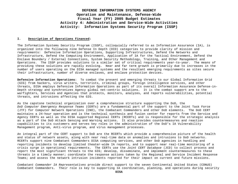### **I. Description of Operations Financed:**

The Information Systems Security Program (ISSP), colloquially referred to as Information Assurance (IA), is organized into the following nine Defense In Depth (DID) categories to provide clarity of mission and requirements: Defensive Information Operations, Supporting Infrastructures, Defend the Networks and Infrastructure, Defend the Computing Environment, Application of IA for the Tactical Environment, Defend the Enclave Boundary / External Connections, System Security Methodology, Training, and Other Management and Operations. The ISSP provides solutions to a similar set of critical requirements year-to-year. The means of providing these solutions are rapidly evolving. Near and far term growth is primarily due to increases in the number of users operating on the DISA managed systems and the resultant emerging requirements as sites secure their infrastructure, number of diverse enclaves, and enclave protection devices.

**Defensive Information Operations**: To combat the present and emerging threats to our Global Information Grid (GIG) from hackers, virus writers, terrorists, criminal groups, foreign intelligence services, and other threats, DISA employs Defensive Information Operations as part of its overall Information Assurance Defense-in-Depth strategy and synchronizes Agency global net-centric solutions. It is the combat support arm to the warfighters, Services and Agencies that protects, monitors, analyzes, and reports vulnerabilities, potential threats, and intrusions affecting the GIG.

As the capstone technical organization over a comprehensive structure supporting the DoD, the *DoD Computer Emergency Response Teams* (CERTs) are a fundamental part of the support to the Joint Task Force (JTF) for Computer Network Operations (CNO), the Combatant Commanders and other DoD elements. The DoD CERT maintains a 24-hour operation and is the technical synthesis and fusion center for reports from the Service and Agency CERTs as well as the DISA supported Regional CERTs (RCERTs) and is responsible for the strategic analysis as a part of the DoD Attack Sensing and Warning actions. It also provides countermeasures and reaction capabilities to its customers and serves key roles in the administration of the DoD's IA Vulnerability Management program, Anti-virus program, and virus management processes.

An integral part of the CERT support to DoD are the RCERTs which provide a comprehensive picture of the health and status of network assets, along with near real-time data on anomalies and intrusions to DoD networks. RCERTs support nine Combatant Commanders DISA computing services, and other DoD agencies in handling and reporting incidents to develop limited theater-wide IA reports, and to support near real-time monitoring of a crisis surge in operational requirements. The CERTs use the *Joint CERT Database* (JCD) to collect process and report the most significant threats to the GIG; develop, disseminate, and implement countermeasures to these threats in a timely manner; coordinate the response actions taken by the Regional and Service Incident Response Teams; and assess the network intrusion incidents reported for their impact on current and future missions.

*Combatant Commander IA Representatives* provide direct support to the seven Continental United States (CONUS) Combatant Commanders. Their role is key to supporting IA coordination, planning, and operations during security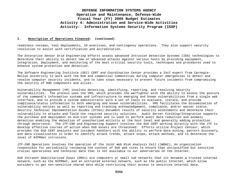### **I. Description of Operations Financed: (continued)**

readiness reviews, tool deployments, IA exercises, and contingency operations. They also support security resolution to assist with certification and accreditation.

The *Enterprise Sensor Grid Engineering* efforts assess advanced *Intrusion Detection Systems* (IDS) technologies to determine their ability to detect new or advanced attacks against various hosts by providing equipment, integration, deployment, and monitoring of the most critical security tools, techniques and procedures used to enhance system protection and detection.

The *Software Engineering Institute (SEI) CERT and Coordination Center* provides a 24x7 expert from Carnegie-Mellon University to work with the DoD and commercial communities during computer emergencies to detect and resolve computer security incidents, and to take steps necessary to prevent future incidents from compromising the security of DOD components and allies.

*Vulnerability Management* (VM) involves detecting, identifying, reporting, and resolving security vulnerabilities. The process uses the VMS, which provides the warfighter with the ability to assess the posture of the command's information systems and infrastructure to emerging and known vulnerabilities from a single web interface, and to provide a system administrator with a set of tools to evaluate, iterate, and provide compliance/status information to both emerging and known vulnerabilities. VMS facilitates the dissemination of vulnerability notices as well as reporting and tracking acknowledgement, compliance, and/or waiver status. *Security Technical Implementation Guides* (STIGs) document results of security assessments and determine their vulnerability to attacks and field the required security solutions. *Audit Server Fielding/Integration* supports the purchase and deployment on mid-tier systems and is used to perform audit data reduction and anomaly detection enabling the detection of unauthorized activity at the host level and generally adding protection through deterrence. The *JTF-CND and Engineering Support* involves the DoD CERT working directly with the JTF to develop effective courses of action when DoD assets are threatened. Efforts utilize *Project Centaur*, which provides the DoD CERT analysts and incident handlers with the ability to perform data mining, pattern discovery, and data visualization in order to identify attack trends, attack scope, attack methods, and to determine the level of NIPRNet intrusions.

*JTF-CND Operations* involves the operation of the *Joint Web Risk Analysis Cell* (JWRAC), An organization responsible for periodically reviewing the content of DoD web sites to ensure that unclassified but sensitive crucial operational and technical data that is not available to our adversaries on the Internet.

*DoD Intranet Demilitarized Zones* (DMZs) are computers or small sub networks that sit between a trusted internal network, such as the NIPRNet, and an untrusted external network, such as the public Internet, which allow outsiders to get non-sensitive shared data while restricting their access to sensitive internal data.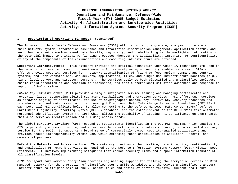### **I. Description of Operations Financed: (continued)**

The *Information Superiority Situational Awareness* (ISSA) efforts collect, aggregate, analyze, correlate and share network, system, information assurance and information dissemination management, application status, and any other relevant anomalous event data locally, regionally, and globally to give the warfighter information on the potential impact to critical warfighting processes whenever the availability, integrity, or confidentiality of any of the components of the communications and computing infrastructure are affected.

**Supporting Infrastructures:** This category provides the critical foundation upon which IA mechanisms are used in the network, enclave, and computing environments for securely managing security enabled services. DISA's efforts provide security services for: networks identification of friend or foe, nuclear command and control systems, end-user workstations, web servers, applications, files, and single-use infrastructure machines (e.g., higher-level servers and directory servers). The services apply to both classified and unclassified enclaves, enable rapid detection of and reaction to intrusions, and enable operational situation awareness and response in support of DoD missions.

*Public Key Infrastructure* (PKI) provides a single integrated service issuing and managing certificates and revocation lists, supporting digital signature capabilities and encryption services. PKI offers such services as hardware signing of certificates, the use of cryptographic boards, Key Escrow/ Key Recovery processes and procedures, and automatic creation of a nine-digit Electronic Data Interchange Personnel Identifier (EDI PI) for each potential PKI certificate holder to allow connecting to the Defense Manpower Data Center (DMDC) Defense Enrollment Eligibility Reporting System (DEERS) database, and the establishment of the DEERS/Real-time Automated Personnel Identification System (RAPIDS) which allows the capability of issuing PKI certificates on smart cards that also serve as identification and building access cards.

The *Global Directory Services* (GDS) respond to requirements identified in the DoD PKI Roadmap, which enables the GIG by providing a common, secure, and interoperable directory service infrastructure (i.e. a virtual directory service for the DoD). It supports a broad range of commercially based, security-enabled applications and provides secure interoperability within DoD, while extending these capabilities to Coalition, Federal, and commercial partners.

**Defend the Networks and Infrastructure:** This category provides authentication, data integrity, confidentiality, and availability of network services as required by the Defense Information Systems Network (DISN) Mission Need Statement. It involves implementing safeguards that reduce security risks and support information transfer at all classification levels.

*DISN Transport/Data Network Encryption* provides engineering support for fielding the encryption devices on DISA managed networks for the protection of classified user traffic worldwide and the OCONUS unclassified transport infrastructure to mitigate some of the vulnerabilities and denial of service threats. Current and future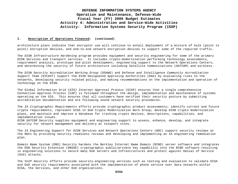### **I. Description of Operations Financed: (continued)**

architecture plans indicate that encryptor use will continue to entail deployment of a mixture of bulk (point to point) encryption devices, and end-to-end network encryption devices to support some of the required traffic.

The *DISN Infrastructure Hardening* program provides equipment and security engineering for some of the primary DISN Services and transport services. It includes crypto-modernization performing technology assessments, requirement analysis, prototype and pilot development, engineering support to the Network Operations Centers, and determining the security of future architecture including Satellite Communications (SATCOM) and wireless.

The *DISN Security Accreditation Working Group* (DSAWG) and *Defense and Intelligence Community Accreditation Support Team (*DICAST) support the DISN Designated Approving Authorities (DAA) by evaluating risks to the networks, developing security related policy, and making recommendations on the implementation and operation of technology on the DISN.

The Global Information Grid (*GIG) Internet Approval Process* (GIAP) ensures that a single comprehensive Connection Approval Process (CAP) is followed throughout the design, implementation and maintenance of systems operating on the GIG. This ensures that all customers have verified their security posture by submitting accreditation documentation and are following sound network security procedures.

The *IA Cryptographic Requirements* efforts provide cryptographic product assessments; identify current and future crypto requirements, represent DISA in DoD Crypto Modernization Work Group; develop DISN crypto modernization plans, and maintain and improve a database for tracking crypto devices, descriptions, capabilities, and implementation issues.

*DISN SATCOM Security* supplies equipment and engineering support to assess, enhance, develop, and integrate security for network management and delivery at teleport sites.

The *IA Engineering Support for DISN Services and Network Operations Centers* (NOC) support security reviews at the NOCs by providing security readiness reviews and developing and implementing an IA engineering remediation plan.

*Domain Name System (DNS) Security* hardens the Berkley Internet Name Domain (BIND) server software and integrates the DSN Security Extension (DNSSE) cryptographic public/private key capability into the BIND software resulting in engineering solutions to secure many DoD servers and infrastructures and protect against Denial of Service (DoS) attacks.

The *VoIP Security* efforts provide security-engineering services such as testing and evaluation to validate DISA and DoD security requirements associated with the implementation of phone service over data networks within DISA, the Services, and other DoD organizations.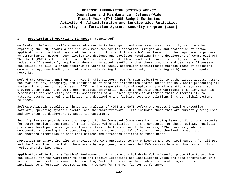### **I. Description of Operations Financed: (continued)**

*Multi-Point Detection* (MPD) ensures advances in technology do not overcome current security solutions by exploring the DoD, academia and industry measures for the detection, mitigation, and protection of network, applications and optical layers of the network. This work fosters DoD involvement in the requirements process as communication network technologies are designed and developed resulting in the development of Commercial Off The Shelf (COTS) solutions that meet DoD requirements and allows vendors to market security solutions that industry will eventually require or demand. An added benefit is that these products and devices will possess the ability to allow a broad spectrum of users to easily accomplish sophisticated methods/means of accessing, communicating, overloading, and otherwise interfacing to (or conversely, interfering with) various computer networks.

**Defend the Computing Environment:** Within this category, DISA's main objective is to authenticate access, assure the availability, integrity, non-repudiation of data and information shared across the DoD, while protecting all systems from unauthorized access. DISA has the responsibility of deploying global operational systems that provide Joint Task Force Commanders critical information needed to execute their warfighting mission. DISA is responsible for conducting security assessments of all these systems to determine their vulnerability to attacks, documenting vulnerabilities, and developing and fielding security solutions in their global systems releases.

*Software Analysis* supplies an integrity analysis of COTS and GOTS software products including executive software, operating system elements, and shareware/freeware. This includes those that are currently being used and any prior to deployment by supported customers.

*Security Reviews* provide essential support to the Combatant Commanders by providing teams of functional experts for comprehensive assessments of their enclave vulnerabilities. At the conclusion of these reviews, resolution plans are developed to mitigate vulnerabilities. In the course of the reviews, DISA provides guidance to components in securing their operating systems to prevent denial of service, unauthorized access, and unauthorized alteration of host applications and databases residing on these hosts.

*DoD Antivirus Enterprise License* provides the COTS antivirus software license and technical support for all DoD and the Coast Guard, including home usage by employees, to ensure that DoD systems have a robust capability to resist unauthorized usage.

**Application of IA for the Tactical Environment**: This category builds-in full-dimension protection to provide the ability for the warfighter to send and receive logistical and intelligence voice and data information in a secure and undetectable manner thus enabling "network-centric warfare" where tactical, logistics, and intelligence information becomes as much a weapon for the war fighter as firepower.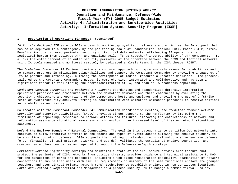#### **I. Description of Operations Financed: (continued)**

*IA for the Deployed JTF* extends DISN access to mobile/deployed tactical users and minimizes the IA support that has to be deployed in a contingency by pre-positioning tools at Standardized Tactical Entry Point (STEP) sites. Benefits include improved perimeter security of tactical data networks, off-loading IA operational and logistical burden from deployed JTF, and enabling agile, "snap-together" interoperability of JTF components. It allows the establishment of an outer security perimeter at the interface between the DISN and tactical networks, using IA tools managed and monitored remotely by dedicated analysis teams in the DISA theater RCERT.

The *Combatant Commander IA Reviews* provide a structured approach to comprehensively assess IA capabilities and to measure progress in mitigating vulnerabilities and support the Combatant Commander by providing a snapshot of its IA posture and methodology, allowing the development of logical resource allocation decisions. The process, tailored to the Combatant Commanders needs, is comprehensive, integrated and collaborative and has been a significant factor in facilitating the operationalization of IA, and enables IA readiness reporting.

*Combatant Command Component and Deployed JTF Support* coordinates and standardizes defensive information operations processes and procedures between the Combatant Commands and their components by evaluating the security architecture and operations of the component's hosts and enclaves and providing the use of a "strike team" of system/security analysts working in coordination with Combatant Commander personnel to resolve critical vulnerabilities and issues.

Collocated with the Combatant Commander C4I Communication Coordination Centers, the *Combatant Command Network Operation and Security Capabilities* (CNOSC) provides direct support to the warfighter by improving the timeliness of reporting, responses to network attacks and failures, improving the completeness of network and information assurance situational awareness which results in an increased level of theater network situational awareness.

**Defend the Enclave Boundary / External Connection:** The goal in this category is to partition DoD networks into enclaves to allow effective controls on the amount and types of system access allowing the enclave boundary to be a critical point of defense. DISA supports the fielding of standard technical solutions for enclave defense (e.g., firewalls, virtual private networks, and guards), validates the established enclave boundaries, and creates new enclave boundaries as required to support the Defense-in-Depth strategy.

*Perimeter Defense Engineering* develops and maintains a state of the art, secure network architecture that protect the perimeter of DISA networks from outside threats, provides guidance and technical assistance to DoD for the management of ports and protocols, including a web-based registration capability, examination of network connections to ensure that users with similar requirements or members of the same functional enclave are grouped together, and uses Virtual Private Network (VPN) technology to establish enclaves in non-contiguous locations. *Ports and Protocols Registration and Management* is a process used by DoD to manage a common firewall policy.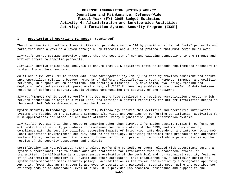### **I. Description of Operations Financed: (continued)**

The objective is to reduce vulnerabilities and provide a secure GIG by providing a list of "safe" protocols and ports that must always be allowed through a DoD firewall and a list of protocols that must never be allowed.

*NIPRNet/Internet Gateway Security* ensures that the security of new and existing connections to the SIPRNet and NIPRNet adhere to specific protocols.

*Firewalls* involve engineering analysis to ensure that COTS equipment meets or exceeds requirements necessary to protect the enclave boundary.

*Multi-Security Level (MSL)/ Secret And Below Interoperability (SABI) Engineering* provides equipment and secure interoperability solutions between networks of differing classifications (e.g., NIPRNet, SIPRNet, and coalition networks) in support of DoD operational and strategic missions. By developing, evaluating, testing and deploying selected systems at operational sites, MSL/SABI Engineering enables secure transfer of data between networks of different security levels without compromising the security of the networks.

*SIPRNet/NIPRNet CAP* is used to verify that DoD users have completed the required accreditation process, which network connection belongs to a valid user, and provides a central repository for network information needed in the event that DoD is disconnected from the Internet.

**System Security Methodology:** System Security Methodology ensures that certified and accredited information systems are fielded to the Combatant Commanders/Services and Agencies by performing certification activities for DISA applications and other DoD and North Atlantic Treaty Organization (NATO) information systems.

*SIPRNet/CAP Oversight* is the process of ensuring other than SIPRNet information systems remain in conformance with established security procedures for continued secure operation of the DISN; and includes ensuring compliance with the security policies, assessing impacts of integrated, interdependent, and interconnected DoD local subscriber environments' security posture and topology, executing technical test procedures and automated systems tools, reviewing security relevant documentation, and preparing technical white papers discussing the results of the security assessment and analysis.

*Certification and Accreditation* (C&A) involves performing periodic or event-related risk assessments during a system's operational life to ensure adequate protection for information that is processed, stored, or transmitted. Certification is a comprehensive evaluation of the technical and non-technical security features of an Information Technology (IT) system and other safeguards, that establishes how a particular design and system implementation meets security policy. Accreditation is the formal declaration by a Designated Approving Authority (DAA) that an IT system is approved to operate in a particular security mode, using a prescribed set of safeguards at an acceptable level of risk. DISA provides C&A technical assistance and support to the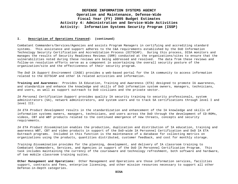### **I. Description of Operations Financed: (continued)**

Combatant Commanders/Services/Agencies and assists Program Managers in certifying and accrediting standard systems. This assistance and support adheres to the C&A requirements established by the DoD Information Technology Security Certification and Accreditation Process (DITSCAP). During this process, DISA monitors and manages the results of Security Readiness Reviews (SRR) conducted at the organizations/sites to ensure that the vulnerabilities noted during these reviews are being addressed and resolved. The data from these reviews and follow-on resolution efforts serve as a component in ascertaining the overall security posture of the organization/site and the effectiveness of their security program.

The *DoD IA Support Environment* (IASE) provides a web-based portal for the IA community to access information related to the DITSCAP and other IA related activities and information.

**Training and Awareness:** Provides IA Education, Training and Awareness (ETA) designed to promote IA awareness, and standardize and enhance the knowledge and skills of DoD information system owners, managers, technicians, and users, as well as support outreach to DoD civilians and the private sector.

*IA Personal Certification Support* provides quality IA security training to security professionals, system administrators (SA), network administrators, and system users and to track SA certifications through level I and level III.

*IA ETA Product Development* results in the standardization and enhancement of the IA knowledge and skills of information systems owners, managers, technicians, and users across the DoD through the development of CD-ROMs, videos, CBT and WBT products related to the continued emergence of new threats, concepts and security requirements.

*IA ETA Product Dissemination* enables the production, duplication and distribution of IA education, training and awareness WBT, CBT and video products in support of the DoD-wide IA Personnel Certification and DoD IA ETA Outreach programs. Included in this function is the maintenance of a database for collecting metrics on organizations using the products, quantities distributed, customer feedback, and cost for monthly storage.

*Training Dissemination* provides for the planning, development, and delivery of IA classroom training to Combatant Commanders, Services, and Agencies in support of the DoD IA Personnel Certification Program. This task includes maintaining the currency of the courseware and technology refreshment, both software and hardware, of two mobile classroom training suites.

**Other Management and Operations:** Other Management and Operations are those information services, facilities support, contracts and fees, enterprise licensing, and other mission resources necessary to support all other Defense-in-Depth categories.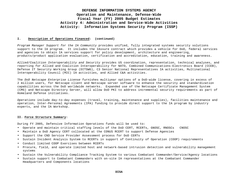### **I. Description of Operations Financed: (continued)**

*Program Manager Support for the IA Community* provides unified, fully integrated systems security solutions support to the IA program. It includes the IAssure contract which provides a vehicle for DoD, federal services and agencies to obtain IA services support for policy development, architecture and engineering, products/product application evaluation, certification and accreditation, education, training and awareness.

*Allied/Coalition Interoperability and Security* provides US coordination, representation, technical analyses, and reporting for Allied and Coalition Interoperability for NATO, Combined Communications-Electronics Board (CCEB), Defense IT Security Working Group (DITSWG), C3 Senior National Representatives IA activities, Multinational Interoperability Council (MIC) IA activities, and Allied C&A activities.

The *DoD Netscape Enterprise License* furnishes multiyear options of a DoD-wide license, covering in excess of 2 million users, for Netscape client and Netscape server software to enhance the security and standardization capabilities across the DoD worldwide networks. Expanded use of the Netscape Certificate Management System (CMS) and Netscape Directory Server, will allow DoD PKI to address incremental security requirements as part of Homeland Defense initiatives.

*Operations* include day-to-day expenses (travel, training, maintenance and supplies), facilities maintenance and operation, Inter-Personal Agreements (IPA) funding to provide direct support to the IA program by industry experts, and the IA Workshop.

### **II. Force Structure Summary:**

During FY 2005, Defensive Information Operations funds will be used to:

- Operate and maintain critical staffing levels of the DoD CERT, RCERTs, GNOSC, RNOSCs CNOSC
- Maintain a DoD Agency CERT collocated at the CONUS RCERT to support Defense Agencies
- Support the CND Service Provider Assessment process for DoD CERTs
- Sustain Incident Analysis System to RCERTs in support of Continuity of Operation (COOP) requirements
- Conduct limited COOP Exercises between RCERTs
- Procure, field, and operate limited host and network-based intrusion detection and vulnerability management systems
- Sustain the Vulnerability Compliance Tracking System to various Combatant Commander/Service/Agency locations
- Sustain support to Combatant Commanders with on-site IA representatives at the Combatant Commander Headquarters and Components locations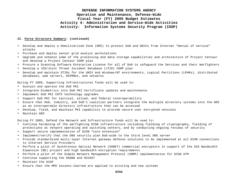### **II. Force Structure Summary: (continued)**

- Develop and deploy a Demilitarized Zone (DMZ) to protect DoD and DECCs from Internet "denial of service" attacks
- Purchase and deploy sensor grid analyst workstations
- Upgrade and enhance some of the processing and data storage capabilities and architecture of Project Centaur and develop a Project Centaur COOP plan
- Procure a Scanning Software Enterprise License for all of DoD to safeguard the Services and their Warfighters
- Develop a JCD/Joint Threat Incident Database (JTID) COOP plan
- Develop and maintain STIGs for the UNIX and Windows/NT environments, Logical Partitions (LPARs), distributed databases, web servers, NIPRNet, and networks

During FY 2005, Supporting Infrastructures funds will be used to:

- Sustain and operate the DoD PKI
- Integrate biometrics into DoD PKI Certificate updates and maintenance
- Implement DoD PKI COTS technology upgrades
- Support DoD PKI for tactical, allied, and federal interoperability
- Ensure that DoD, industry, and DoD's coalition partners integrate the multiple directory systems into the GDS as an interoperable directory infrastructure that can be accessed
- Develop, field, and maintain PKI capability to provide secure user encrypted sessions
- Maintain GDS

During FY 2005, Defend the Network and Infrastructure funds will be used to:

- Continue hardening of the warfighting DISN infrastructure including fielding of cryptography, fielding of protections at network operating and switching centers, and by conducting ongoing reviews of security
- Support secure implementation of DISN "core extension"
- Implement/verify that the DNS security plan DoD-wide to the third level DNS server
- Provide standardized multi-layer Internet gateway defense solutions to be implemented at all DISN connections to Internet Service Providers
- Perform a pilot of Synchronous Optical Network (SONET) commercial encryptors in support of the GIG Bandwidth Expansion (BE) project and high bandwidth encryption requirements
- Perform a pilot of the Simple Network Management Protocol (SNMP) implementation for DISN ATM
- Continue supporting the DSAWG and DICAST
- Maintain the GIAP
- Ensure that the MPD lessons-learned are applied to existing and new systems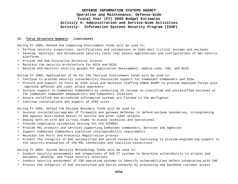### **II. Force Structure Summary: (continued)**

During FY 2005, Defend the Computing Environment funds will be used to:

- Perform security inspections, certifications and validations on DoDs most critical systems and enclaves
- Develop, maintain, and disseminate security tools that assess applications and configurations of Net-Centric platforms
- Provide the DoD Enterprise AntiVirus license
- Maintain the security architecture for GCCS and GCSS
- Develop and maintain security guides for application development, mobile code, COE, and GCCS

During FY 2005, Application of IA for the Tactical Environment funds will be used to:

- Continue to provide security vulnerability resolution support for Combatant Commanders and DISA
- Procure and support IA Tools at STEP sites and maintain staffing CONUS RCERT to provide deployed forces with improved defenses and cyber attack awareness
- Sustain support to Combatant Commanders by conducting IA reviews on classified and unclassified enclaves at the Combatant Commander Headquarters and Components locations
- Ensure certified and accredited information systems are fielded to the warfighter
- Continue installations and support of STEP sites

During FY 2005, Defend the Enclave Boundary funds will be used to:

- Sustain installation/upgrade of firewalls and gateway defenses to defend enclave boundaries, strengthening DoD against Distributed Denial of Service and other cyber attacks
- Deploy both on-site and virtual teams to assess technical and operational
- Provide compliance validation testing for the SIPRNet
- Provide MSL products and services supporting Combatant Commanders, Services and Agencies
- Support Combatant Commanders coalition interoperability requirements
- Maintain the Ports and Protocols Registration process
- Protect the integrity of DoD unclassified and secret networks by continuing to provide engineering support to the security evaluation of the MSL connections and coalition connections

During FY 2005, System Security Methodology funds will be used to:

- Conduct security assessments and inspections of DoD IT systems to determine vulnerability to attacks and document, develop, and field security solutions.
- Conduct security assessment of COE operating systems to identify vulnerabilities before integrating with COE
- Protect the integrity of DoD unclassified and secret networks by processing new backbone customer access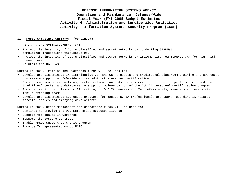### **II. Force Structure Summary: (continued)**

circuits via SIPRNet/NIPRNet CAP

- Protect the integrity of DoD unclassified and secret networks by conducting SIPRNet compliance inspections throughout DoD
- Protect the integrity of DoD unclassified and secret networks by implementing new SIPRNet CAP for high-risk connections
- Maintain the DoD IASE

During FY 2005, Training and Awareness funds will be used to:

- Develop and disseminate IA distributive CBT and WBT products and traditional classroom training and awareness courseware supporting DoD-wide system administrator/user certification
- Provide courseware evaluations, certification standards and criteria, certification performance-based and traditional tests, and databases to support implementation of the DoD IA personnel certification program
- Provide traditional classroom IA training of DoD IA courses for IA professionals, managers and users via mobile training teams
- Develop and disseminate awareness products for managers, IA professionals and users regarding IA related threats, issues and emerging developments

During FY 2005, Other Management and Operations funds will be used to:

- Continue to provide the DoD Enterprise Netscape license
- Support the annual IA Workshop
- Support the IAssure contract
- Enable FFRDC support to the IA program
- Provide IA representation to NATO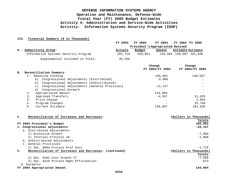### **III. Financial Summary (\$ in Thousands)**

|    |                                      | FY 2003 | FY 2004 |         | <b>FY 2004</b>                   | FY 2004 FY 2005 |                          |
|----|--------------------------------------|---------|---------|---------|----------------------------------|-----------------|--------------------------|
|    |                                      |         |         |         | President's Appropriated Revised |                 |                          |
| А. | Subactivity Group:                   | Actuals | Budget  |         | Amount                           |                 | <b>Estimate Estimate</b> |
|    | Information Systems Security Program | 181,719 |         | 165,061 |                                  |                 | 144,904 140,507 181,039  |
|    | Supplemental included in Total:      | 35,436  |         |         |                                  |                 |                          |

|    |    |                                                            | Change          | Change          |
|----|----|------------------------------------------------------------|-----------------|-----------------|
|    |    |                                                            | FY 2004/FY 2004 | FY 2004/FY 2005 |
| в. |    | Reconciliation Summary:                                    |                 |                 |
|    |    | Baseline Funding                                           | 165,061         | 140,507         |
|    |    | Congressional Adjustments (Distributed)<br>a)              | $-9,000$        |                 |
|    |    | Congressional Adjustments (Undistributed)<br>b)            |                 |                 |
|    |    | Congressional Adjustments (General Provision)<br>$\circ$ ) | $-11, 157$      |                 |
|    |    | d) Congressional Earmark                                   |                 |                 |
|    |    | Appropriated Amount                                        | 144,904         |                 |
|    | 3. | Approved Transfers                                         | $-4.397$        | 12,820          |
|    | 4. | Price Change                                               |                 | 2.004           |
|    | 5. | Program Changes                                            |                 | 25,708          |
|    | б. | Current Estimate                                           | 140,507         | 181,039         |
|    |    |                                                            |                 |                 |

### **C. Reconciliation of Increases and Decreases: (Dollars in Thousands)**

|                                                                          | Totals                 |
|--------------------------------------------------------------------------|------------------------|
| FY 2004 President's Budget                                               | 165,061                |
| 1. Congressional adjustments                                             | $-20,157$              |
| a. Distributed Adjustments                                               |                        |
| 1) Excessive Growth                                                      | $-7,000$               |
| 2) Internal Protocol v6                                                  | $-2,000$               |
| b. Undistributed Adjustments                                             |                        |
| c. General Provisions                                                    |                        |
| 1) Sec. 8094 Prorate Prof Sycs                                           | $-2.776$               |
| Reconciliation of Increases and Decreases: (continued)<br>$\mathbf{c}$ . | (Dollars in Thousands) |
|                                                                          | Totals                 |
| 2) Sec. 8101 Cost Growth IT                                              | $-7.508$               |
| 3) Sec. 8126 Prorate Mgmt Efficiencies                                   | $-873$                 |
| d. Earmarks                                                              |                        |
| FY 2004 Appropriated Amount                                              | 144,904                |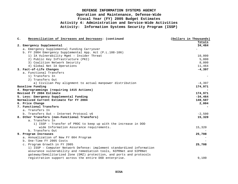| $\mathbf{C}$ . | Reconciliation of Increases and Decreases: (continued                  | (Dollars in Thousands) |
|----------------|------------------------------------------------------------------------|------------------------|
|                |                                                                        | Totals                 |
|                | 2. Emergency Supplemental                                              | 34,464                 |
|                | a. Emergency Supplemental Funding Carryover                            |                        |
|                | b. FY 2004 Emergency Supplemental App. Act (P.L.108-106)               |                        |
|                | 1) IA Vulnerability Mgmt - Insider Threat                              | 10,000                 |
|                | 2) Public Key Infrastructure (PKI)                                     | 5,000                  |
|                | 3) Coalition Network Security                                          | 8,000                  |
|                | 4) Global Net IA Operations                                            | 11,464                 |
|                | 3. Fact-of-Life Changes                                                | $-4,397$               |
|                | a. Functional Transfers                                                |                        |
|                | 1) Transfers In                                                        |                        |
|                | 2) Transfers Out                                                       |                        |
|                | a) Civilian Pay alignment to actual manpower distribution              | $-4,397$               |
|                | Baseline Funding                                                       | 174,971                |
|                | 4. Reprogrammings (requiring 1415 Actions)                             |                        |
|                | Revised FY 2004 Estimate                                               | 174,971                |
|                | 5. Less: Emergency Supplemental Funding                                | $-34,464$              |
|                | Normalized Current Estimate for FY 2004                                | 140,507                |
|                | 6. Price Change                                                        | 2,004                  |
|                | 7. Functional Transfers                                                |                        |
|                | a. Transfers In                                                        |                        |
|                | b. Transfers Out - Internet Protocol v6                                | $-2,500$               |
|                | 8. Other Transfers (non-Functional Transfers)                          | 15,320                 |
|                | a. Transfers In                                                        |                        |
|                | 1) ISSP - Transfer of PROC to keep up with the increase in DOD         |                        |
|                | wide Information Assurance requirements.                               | 15,320                 |
|                | b. Transfers Out                                                       |                        |
|                | 9. Program Increases                                                   | 25,708                 |
|                | a. Annualization of New FY 004 Program                                 |                        |
|                | b. One-Time FY 2005 Costs                                              |                        |
|                | c. Program Growth in FY 2005                                           | 25,708                 |
|                | 1) ISSP - Computer Network Defense: implement standardized information |                        |
|                | assurance vulnerability and remediation tools, NIPRNet and SIPRNet     |                        |
|                | gateway/Demilitarized Zone (DMZ) protection, and ports and protocols   |                        |
|                | registration support across the entire DOD enterprise.                 | 9,100                  |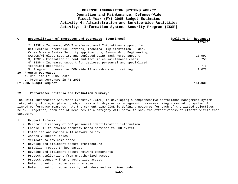| c. | Reconciliation of Increases and Decreases: (continued)              | (Dollars in Thousands) |
|----|---------------------------------------------------------------------|------------------------|
|    |                                                                     | Totals                 |
|    | 2) ISSP - Increased OSD Transformational Initiatives support for    |                        |
|    | Net Centric Enterprise Services, Technical Implementation Guides,   |                        |
|    | Cross Domain System Security applications, Sensor Grid Engineering, |                        |
|    | SATCOM/Wireless Security and Deployed Joint Task Force Support.     | 13,997                 |
|    | 3) ISSP - Escalation in rent and facilities maintenance costs.      | 758                    |
|    | 4) ISSP - Increased support for deployed personnel and specialized  |                        |
|    | technical expertise.                                                | 775                    |
|    | 5) Program increase for DOD wide IA workshops and training.         | 1,078                  |
|    | 10. Program Decreases                                               |                        |
|    | a. One-Time FY 2005 Costs                                           |                        |
|    | b. Program Decreases in FY 2005                                     |                        |
|    | FY 2005 Budget Request                                              | 181,039                |

### **IV. Performance Criteria and Evaluation Summary:**

The Chief Information Assurance Executive (CIAE) is developing a comprehensive performance management system integrating strategic planning objectives with day-to-day management processes using a cascading system of linked performance measures. At the current time CIAE is defining measures for each of the listed objectives below. Together, each set of measures in a category will serve to show the effectiveness of efforts within that category.

- 1. Protect Information
	- Maintain directory of DoD personnel identification information
	- Enable GIG to provide identity based services to DOD system
	- Establish and maintain IA network policy
	- Assess vulnerabilities
	- Validate policy compliance
	- Develop and implement secure architecture
	- Establish robust IA boundaries
	- Develop and implement secure network components
	- Protect applications from unauthorized access
	- Protect boundary from unauthorized access
	- Detect unauthorized access or misuse
	- Detect unauthorized access by intruders and malicious code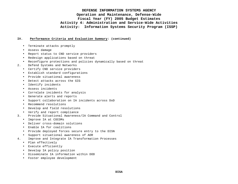### **IV. Performance Criteria and Evaluation Summary: (continued)**

- Terminate attacks promptly
- Assess damage
- Report status to CND service providers
- Redesign applications based on threat
- Reconfigure protections and policies dynamically based on threat
- 2. Defend Systems and Networks
	- Certify CND service providers
	- Establish standard configurations
	- Provide situational awareness
	- Detect attacks across the GIG
	- Identify incidents
	- Assess incidents
	- Correlate incidents for analysis
	- Generate alerts and reports
	- Support collaboration on IA incidents across DoD
	- Recommend resolutions
	- Develop and field resolutions
	- Verify and report compliance
- 3. Provide Situational Awareness/IA Command and Control
	- Improve IA at COCOMs
	- Deliver cross-domain solutions
	- Enable IA for coalitions
	- Provide deployed forces secure entry to the DISN
	- Support situational awareness of AOR
- 4. Improve and Integrate IA Transformation Processes
	- Plan effectively
	- Execute efficiently
	- Develop IA policy position
	- Disseminate IA information within DOD
	- Foster employee development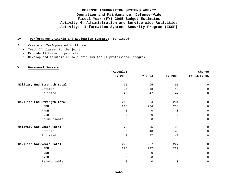### **IV. Performance Criteria and Evaluation Summary: (continued)**

5. Create an IA-Empowered Workforce

- Teach IA classes to the joint
- Provide IA training products
- Develop and maintain an IA curriculum for IA professional program

| v.<br>Personnel Summary:    |             |         |             |             |
|-----------------------------|-------------|---------|-------------|-------------|
|                             | (Actuals)   |         |             | Change      |
|                             | FY 2003     | FY 2004 | FY 2005     | FY 04/FY 05 |
| Military End Strength Total | 75          | 95      | 95          | $\mathbf 0$ |
| Officer                     | 35          | 48      | 48          | $\mathbf 0$ |
| Enlisted                    | 40          | 47      | 47          | $\mathbf 0$ |
| Civilian End Strength Total | 216         | 234     | 234         | $\mathbf 0$ |
| <b>USDH</b>                 | 216         | 234     | 234         | $\mathbf 0$ |
| <b>FNDH</b>                 | $\mathbf 0$ | 0       | $\mathbf 0$ | $\mathbf 0$ |
| FNIH                        | $\mathbf 0$ | 0       | 0           | 0           |
| Reimbursable                | $\mathbf 0$ | 0       | 0           | $\mathbf 0$ |
| Military Workyears Total    | 75          | 95      | 95          | $\mathbf 0$ |
| Officer                     | 35          | 48      | 48          | $\mathbf 0$ |
| Enlisted                    | 40          | 47      | 47          | $\mathbf 0$ |
| Civilian Workyears Total    | 225         | 227     | 227         | $\mathbf 0$ |
| <b>USDH</b>                 | 225         | 227     | 227         | $\mathbf 0$ |
| <b>FNDH</b>                 | $\mathbf 0$ | 0       | $\mathbf 0$ | $\mathbf 0$ |
| FNIH                        | $\mathbf 0$ | 0       | $\mathbf 0$ | $\mathbf 0$ |
| Reimbursable                | 0           | 0       | $\mathbf 0$ | 0           |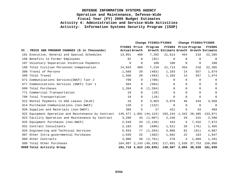|     |                                                             | Change FY2003/FY2004 |             |                        | Change FY2004/FY2005                   |             |                      |               |
|-----|-------------------------------------------------------------|----------------------|-------------|------------------------|----------------------------------------|-------------|----------------------|---------------|
|     | VI . PRICE AND PROGRAM CHANGES (\$ in Thousands)            | Actual Growth        |             | FY2003 Price Program   | Growth Estimate Growth Growth Estimate |             | FY2004 Price Program | <b>FY2005</b> |
|     | 101 Executive, General and Special Schedules                | 13,951               | 460         | 7,202                  | 21,613                                 | 454         | 218                  | 22,285        |
|     | 106 Benefits to Former Employees                            | 92                   | $\Omega$    | (92)                   | $\mathbf 0$                            | $\Omega$    | $\Omega$             | 0             |
|     | 107 Voluntary Separation Incentive Payments                 | $\mathbf 0$          | $\mathbf 0$ | 100                    | 100                                    | $\mathbf 0$ | $\overline{0}$       | 100           |
|     | 199 Total Civilian Personnel Compensation                   | 14,043               | 460         | 7,210                  | 21,713                                 | 454         | 218                  | 22,385        |
|     | 308 Travel of Persons                                       | 1,566                | 20          | (483)                  | 1,103                                  | 14          | 557                  | 1,674         |
|     | 399 Total Travel                                            | 1,566                | 20          | (483)                  | 1,103                                  | 14          | 557                  | 1,674         |
|     | 671 Communications Services (DWCF) Tier 2                   | 700                  | $\Omega$    | (700)                  | $\Omega$                               | $\Omega$    | $\Omega$             | 0             |
| 677 | Communications Services (DWCF) Tier 1                       | 504                  | 0           | (504)                  | 0                                      | 0           | $\Omega$             | $\mathbf 0$   |
|     | 699 Total Purchases                                         | 1,204                | $\Omega$    | (1, 204)               | $\Omega$                               | $\Omega$    | $\Omega$             | $\mathbf 0$   |
|     | 771 Commercial Transportation                               | 19                   | $\Omega$    | (19)                   | 0                                      | $\Omega$    | $\Omega$             | $\mathbf 0$   |
|     | 799 Total Transportation                                    | 19                   | $\Omega$    | (19)                   | 0                                      | $\Omega$    | $\Omega$             | 0             |
|     | 912 Rental Payments to GSA Leases (SLUC)                    | 16                   | $\Omega$    | 3,063                  | 3,079                                  | 46          | 443                  | 3,568         |
|     | 914 Purchased Communications (non-DWCF)                     | 120                  | 2           | (122)                  | 0                                      | $\Omega$    | $\Omega$             | $\mathbf 0$   |
|     | 920 Supplies and Materials (non-DWCF)                       | 389                  | 5           | 27                     | 421                                    | 5           | 43                   | 469           |
|     | 922 Equipment Operation and Maintenance by Contract 145,477 |                      |             | 1,891 (44,124)         | 103,244                                |             | 1,342 28,485         | 133,071       |
|     | 923 Facility Operation and Maintenance by Contract          | 3,290                | 43          | (1,087)                | 2,246                                  | 29          | 315                  | 2,590         |
|     | 925 Equipment Purchases (non-DWCF)                          | 2,540                | 33          | (2, 139)               | 434                                    | 6           | 7,432                | 7,872         |
|     | 931 Contract Consultants                                    | 2,183                | 28          | (690)                  | 1,521                                  | 20          | (76)                 | 1,465         |
|     | 934 Engineering and Technical Services                      | 5,933                | 77          | (1, 204)               | 4,806                                  | 62          | (61)                 | 4,807         |
|     | 987 Other Intra-governmental Purchases                      | 1,939                | 25          | (302)                  | 1,662                                  | 22          | 163                  | 1,847         |
| 989 | Other Contracts                                             | 3,000                | 39          | (2.761)                | 278                                    | 4           | 1,009                | 1,291         |
|     | 999 Total Other Purchases                                   | 164,887              |             | 2,143 (49,339)         | 117,691                                | 1,536       | 37,753               | 156,980       |
|     | 9999 Total Activity Group                                   |                      |             | 181,719 2,623 (43,835) | 140,507                                |             | 2,004 38,528         | 181,039       |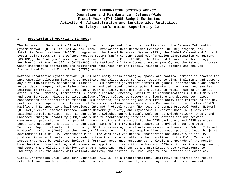### **I. Description of Operations Financed**:

The Information Superiority C2 activity group is comprised of eight sub-activities: the Defense Information System Network (DISN), to include the Global Information Grid Bandwidth Expansion (GIG-BE) program, the Satellite Communications (SATCOM) program and the Global Broadcast System (GBS); the Global Command and Control System-Joint (GCCS-J); the Defense Message System (DMS); Content Staging/Information Dissemination Management (CS/IDM); the Pentagon Reservation Maintenance Revolving Fund (PRMRF); the Advanced Information Technology Services Joint Program Office (AITS-JPO); the National Military Command System (NMCS); and the Teleport program which encompasses operations and maintenance resources for the closely related DoD Teleport and the DoD Standardized Tactical Entry Point (STEP) systems.

Defense Information System Network (DISN) seamlessly spans strategic, space, and tactical domains to provide the interoperable telecommunications connectivity and valued added services required to plan, implement, and support any civilian/military operational mission. DISN provides government-controlled global, interoperable and secure voice, data, imagery, video teleconferencing and dedicated point-to-point transmission services, and enables seamless information transfer processes. DISA's primary DISN efforts are contained within four major thrust areas: Global Services, Terrestrial Telecommunications Services, Satellite Telecommunications (SATCOM) Services and User Services. Global Services include efforts related to network architecture and design, technology enhancements and insertion to existing DISN services, and modeling and simulation activities related to design, performance and operations. Terrestrial Telecommunications Services include Continental United States (CONUS), Pacific and European long-haul services; Internet Protocol router (Non-secure Internet Protocol Router Network (NIPRNet)/Secret Internet Protocol Router Network (SIPRNet)) and Asynchronous Transfer Mode (ATM) services; switched circuit services, such as the Defense Switched Network (DSN), Defense Red Switch Network (DRSN), and Enhanced Pentagon Capability (EPC); and video teleconferencing services. User Services include network management, provisioning (i.e. providing new circuits and bandwidth to the DISN backbone), and DISN services supporting customer transitions to the DISN. Some of the transition support is provided under the DISN Technical Support efforts. Additionally, DISA is assessing the efforts necessary to transition DoD to Internet Protocol version 6 (IPv6), as the agency will need to justify and acquire IPv6 address space and lead the joint development of a DoD IPv6 Addressing Plan. The work involves general engineering and analysis of the IPv6 protocol in order to establish a standards base that is acceptable to the operations of the DoD. Technical issues that must be evaluated include: information assurance assessments, analysis and upgrade of the Domain Name Service infrastructure, and network and application transition mechanisms. DISA must coordinate engineering and testing and elicit and derive DoD IPv6 engineering requirements and promulgate those requirements to industry. Also, the agency will collect, analyze, and provide IPv6 knowledge to the Services and Agencies.

Global Information Grid- Bandwidth Expansion (GIG-BE) is a transformational initiative to provide the robust network foundation to enable worldwide network-centric operations by increasing core and access bandwidth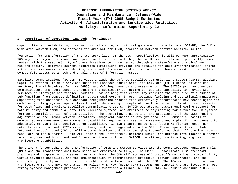### **I. Description of Operations Financed: (continued)**

capabilities and establishing diverse physical routing at critical government installations. GIG-BE, the DoD's Wide-area Network (WAN) and Metropolitan-area Network (MAN) enabler of network-centric warfare, is the

foundation for transformation of the transport layer of the GIG. Specifically, it will connect approximately 100 key intelligence, command, and operational locations with high bandwidth capability over physically diverse routes, with the vast majority of these locations being connected through a state-of-the art optical mesh network design. Removing current bandwidth limitations provides the catalyst for self-synchronization, shared situational awareness, sustainability, and speed of command and action, allowing those closest to the reality of combat full access to a rich and enabling set of information assets.

Satellite Communications (SATCOM) Services include the Defense Satellite Communications System (DSCS); Wideband Gapfiller efforts; Iridium services under the Enhanced Mobile Satellite Services (EMSS) umbrella; wireless services; Global Broadcast Service (GBS); and C4I Requirements and Assessments. The SATCOM program provides communications transport support extending and seamlessly connecting terrestrial capability to provide GIG services to strategic and tactical domains. Maintaining this capability requires the execution of a number of sub-functions from concept definition, system engineering, through testing, fielding and operational management. Supporting this construct is a constant reengineering process that effectively incorporates new technologies and modifies existing system capabilities to match developing concepts of use to expected utilization requirements for both fixed and tactical satellite communications users. SATCOM operations, system engineering support for both military and commercial satellite wideband systems, and architecture engineering for future SATCOM systems form an essential portion of this activity. The operation, engineering, and sustainment of the DSCS require adjustment as the Global Network Operations Management concept is brought into use. Commercial satellite communications management enhancements capability requires engineering assessment and a plan for improvement to adequately manage this expensive surge capability. As ISN transforms to meet future Warfighter needs, new network-centric focused SATCOM capabilities, must be integrated into the GIG. These capabilities include Internet Protocol-based (IP) satellite communications and other emerging technologies that will provide greater bandwidth to the customer. This will enable the warfighters, national users, and defense intelligence customers to agilely respond to current and future requirements through SATCOM operations, provisioning, engineering, and architecture capabilities.

The driving forces behind the transformation of DISN and SATCOM Services are the Communications Management Plan (CMP) and the Transformational Communications Architecture (TCA). The CMP will facilitate DISN transport planning and programming processes. As a minimum, the CMP will address GIG tradeoffs on backward compatibility versus advanced capability and the implementation of communication protocols, network interfaces, and the overarching security architecture for reachback of tactical users into the GIG. The TCA will put in place an architecture for the next generation of Military SATCOM (MILSATCOM) systems and control the architecture through strong systems management processes. Critical functions outlined in CJCSI 6250.01A require continuous DSCS **I.**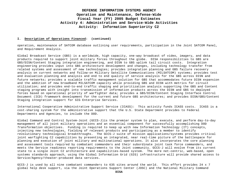### **I. Description of Operations Financed: (continued)**

operation, maintenance of SATCOM database outlining user requirements, participation in the Joint SATCOM Panel, and Requirement Analysis.

Global Broadcast Service (GBS) is a worldwide, high capacity, one-way broadcast of video, imagery, and data products required to support joint military forces throughout the globe. DISA responsibilities to GBS are GBS/DISN/Content Staging integration engineering, and DISN to GBS uplink tail circuit costs. Integration engineering provides input into GBS architecture development and changes, including technology transfer from related systems and assessment of new technologies; provides integration planning and GBS failure recovery analysis on current networks and follow-on Military Satellite Communications (MILSATCOM) systems; provides test and evaluation planning and analysis and end to end quality of service analysis for the GBS across DISN and future networks; provides a scalable traffic management solution for GBS that accommodates future DISN expansion and the addition of new broadband MILSATCOM capacity while providing GBS and DISN with metrics for circuit utilization; and provides end-to-end traffic shaping and prioritization analysis supporting the GBS and Content staging programs with insight into transmission of information products across the DISN and GBS to deployed forces based on operational priority of warfighter data; provides a GBS/DISN/Content Staging Interface Control Document (ICD) framework development for the current and future GBS architectures; and provides DISN/GBS/Content Staging integration support for GIG Enterprise Services.

International Cooperative Administrative Support Service (ICASS): This activity funds ICASS costs. ICASS is a cost-sharing system for the administrative support that the U.S. State Department provides to Federal Departments and Agencies, to include the DOD.

Global Command and Control System-Joint (GCCS-J)is the premier system to plan, execute, and perform day-to-day management of all joint military operations and an essential component for successfully accomplishing DOD *Transformation* objectives. Funding is required to keep up with new Information Technology (IT) concepts, injecting new technologies, fielding of relevant products and participating as a member to identify revolutionary technological breakthroughs. The GCCS-J suite of mission applications/systems provides critical joint warfighting C2 capabilities by presenting an integrated, near real-time picture of the battlespace for planning and execution of joint military and multinational operations. It also incorporates the core planning and assessment tools required by combatant commanders and their subordinate joint task force commanders, and meets the Service readiness reporting requirements to the Joint community. GCCS-J will evolve from its current state to a single Joint C2 architecture and capabilities-based system. The more net-centric, web-based, open systems standards approach, using the Global Information Grid (GIG) infrastructure will provide shared access to Service/Agency/theater-produced data services.

GCCS-J is used by all nine combatant commanders to 635 sites around the world. This effort provides 24 x 7 global help desk support, via the Joint Operations Support Center (JOSC) and the National Military Command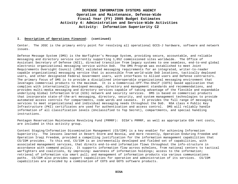### **I. Description of Operations Financed: (continued)**

Center. The JOSC is the primary entry point for resolving all operational GCCS-J hardware, software and network issues.

Defense Message System (DMS) is the Warfighter's Message System, providing secure, accountable, and reliable messaging and directory service currently supporting 1,052 commissioned sites worldwide. The Office of Assistant Secretary of Defense (NII), directed transition from legacy systems to one seamless, end-to-end global electronic organizational messaging service within DoD. The DMS Program was established to meet Joint Requirements Oversight Council (JROC) validated messaging requirements for an integrated, writer-to-reader capable organizational messaging service that is accessible from world-wide DoD locations, tactically deployed users, and other designated Federal Government users, with interfaces to Allied users and Defense contractors. The primary focus of DMS is to provide a disciplined interoperable organizational messaging environment that leverages commercial products to the maximum. It is a Commercial-Off-The-Shelf (COTS) based application that complies with internationally developed message, directory and management standards and recommendations, and provides multi-media messaging and directory services capable of taking advantage of the flexible and expandable underlying Global Information Grid (GIG) network and security services. DMS is based on commercial products that incorporate state-of-the-art messaging, directory, security, and system management technologies to provide automated access controls for compartments, code words and caveats. It provides the full range of messaging services to meet organizational and individual messaging needs throughout the DoD. NSA class 4 Public Key Infrastructure (PKI) certificates are used for authentication and access control. DMS will reliably handle information of all classification levels (Unclassified to Top Secret), compartments, and special handling instructions.

Pentagon Reservation Maintenance Revolving Fund (PRMRF): DISA's PRMRF, as well as appropriate GSA rent costs, are included in this activity group.

Content Staging/Information Dissemination Management (CS/IDM) is a key enabler for achieving Information Superiority. The lessons learned in Desert Storm and Bosnia, and more recently, Operation Enduring Freedom and Operation Iraqi Freedom, provided a compelling justification for the information management capabilities that CS/IDM provides. To this end, CS/IDM is an incrementally developed and fielded set of capabilities, with associated management services, that directs end-to-end information flows throughout the info-structure in accordance with command policy. It supports information flow across echelons, from national centers to tactical warfighters and coalitions, by improving: awareness of information holdings; access to the information; retrieval of information via smart pull; and management of information products via various communications paths. CS/IDM also provides support capabilities for operation and administration of its services. CS/IDM capabilities are provided by a combination of COTS and GOTS software products.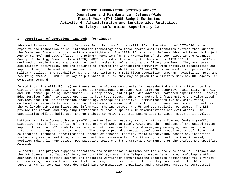### **I. Description of Operations Financed: (continued)**

Advanced Information Technology Services Joint Program Office (AITS-JPO): The mission of AITS-JPO is to expedite the transition of new information technology into those operational information systems that support the Combatant Commands and our nation's warfighters. The AITS-JPO is a joint Defense Advanced Research Project Agency (DARPA) and DISA office. The primary mechanism for the transition of the technology is the Advanced Concept Technology Demonstration (ACTD). ACTD-related work makes up the bulk of the AITS-JPO efforts. ACTDs are designed to exploit mature and maturing technologies to solve important military problems. They are "preacquisition" activities, and are designed to provide the warfighting community with prototype capabilities and support them in the evaluation and maturation of the capabilities. If an ACTD is successful and proves its military utility, the capability may then transition to a full-blown acquisition program. Acquisition programs resulting from AITS-JPO ACTDs may be put under DISA, or they may be given to a Military Service, DOD Agency, or Combatant Command.

In addition, the AITS-JPO: a) engineers and reinforces components for leave-behind and transition into the Global Information Grid (GIG), b) augments transitioning products with improved security, scalability, and GIG and DOD Common Operating Environment (COE) compliance; and c) provides advanced, hardened capabilities--Leading Edge Services (LES)--to select operational beta test sites. LES are a network infrastructure and value added services that include information processing, storage and retrieval; communications (voice, data, video, multimedia); security technology and application in command and control, intelligence, and combat support for the worldwide DoD communities; and information sharing between the US and its coalition partners. The LES provide the network and computing infrastructure that supports ACTD demonstrations and evaluations. ACTD capabilities will be built upon and contribute to Network Centric Enterprises Services (NCES) as it evolves.

National Military Command System (NMCS) provides Senior Leaders, National Military Command Centers (NMCC), Executive Travel fleet, Office of the Secretary of Defense (OSD), CJCS, and the President of the United States support to maintain C2 capabilities, ensure continuous availability of emergency messaging, and maintain situational and operational awareness. The program provides concept development, requirements definition and calibration, technical specifications, proofs-of-concept, testing, rapid prototyping, technology insertions, systems engineering and integration and technical assessments. Additionally, support provides informed, decision-making linkage between DOD Executive Leaders and the Combatant Commanders of the Unified and Specified Commands.

Teleport: This program supports operations and maintenance functions for the closely related DoD Teleport and the DoD Standardized Tactical Entry Point (STEP) systems. The Teleport System is a phased, multi-generation approach to begin meeting current and projected warfighter communications reachback requirements for a variety of scenarios, from small-scale conflicts to a major theater of war. It is a key component of the DISN that supports warfighters with extended multi-band communication capability and a seamless access to terrestrial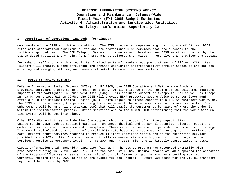### **I. Description of Operations Financed: (continued)**

components of the DISN worldwide operations. The STEP program encompasses a global upgrade of fifteen DSCS sites with standardized equipment suites and pre-provisioned DISN services that are extended to the tactical/deployed user. The DOD Teleport System builds on X-band, baseband and DISN services provided by the Standardized Tactical Entry Point (STEP) program, at selected STEP sites. Presently, STEP provides the gateway

for X-band traffic only with a requisite, limited suite of baseband equipment at each of fifteen STEP sites. Teleport will greatly expand throughput and enhance warfighter interoperability through access to and between existing and emerging military and commercial satellite communications systems.

### **II. Force Structure Summary:**

Defense Information System Network (DISN): In FY 2005, the DISN Operation and Maintenance funds will be providing sustainment efforts in a number of areas. Of significance is the funding of the telecommunications support to the Warfighter in South West Asia (SWA). This includes support to troops in Iraq as well as troops in nearby countries. Within CONUS, the DISN will provide HEMP protected Secure Voice to senior Government officials in the National Capital Region (NCR). With regard to direct support to all DISN customers worldwide, the DISN will be enhancing the provisioning tools in order to be more responsive to customer requests. One enhancement will be an on-line tracking tool that will enable the customer to be aware of where the order is within the implementation process. Other modifications to the CLASSIFIED provisioning tool the World Wide On-Line System will be put into place.

Other DISN O&M activities include Tier One support which is the cost of military capabilities unique to the DISN such as tactical extension, enhanced physical and personnel security, diverse routes and media, and multi-level precedence and preemption. These capabilities are not provided in commercial offerings. Tier One is calculated as a portion of overall DISN rate-based services costs via an engineering estimate of core infrastructure/services required to produce military readiness attributes of the enterprise services provided by the DISN. Tier One costs were initially recovered via a monthly recurring surcharge to the Services/Agencies at component level. For FY 2004 and FY 2005, Tier One is directly appropriated to DISA.

Global Information Grid- Bandwidth Expansion (GIG-BE): The GIG-BE program was resourced primarily with procurement funding in FY 2003 and FY 2004 in the total of \$866M. Minimal amount of O&M supported the operation of the Program Office (services) and some initial circuit leases to get the Program's testing started. Currently funding for FY 2005 is not in the budget for the Program. Future O&M costs for the GIG-BE transport layer will be covered by DWCF.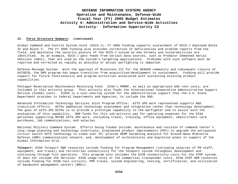### **II. Force Structure Summary: (continued)**

Global Command and Control System-Joint (GCCS-J): FY 2005 funding supports sustainment of GCCS-J deployed Block IV and Block V. The FY 2005 funding also provides correction of deficiencies and problem reports from the field, and maintains the security posture of the GCCS-J system as new threats and vulnerabilities are identified. As an example, GCCS-J gets feeds from various data sources, such as Predator Unmanned Aerial Vehicles (UAVs), that are used by the system's targeting applications. Problems with such software must be reported and corrected as rapidly as possible or actual warfighting is impacted.

Defense Message System: With the approval of Milestone III for the GENSER community and subsequent closure of AUTODIN, the DMS program has begun transition from acquisition/development to sustainment. Funding will provide support for future functionality and program activities associated with sustaining existing product capabilities.

Pentagon Reservation Maintenance Revolving Fund: DISA's PRMRF, as well as appropriate GSA rent costs, are included in this activity group. This activity also funds the International Cooperative Administrative Support Service (ICASS) costs. ICASS is a cost-sharing system for the administrative support that the U.S. State Department provides to Federal Departments and Agencies, to include the DOD.

Advanced Information Technology Services Joint Program Office: AITS-JPO work represented supports R&D transition efforts. ACTDs emphasize technology assessment and integration rather than technology development. The goal of AITS-JPO ACTDs is to provide a prototype capability to the warfighter and to assist with the evaluation of this capability. O&M funds for this sub-activity pay for operating expenses for the DISA personnel supporting RDT&E AITS-JPO work, including travel, training, office equipment, small/credit card purchases, lab communications, and salaries.

National Military Command System: Efforts being funded include: maintenance and revision of command center's long range planning and technology insertions; preplanned product improvements (PPI) to upgrade the antiquated circuit switch SVTS technology to video over IP; provide HEMP hardening analysis for Ground-Base Midcourse Defense (GMD) communications network; and, development of architectures and migration plans in support of the Global Information Grid.

**Teleport:** DISA Teleport O&M resources include funding for Program Management (including salaries of PM staff, equipment, and travel) and terrestrial connectivity for the Teleport system throughout development and continuing through full operation. This program also includes the DISN connectivity costs for the STEP system. It does not include the Services' DISN usage costs or the commercial transponder costs. DISA STEP O&M resources include funding for DISN tail circuits, PMO travel, system engineering, testing, certification, and utilization of bandwidth management centers (BMCs).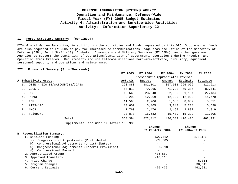### **II. Force Structure Summary: (continued)**

DISN Global War on Terrorism, in addition to the activities and funds requested by this OP5, Supplemental funds are also required in FY 2005 to pay for increased telecommunications usage from the Office of the Secretary of Defense (OSD), Joint Staff (JS), Combatant Commanders and Military Services (MILDEPs), and other government Agencies to support the Continuity of Operations/Continuity of Government, Operation Enduring Freedom, and Operation Iraqi Freedom. Requirements include telecommunications hardware/software, circuitry, equipment, personnel support, and operations and maintenance.

### **III. Financial Summary (\$ in Thousands):**

|                                | FY 2003                          | FY 2004 | FY 2004 | FY 2004         | FY 2005  |
|--------------------------------|----------------------------------|---------|---------|-----------------|----------|
|                                | President's Appropriated Revised |         |         |                 |          |
| A. Subactivity Group:          | Actuals                          | Budget  | Amount  | Estimate        | Estimate |
| DISN - GIG BE/SATCOM/GBS/ICASS | 228,880                          | 382,101 |         | 307,081 296,099 | 312,913  |
| GCCS-J<br>2.                   | 64,813                           | 79,265  | 71,722  | 69,386          | 82,441   |
| DMS<br>3.                      | 10,563                           | 23,848  | 22,006  | 21,104          | 27,434   |
| PRMRF<br>4.                    | 5,293                            | 12,969  | 12,969  | 12,969          | 14,770   |
| 5.<br>IDM                      | 11,598                           | 2,706   | 1,686   | 8,889           | 5,551    |
| AITS-JPO<br>6.                 | 10,609                           | 3,465   | 3,247   | 5,234           | 5,698    |
| 7.<br>NMCS                     | 1,760                            | 2,476   | 2,469   | 2,832           | 2,819    |
| Teleport<br>8.                 | 20,878                           | 15,582  | 15,409  | 15,299          | 11,305   |
| Total:                         | 354,394                          | 522,412 |         | 436,589 426,476 | 462,931  |
|                                |                                  |         |         |                 |          |

Supplemental included in Total: 108,935

|                                                            | Change                   | Change          |
|------------------------------------------------------------|--------------------------|-----------------|
|                                                            | FY 2004/FY 2004          | FY 2004/FY 2005 |
| B .Reconciliation Summary:                                 |                          |                 |
| 1. Baseline Funding                                        | 522,412                  | 426,476         |
| Congressional Adjustments (Distributed)<br>a)              | $-77.605$                |                 |
| Congressional Adjustments (Undistributed)<br>b)            | $\overline{\phantom{0}}$ |                 |
| Congressional Adjustments (General Provision)<br>$\circ$ ) | $-8,218$                 |                 |
| Congressional Earmark<br>d)                                |                          |                 |
| 2. Appropriated Amount                                     | 436,589                  |                 |
| 3. Approved Transfers                                      | $-10, 113$               |                 |
| 4. Price Change                                            |                          | 5,814           |
| 5. Program Changes                                         |                          | 30,641          |
| 6. Current Estimate                                        | 426,476                  | 462,931         |
|                                                            |                          |                 |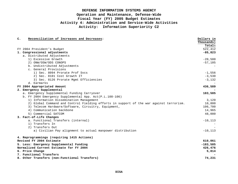| $\mathbf{C}$ .                          | Reconciliation of Increases and Decreases:                                              | Dollars in |
|-----------------------------------------|-----------------------------------------------------------------------------------------|------------|
|                                         |                                                                                         | Thousands) |
|                                         |                                                                                         | Totals     |
|                                         | FY 2004 President's Budget                                                              | 522,412    |
|                                         | 1. Congressional adjustments                                                            | $-85,823$  |
|                                         | a. Distributed Adjustments                                                              |            |
|                                         | 1) Excessive Growth                                                                     | $-20,500$  |
|                                         | 2) ONW/OSW/ODS CONOPS                                                                   | $-57,105$  |
|                                         | b. Undistributed Adjustments                                                            |            |
|                                         | c. General Provisions                                                                   |            |
|                                         | 1) Sec. 8094 Prorate Prof Svcs                                                          | $-1,556$   |
|                                         | 2) Sec. 8101 Cost Growth IT                                                             | $-3,530$   |
|                                         | 3) Sec. 8126 Prorate Mgmt Efficiencies                                                  | $-3,132$   |
|                                         | d. Earmarks                                                                             |            |
|                                         | FY 2004 Appropriated Amount                                                             | 436,589    |
|                                         | 2. Emergency Supplemental                                                               |            |
|                                         | a. Emergency Supplemental Funding Carryover                                             | 183,585    |
|                                         | b. FY 2004 Emergency Supplemental App. Act(P.L.108-106)                                 |            |
|                                         | 1) Information Dissemination Management                                                 | 3,120      |
|                                         | 2) Global Command and Control Fielding efforts in support of the war against terrorism. | 10,800     |
|                                         | 3) Telecom Hardware/Software, Circuitry, Equipment,                                     | 106,700    |
|                                         | 4) Communication backbone                                                               | 14,965     |
|                                         | 5) Commercial SATCOM                                                                    | 48,000     |
|                                         | 3. Fact-of-Life Changes                                                                 |            |
|                                         | a. Functional Transfers (internal)                                                      | $-10, 113$ |
|                                         | 1) Transfers In                                                                         |            |
|                                         | 2) Transfers Out                                                                        |            |
|                                         | a) Civilian Pay alignment to actual manpower distribution                               | $-10, 113$ |
|                                         | 4. Reprogrammings (requiring 1415 Actions)                                              |            |
|                                         | Revised FY 2004 Estimate                                                                | 610,061    |
| 5. Less: Emergency Supplemental Funding |                                                                                         | $-183,585$ |
|                                         | Normalized Current Estimate for FY 2004                                                 | 426,476    |
|                                         | 6. Price Change                                                                         | 5,814      |
|                                         | 7. Functional Transfers                                                                 |            |
|                                         | 8. Other Transfers (non-Functional Transfers)                                           | 74,231     |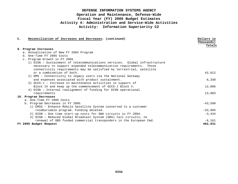| Reconciliation of Increases and Decreases: (continued)<br>$\mathsf{C}$ .                                                                                                                                                   | Dollars in<br>Thousands)<br>Totals |
|----------------------------------------------------------------------------------------------------------------------------------------------------------------------------------------------------------------------------|------------------------------------|
| 9. Program Increases                                                                                                                                                                                                       |                                    |
| a. Annualization of New FY 2004 Program                                                                                                                                                                                    |                                    |
| b. One-Time FY 2005 Costs                                                                                                                                                                                                  |                                    |
| c. Program Growth in FY 2005                                                                                                                                                                                               |                                    |
| 1) DISN - Sustainment of telecommunications services. Global infrastructure<br>necessary to support expanded telecommunication requirements. Those<br>connectivity requirements may be satisfied by terrestrial, satellite |                                    |
| or a combination of both.                                                                                                                                                                                                  | 42,812                             |
| 2) DMS - Connectivity to legacy users via the National Gateway                                                                                                                                                             |                                    |
| and expenses associated with product sustainment.                                                                                                                                                                          | 6,330                              |
| 3) GCCS-J - Increase in maintenance activities in support of                                                                                                                                                               |                                    |
| Block IV and keep up the commencement of GCCS-J Block V.                                                                                                                                                                   | 12,006                             |
| 4) DISN - Internal realignment of funding for DISN operational                                                                                                                                                             |                                    |
| requirements                                                                                                                                                                                                               | 13,083                             |
| 10. Program Decreases                                                                                                                                                                                                      |                                    |
| a. One-Time FY 2005 Costs                                                                                                                                                                                                  |                                    |
| b. Program Decreases in FY 2005                                                                                                                                                                                            | $-43,590$                          |
| 1) EMSS - Enhance Mobile Satellite System converted to a customer                                                                                                                                                          |                                    |
| reimbursable program. Funding deleted.                                                                                                                                                                                     | $-33,995$                          |
| 2) DISN - One time start-up costs for SWA circuits in FY 2004.                                                                                                                                                             | $-3,434$                           |
| 3) DISN - Reduced Global Broadcast System (GBS) tail circuits; no                                                                                                                                                          |                                    |
| renewal of GBS funded commercial transponders in the European Cmd.                                                                                                                                                         | $-6,161$                           |
| FY 2005 Budget Request                                                                                                                                                                                                     | 462,931                            |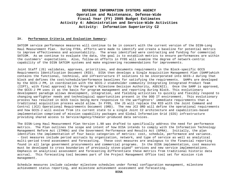### **IV. Performance Criteria and Evaluation Summary:**

SATCOM service performance measures will continue to be in concert with the current version of the DISN-Long Haul Measurement Plan. During FY04, efforts were made to identify and create a baseline for potential metrics to improve effectiveness and accountability. The areas identified were contracting and funding for commercial SATCOM. As we continue to evaluate the data, the goal is to establish metrics to ensure performances are within the customers' expectations. Also, follow-on efforts in FY05 will examine the degree of network-centric capability of the DISN SATCOM systems and make engineering recommendations for improvements.

Joint Staff (JS) validates, approves, prioritizes, and documents requirements in the Block-specific GCCS Requirements Identification Document (RID). DISA then develops a Single Acquisition Management Plan (SAMP)which contains the functional, technical, and infrastructure IT solutions to be incorporated into GCCS-J during that block and defines the cost/schedule/performance baselines for satisfying the requirements. SAMPs are developed by the GCCS-J PM, in coordination with the GCCS-J stakeholder community Integrating Integrated Product Team (IIPT), with final approval by the Program's Milestone Decision Authority, ASD(NII). Once the SAMP is approved, the GCCS-J PM uses it as the basis for program management and reporting during Block. This evolutionary development paradigm allows development, integration, and fielding activities to quickly and flexibly respond to changing warfighter needs and technological opportunities present in the DOD IT environment. This evolutionary process has resulted in GCCS tools being more responsive to the warfighters' immediate requirements than a traditional acquisition process would allow. In FY05, the JS will replace the RID with the Joint Command and Control (JC2) Operational Requirements Document (ORD). The new JC2 ORD will define the operational requirements and how GCCS-J will evolve from its current state to a single Joint C2 architecture and capabilities-based implementation comprised of mission capability packages and Global Information Grid (GIG) infrastructure providing shared access to Service/Agency/theater-produced data services.

The DISN-Long Haul Measurement Plan Version 1.98 was drafted to specifically address the need for performance metrics. The Plan outlines the scope and intent of how DISA intends to comply with the Information Technology Management Reform Act (ITMRA) and the Government Performance and Results Act (GPRA). Initially, the plan identifies the implementation of four basic categories of metrics: cost, schedule, performance and variance. - Cost measures include period accruals by organization, network, and type of service as well as analytical multi-period trend assessment and forecasting. These cost measures are analogous to the financial reporting found in all large government procurements and commercial programs. In the DISN implementation, cost measures must be developed to cross boundaries of previously stove-piped" services and new service implementations. Emphasis on analytical assessment and forecasting differentiate these metrics from traditional historic data accrual. This forecasting tool becomes part of the Project Management Office tool set for mission risk management.

Schedule measures include calendar milestone schedules under formal configuration management, milestone achievement status reporting, and milestone achievement assessment and forecasting.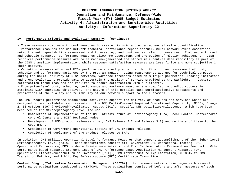### **IV. Performance Criteria and Evaluation Summary: (continued)**

- These measures combine with cost measures to create historic and expected earned value quantification.

- Performance measures include network technical performance report accrual, multi-network event comparison, network event repeatability assessment and forecasting, and customer satisfaction measures. Combined with cost and schedule measures, performance measures allow PMO assessment and projection of mission achievement. DISN technical performance measures are to be machine-generated and stored in a central data repository as part of the DISN transition implementation, while customer satisfaction measures are less finite and more subjective in their capture.

- Variation measures of actual DISN performance against plan allow identification and assessment of cost, schedule and performance variances by the program manager. Using measurements accrued for technical purposes during the normal delivery of DISN services, variance forecasts based on multiple parameters, leading indicators and trend evaluations provide data to ascertain the quality of service provided to the warfighter. Customer satisfaction trend measures are required to assure satisfaction with our efforts.

- Enterprise-level cost, schedule, performance and variance measures are compiled to predict success in attaining DISN operating objectives. The nature of this compiled data permitsobjective assessments and predictions of the quality and reliability of our network support to the customers.

The DMS Program performance measurement activities support the delivery of products and services which are designed to meet validated requirements of the DMS Multi-Command Required Operational Capability (MROC), Change 2, 30 October 1997 (reviewed/revalidated, August 2001). Specific DMS activities/milestones, which have been measured at the Strategic/Agency Level include:

- Completion of implementation of the DMS infrastructure at Service/Agency (S/A) Local Control Centers/Area Control Centers and DISA Regional Nodes
- Development of DMS product releases (i.e., DMS Release 2.2 and Release 3.0) and delivery of these to the Government
- Completion of Government operational testing of DMS product releases
- Completion of deployment of the product releases to S/As

In addition, DMS utilizes Operational Level Performance Measures that support accomplishment of the higher-level Strategic/Agency Level goals. These measurements consist of: Government DMS Operational Testing; DMS Operational Performance; DMS Hardware Maintenance Metrics; and Post Implementation Reviews/User Feedback. Other performance-based measures are comprised of DMS Performance-based Acquisition Management Measures (DMS Operational Effectiveness/Return on Investment [ROI]); DMS Infrastructure Implementation; AUTODIN to DMS Transition Metrics; and Public Key Infrastructure (PKI) Certificate Transition.

**Content Staging/Information Dissemination Management (CS/IDM):** Performance metrics have begun with several performance evaluations conducted at CENTCOM. These evaluations consist of before and after measures of such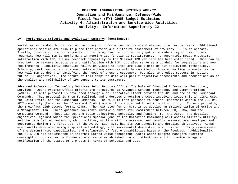#### **IV. Performance Criteria and Evaluation Summary: (continued):**

variables as bandwidth utilization, accuracy of information delivery and elapsed time for delivery. Additional operational metrics are also in place that provide a qualitative assessment of how easy IDM is to operate. Finally, on-site contractor augmentation is being used to continuously gather a wide array of user inputs regarding how well IDM is performing in meeting its functional requirements. To accurately measure customer satisfaction with IDM, a User Feedback capability on the SIPRNet IDM Web site has been established. This can be used both to measure acceptance and satisfaction with IDM, but also serve as a conduit for suggestions and new requirements. Regularly scheduled follow-on visits to sites are also a part of our deployment methodology. Schedule, performance, and customer satisfaction measures will be compiled both as a realtime barometer as to how well IDM is doing in satisfying the needs of present customers, but also to predict success in meeting future IDM objectives. The nature of this compiled data will permit objective assessments and predictions as to the quality and reliability of IDM support to its customers.

**Advanced Information Technology Services Joint Program Office:** The bulk of Advanced Information Technology Services – Joint Program Office efforts are structured as Advanced Concept Technology and Demonstrations (ACTDs). An ACTD proposal is developed through a collaborative effort between the JPO and one of the Combatant Commands. That proposal is then formalized, and undergoes a vetting process involving leadership in DISA, OSD, the Joint Staff, and the Combatant Commands. The ACTD is then proposed to senior leadership within the OSD R&D ACTD community (known as the "Breakfast Club") where it is subjected to additional scrutiny. Those approved by the Breakfast Club become formal ACTDs. The next step for an ACTD is to develop an Implementation Directive and a Management Plan. These guidance documents involve a three-star commitment between OSD, DISA, and the Combatant Command. These lay out the basic objectives, schedule, and funding, for the ACTD. The detailed objectives, against which the Operational Sponsor (one of the Combatant Commands) will assess military utility, and the detailed mechanisms by which military utility will be assessed and results measured are developed and documented during the first year of the ACTD. Each ACTD has its own schedule and detailed objectives. ACTDs are usually developed using a spiral methodology, with incremental demonstrations, limited utility assessments of the demonstrated capabilities, and refinement of future capabilities based on the feedback. Additionally, the AITS-JPO has implemented an internal Earned Value Management System where program managers exercise oversight of contractor performance relative to established project milestones and to provide managers notification of the status of projects in terms of schedule and cost.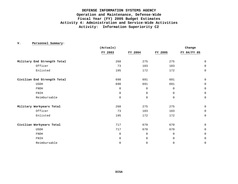|                             | (Actuals)   |             |             | Change       |
|-----------------------------|-------------|-------------|-------------|--------------|
|                             | FY 2003     | FY 2004     | FY 2005     | FY 04/FY 05  |
| Military End Strength Total | 268         | 275         | 275         | 0            |
| Officer                     | 73          | 103         | 103         | $\mathsf 0$  |
| Enlisted                    | 195         | 172         | 172         | $\mathbf 0$  |
| Civilian End Strength Total | 698         | 691         | 691         | $\mathsf 0$  |
| USDH                        | 698         | 691         | 691         | $\mathsf 0$  |
| <b>FNDH</b>                 | $\mathbf 0$ | $\mathbf 0$ | $\mathbf 0$ | $\mathbf 0$  |
| FNIH                        | $\mathbf 0$ | $\mathbf 0$ | $\mathbf 0$ | $\mathbf 0$  |
| Reimbursable                | 0           | 0           | $\mathbf 0$ | $\mathsf 0$  |
| Military Workyears Total    | 268         | 275         | 275         | $\mathsf 0$  |
| Officer                     | 73          | 103         | 103         | $\mathsf{O}$ |
| Enlisted                    | 195         | 172         | 172         | $\mathsf 0$  |
| Civilian Workyears Total    | 717         | 670         | 670         | $\mathsf 0$  |
| <b>USDH</b>                 | 717         | 670         | 670         | $\mathsf 0$  |
| <b>FNDH</b>                 | 0           | $\mathbf 0$ | $\mathbf 0$ | $\mathsf 0$  |
| FNIH                        | 0           | $\mathbf 0$ | $\mathbf 0$ | $\mathbf 0$  |
| Reimbursable                | 0           | 0           | 0           | $\mathbf 0$  |

**V. Personnel Summary:**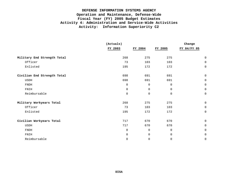|                             | (Actuals)   |             |             | Change      |
|-----------------------------|-------------|-------------|-------------|-------------|
|                             | FY 2003     | FY 2004     | FY 2005     | FY 04/FY 05 |
| Military End Strength Total | 268         | 275         | 275         | $\mathbf 0$ |
| Officer                     | 73          | 103         | 103         | $\mathbf 0$ |
| Enlisted                    | 195         | 172         | 172         | $\mathbf 0$ |
| Civilian End Strength Total | 698         | 691         | 691         | $\mathbf 0$ |
| <b>USDH</b>                 | 698         | 691         | 691         | $\mathbf 0$ |
| <b>FNDH</b>                 | $\mathbf 0$ | $\mathbf 0$ | $\mathbf 0$ | $\Omega$    |
| FNIH                        | $\mathbf 0$ | $\mathbf 0$ | $\mathbf 0$ | $\mathbf 0$ |
| Reimbursable                | $\Omega$    | $\mathbf 0$ | $\mathbf 0$ | $\mathbf 0$ |
| Military Workyears Total    | 268         | 275         | 275         | $\mathbf 0$ |
| Officer                     | 73          | 103         | 103         | $\mathbf 0$ |
| Enlisted                    | 195         | 172         | 172         | $\mathbf 0$ |
| Civilian Workyears Total    | 717         | 670         | 670         | $\mathbf 0$ |
| <b>USDH</b>                 | 717         | 670         | 670         | $\mathbf 0$ |
| <b>FNDH</b>                 | $\mathbf 0$ | $\mathbf 0$ | $\mathbf 0$ | 0           |
| FNIH                        | $\mathbf 0$ | $\mathbf 0$ | $\mathbf 0$ | $\mathbf 0$ |
| Reimbursable                | $\mathbf 0$ | $\mathbf 0$ | $\mathsf 0$ | 0           |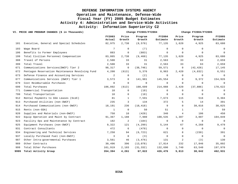| VI. PRICE AND PROGRAM CHANGES (\$ in Thousands) |                                                 |                  | Change FY2003/FY2004 |                   |                           | Change FY2004/FY2005 |                   |                           |  |
|-------------------------------------------------|-------------------------------------------------|------------------|----------------------|-------------------|---------------------------|----------------------|-------------------|---------------------------|--|
|                                                 |                                                 | FY2003<br>Actual | Price<br>Growth      | Program<br>Growth | <b>FY2004</b><br>Estimate | Price<br>Growth      | Program<br>Growth | <b>FY2005</b><br>Estimate |  |
| 101                                             | Executive, General and Special Schedules        | 82,975           | 2,738                | (8, 578)          | 77,135                    | 1,620                | 4,925             | 83,680                    |  |
| 103                                             | Wage Board                                      | $7\phantom{.0}$  | $\mathbf 0$          | (7)               | $\mathbf 0$               | $\Omega$             | $\mathbf 0$       | $\overline{0}$            |  |
| 106                                             | Benefits to Former Employees                    | 883              | 0                    | (883)             | 0                         | $\mathbf 0$          | $\mathbf 0$       | $\mathbf 0$               |  |
| 199                                             | Total Civilian Personnel Compensation           | 83,865           | 2,738                | (9, 468)          | 77,135                    | 1,620                | 4,925             | 83,680                    |  |
| 308                                             | Travel of Persons                               | 2,500            | 33                   | 31                | 2,563                     | 33                   | 63                | 2,659                     |  |
| 399                                             | Total Travel                                    | 2,500            | 33                   | 31                | 2,563                     | 33                   | 63                | 2,659                     |  |
| 671                                             | Communications Services(DWCF) Tier 2            | 98,317           | $\mathbf 0$          | (38, 746)         | 59,571                    | 0                    | (42, 426)         | 17,145                    |  |
| 672                                             | Pentagon Reservation Maintenance Revolving Fund | 4,200            | (613)                | 5,376             | 8,963                     | 2,420                | (4, 832)          | 6,551                     |  |
| 673                                             | Defense Finance and Accounting Services         | 2                | 0                    | (2)               | 0                         | $\Omega$             | $\overline{0}$    | 0                         |  |
| 677                                             | Communications Services (DWCF) Tier 1           | 3,573            | 0                    | 141,981           | 145,554                   | $\mathbf 0$          | 9,372             | 154,926                   |  |
| 679                                             | Cost Reimbursable Purchases                     | 0                | 0                    | $\mathbf 0$       | 0                         | $\mathbf 0$          | 0                 | $\overline{0}$            |  |
| 699                                             | Total Purchases                                 | 106,092          | (613)                | 108,609           | 214,088                   | 2,420                | (37, 886)         | 178,622                   |  |
| 771                                             | Commercial Transportation                       | 18               | 0                    | (18)              | $\mathbf{0}$              | $\mathbf 0$          | $\mathbf 0$       | $\overline{0}$            |  |
| 799                                             | Total Transportation                            | 18               | 0                    | (18)              | $\overline{0}$            | $\Omega$             | $\overline{0}$    | $\overline{0}$            |  |
| 912                                             | Rental Payments to GSA Leases (SLUC)            | 81               | $\mathbf{1}$         | 7,591             | 7,673                     | 115                  | 516               | 8,304                     |  |
| 913                                             | Purchased Utilities (non-DWCF)                  | 235              | 3                    | 134               | 372                       | 5                    | 14                | 391                       |  |
| 914                                             | Purchased Communications (non-DWCF)             | 18,191           | 236                  | (18, 418)         | 9                         | $\Omega$             | 38,016            | 38,025                    |  |
| 915                                             | Rents (non-GSA)                                 | 1                | $\mathbf 0$          | 50                | 51                        | 1                    | $7\phantom{.0}$   | 59                        |  |
| 920                                             | Supplies and Materials (non-DWCF)               | 758              | 10                   | (428)             | 340                       | $\overline{4}$       | 106               | 450                       |  |
| 922                                             | Equip Operation and Maint by Contract           | 91,367           | 1,188                | 7,980             | 100,535                   | 1,307                | 3,007             | 104,849                   |  |
| 923                                             | Facility Ops and Maintenance by Contract        | 182              | 2                    | (184)             | 0                         | $\mathbf 0$          | $\mathbf 0$       | $\overline{0}$            |  |
| 925                                             | Equipment Purchases (non-DWCF)                  | 9,322            | 121                  | (4, 299)          | 5,144                     | 67                   | 4,268             | 9,479                     |  |
| 931                                             | Contract Consultants                            | 472              | 6                    | (478)             | 0                         | $\mathbf 0$          | $\mathbf 0$       | $\overline{0}$            |  |
| 934                                             | Engineering and Technical Services              | 7,250            | 94                   | (6, 723)          | 621                       | 8                    | (238)             | 391                       |  |
| 937                                             | Locally Purchased Fuel (non-DWCF)               | 3                | $\mathbf 0$          | (3)               | $\mathbf 0$               | $\mathbf 0$          | $\overline{0}$    | $\overline{0}$            |  |
| 987                                             | Other Intra-governmental Purchases              | 3,561            | 46                   | (3, 476)          | 131                       | 2                    | (3)               | 130                       |  |
| 989                                             | Other Contracts                                 | 30,496           | 396                  | (13,078)          | 17,814                    | 232                  | 17,846            | 35,892                    |  |
| 999                                             | Total Other Purchases                           | 161,919          | 2,103                | (31, 332)         | 132,690                   | 1,740                | 63,540            | 197,970                   |  |
| 9999                                            | Total Activity Group                            | 354,394          | 4,261                | 67,822            | 426,476                   | 5,813                | 30,642            | 462,931                   |  |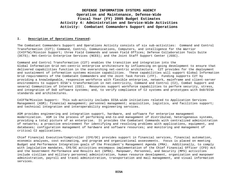#### **I. Description of Operations Financed:**

The Combatant Commanders Support and Operations Activity consists of six sub-activities: Command and Control Transformation (C2T); Command, Control, Communications, Computers, and intelligence for the Warrior (C4IFTW)/Mission Support; three Field Commands and seven Field Offices; Defense Collaboration Tools Suite (DCTS); Net-Centric Enterprise Services (NCES); and the Joint Staff Support Center (JSSC).

Command and Control Transformation (C2T) enables the transition and integration into the Global Information Grid net-centric enterprise architecture by influencing on-going development to ensure that delivered capabilities function in the overarching net-centric architecture. C2T provides for the deployment and sustainment of information systems mission capabilities. These capabilities will support Global Information Grid requirements of the Combatant Commanders and the Joint Task Forces (JTF). Funding supports C2T by providing a knowledgeable, responsive workforce with flexible enterprise, network, mainframe and client-server environments to support DISA's transformation in net-centricity, Command and Control (C2), Combat Support and several Communities of Interest (COI). Resources support workforce capabilities to perform security, stress, and integration of DoD software systems; and, to verify compliance of C2 systems and prototypes with DoD/DISA standards and architectures.

C4IFTW/Mission Support: This sub-activity includes DISA-wide initiatives related to Application Services Management (ASM); financial management; personnel management; acquisition, logistics, and facilities support; and technical integration and interoperability engineering services.

ASM provides engineering and integration support, hardware, and software for enterprise management modernization. ASM is the process of performing end-to-end management of distributed, heterogeneous systems, providing a total picture of an enterprise. It provides the Combatant Commands with centralized administration of networks; a proactive environment for identifying and resolving problems with applications, equipment, and databases; configuration management of hardware and software resources; and monitoring and management of critical C2 applications.

Chief Financial Executive/Comptroller (CFE/DC) provides support in financial services, financial automation, economic analyses, cost estimating, and program and organizational assessments. Focus is placed on meeting Budget and Performance Integration goals of the President's Management Agenda (PMA). Additionally, to comply with legislative mandates, CFE/DC activities encompass implementation of the Chief Financial Officer (CFO) Act and the Government Performance and Results Act (GPRA). Manpower, Personnel, and Security (MPS) activities include civilian and military personnel administration, human resource development, organization and manpower administration, payroll and travel administration, transportation and mail management, and visual information services.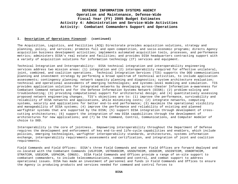#### **I. Description of Operations Financed: (continued)**

The Acquisition, Logistics, and Facilities (ACQ) Directorate provides acquisition solutions, strategy and planning, policy, and services; promotes full and open competition, and socio-economic programs; directs Agency acquisition business development activities; implements automated acquisition tools, processes, and performance metrics; administers DISA's real estate and facilities; and provides DISA headquarters contracting support with a variety of acquisition solutions for information technology (IT) services and equipment.

Technical Integration and Interoperability: DISA technical integration and interoperability engineering services address two mission areas: (1) integration and (2) interoperability required for effective unilateral, joint, combined, and coalition operations. Technical Integration Services (TIS) supports the DOD communications planning and investment strategy by performing a broad spectrum of technical activities, to include application assessments; contingency planning; network capacity planning and diagnostics; system architecture evaluation; technical and operational assessments of emerging technologies; and systems-level modeling and simulation. TIS provides application solutions for integrated networks by developing across-theater Information a—awareness for Combatant Command networks and for the Defense Information Systems Network (DISN); (2) problem-solving and troubleshooting; (3) providing computational support for architectural design; and (4) quantitatively assessing proposed network engineering changes. TIS's objectives are to: (1) improve the performance, survivability and reliability of DISA networks and applications, while minimizing costs; (2) integrate networks, computing systems, security and applications for better end-to-end performance; (3) maximize the operational visibility and manageability of DISA systems; (4) improve the performance and reliability of existing and planned warfighter systems that are supported by the DISN; (5) support DISA integration through development of crosscutting architectures; (6) support the integration of new DISA capabilities through the development of architectures for new applications; and (7) be the Command, Control, Communications, and Computer modeler of choice to DOD.

Interoperability is the core of jointness. Empowering interoperability throughout the Department of Defense requires the development and enforcement of key end-to-end life-cycle capabilities and enablers, which include policies, emerging technologies, warfighter interoperability standards, architectures, systems information exchange, interoperability requirements assessments and certification, and integration of joint and coalition requirements.

Field Commands and Field Offices: DISA's three Field Commands and seven Field Offices are forward deployed and co-located with the Combatant Commands (USJFCOM, USTRANSCOM, USSOUTHCOM, USSOCOM, USCENTCOM, USNORTHCOM, STRATCOM, USEUCOM, USPACOM, CONUS). DISA Field Commands and Offices provide a range of on-site support to combatant commanders, to include telecommunications, command and control, and combat support to address operational issues. DISA has made an investment of personnel and funds in Field Commands and Offices to ensure the Agency is producing products and services needed for command and control forces to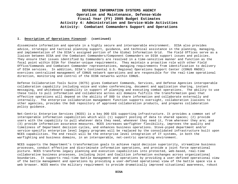#### **I. Description of Operations Financed: (continued)**

disseminate information and operate in a highly secure and interoperable environment. DISA also provides advice, strategic and tactical planning support, guidance, and technical assistance in the planning, managing, and implementation of the DISA's assigned portion of the Global Information Grid. The Field Offices serve as a liaison between DISA and the Combatant Commanders/Component Commanders on DISA support issues and policies. They ensure that issues identified by Commanders are resolved in a time-sensitive manner and function as the focal point within DISA for theater-unique requirements. They maintain a proactive role with other Field Office/Commands and Combatant Commander representatives, managing requirements from identification to delivery of DISA services. In addition, DISA's Continental U.S. Regional Operations Support Center (CONUS RNOSC) exercises centralized management of CONUS network operations and are responsible for the real-time operational direction, monitoring and control of the DISN networks within CONUS.

Defense Collaboration Tools Suite (DCTS) gives Combatant Commands, Services, and Defense Agencies interoperable collaboration capability including voice and video conferencing, document and application sharing, instant messaging, and whiteboard capability in support of planning and executing combat operations. The ability to use these tools to pull information and collaborate across all domains fulfills the transformation goal that effective operations will depend on the ability of DOD to share information and collaborate externally and internally. The enterprise collaboration management function supports oversight, collaboration liaisons to other agencies, provides the DoD repository of approved collaboration products, and prepares collaboration policy guidance.

Net-Centric Enterprise Services (NCES) is a key DOD GIG supporting infrastructure. It provides a common set of interoperable information capabilities which will (1) support posting of data to shared spaces; (2) provide users with the capability to pull whatever data they need, whenever they need it, from wherever they are; and (3) provide information assurance measures. NCES increases warfighter flexibility, improves the quality and timeliness of Department decision cycles, and enhances business operations. Stove-piped department and/or service-specific enterprise level legacy programs will be replaced by the consolidated infrastructure built upon NCES capabilities. The end result will be the enterprise level integration of IT systems, in both the warfighting and business domains, in an interoperable, net-centric operating environment.

NCES supports the Department's transformation goals to achieve rapid decision superiority, streamline business processes, conduct effective and discriminate information operations, and provide a joint force operational picture. NCES transforms legacy planning and execution capabilities into protected, web-based, real-time collaborative business processes, including Joint and Coalition information exchanges across organizational boundaries. It supports real-time battle management and operations by providing a user-defined operational view of the battle management and operations by providing a user-defined operational view of the battle space via a web browser. NCES meets the military requirement to provide dramatically improved situational awareness, robust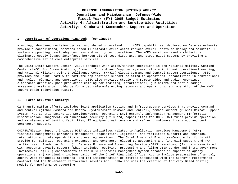#### **I. Description of Operations Financed: (continued)**

alerting, shortened decision cycles, and shared understanding. NCES capabilities, deployed on Defense networks, provide a consolidated, services-based IT infrastructure which reduces overall costs to deploy and maintain IT systems supporting day-to-day business and warfighter operations. The NCES services-based architecture eliminates costly legacy interfaces between disjointed, disparate, and stove-piped systems by providing a comprehensive set of core enterprise services.

The Joint Staff Support Center (JSSC) conducts 24x7 watch/monitor operations in the National Military Command Center (NMCC) for Communications, Command, Control and Computer systems, strategic threat operational warning, and National Military Joint Intelligence Center (NMJIC) Global Command and Control System operations. JSSC provides the Joint Staff with software-applications support relating to operational capabilities in conventional and nuclear planning and operations. JSSC also provides studio and remote video and audio recordings, electronic graphics, post production editing for training, informational, gun camera and battle damage assessment assistance, guidance for video teleconferencing networks and operations, and operation of the NMCC secure cable television system.

#### **II. Force Structure Summary:**

C2 Transformation efforts includes joint application testing and infrastructure services that provide command and control (global Command and Control System/Joint Command and Control), combat support (Global Combat Support System, Net Centric Enterprise Services/Common Operating Environment), information management (Information Dissemination Management, eBusiness)and security (C2 Guard) capabilities for DOD. C2T funds provide operation and maintenance of testing facilities, IT equipment maintenance and refresh, software licensing, and test contractor support.

C4IFTW/Mission Support includes DISA-wide initiatives related to Application Services Management (ASM); financial management; personnel management; acquisition, logistics, and facilities support; and technical integration and interoperability engineering services. The Chief Financial Executive/Comptroller funds will provide for salaries, operating expenses, and contracts related to accounting and financial support and PMA initiatives. Funds pay for: (1) Defense Finance and Accounting Service (DFAS) services; (2) costs associated with accounts payable support (which includes receiving, processing and filing DISA vendor and intra-government invoices/bills); (3) enhancements to the DISA Financial Management System database in support of agency operations; (4) continuing implementation of the Chief Financial Officer Act to include preparation of annual, agency-wide financial statements; and (5) implementation of metrics associated with the agency's Performance Contract and the Government Performance Results Act. GPRA includes the creation of Activity Based Costing models for performance budgeting.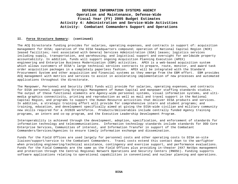#### **II. Force Structure Summary: (continued)**

The ACQ Directorate funding provides for salaries, operating expenses, and contracts in support of: acquisition management for DISA; operation of the DISA headquarters compound; operation of National Capital Region (NCR) leased facilities; rent associated with General Services Administration (GSA) leases; logistics services including supply, transportation, and warehousing; and logistical support and oversight for worldwide property accountability. In addition, funds will support ongoing Acquisition Planning Execution (APEX) engineering and Enterprise Business Modernization (EBM) activities. APEX is a web-based acquisition system which allows customers of DISA's large technical services contracts to prepare, route, monitor, and award task order acquisition packages in a completely paperless fashion. APEX will be integrated with the Standard Procurement System and other acquisition and financial systems as they emerge from the EBM effort. EBM provides ACQ management with metrics and services to assist in accelerating implementation of new processes and automated applications throughout the directorate.

The Manpower, Personnel and Security (MPS) funds will provide for salaries, operating expenses, and contracts for DISA personnel supporting Strategic Management of Human Capital and manpower staffing standards studies. The output of these functional elements are Agency-wide personnel systems, visual information systems, and ultimedia graphics connectivity, printing and reproduction as well as mail and travel support in the National Capital Region, and programs to support the Human Resource activities that deliver DISA products and services. In addition, a strategic training effort will provide for comprehensive intern and student programs; and training, education, and development specifically aimed at giving the DISA-wide civilian and military community new skills required for a JV2020 workforce. Products/deliverables include centrally funded Agency training programs, an intern and co-op program, and the Executive Leadership Development Program.

Interoperability is achieved through the development, adoption, specification, and enforcement of standards for information technology and telecommunications. Information technology standards include standards for DOD Core Enterprise Services, Communities of interest, and Information Transfer in support of the Combatant Commanders/Services/Agencies to ensure timely information exchange and dissemination.

Funds for the Field Offices are used largely for personnel costs and other operating costs to DISA on-site liaison/support/service to the Combatant Commanders. Travel costs extend this contact down to the warfighter when providing engineering/technical assistance, contingency and exercise support, and performance evaluations. Funds for the Field Commands are the same as the Field Offices plus providing in-theater 24X7 NetOps management and protection through the Central Regional Network Operations and Security Centers (RNOSC). Funding supports software applications relating to operational capabilities in conventional and nuclear planning and operations.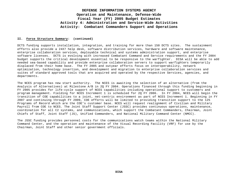#### **II. Force Structure Summary: (continued)**

DCTS funding supports installation, integration, and training for more than 150 DCTS sites. The sustainment efforts also provide a 24X7 help desk, software distribution services, hardware and software maintenance, enterprise collaboration services, deployable technical and systems administration support, and enterprise software licenses. DCTS is evolving with increased Combatant Command and Service requirements and the FY 2004 budget supports the critical development essential to be responsive to the warfighter. DISA will be able to add needed sea-based capability and provide enterprise collaboration servers to support warfighters temporarily displaced from their home base. The FY 2005 and outyear efforts focus on interoperability, network optimization, technology insertion, and development and migration to enterprise collaboration services and suites of standard approved tools that are acquired and operated by the respective Services, agencies, and departments.

The NCES program has new start authority. The NCES is awaiting the selection of an alternative (from the Analysis of Alternatives) at Milestone A/B in 2Q FY 2004. Operations financed through this funding beginning in FY 2005 provides for life-cycle support of NCES capabilities including operational support to customers and program management. Fielding for NCES Increment 1 is scheduled for 2Q FY 2006. In FY 2004, NCES will begin the transition of COE capabilities to a joint, net-centric environment as part of NCES Increment 1. Beginning in FY 2007 and continuing through FY 2009, COE efforts will be limited to providing transition support to the 125 Programs of Record which are the COE's customer base. NCES will request realignment of Civilian and Military Payroll from COE to NCES. The Joint Staff Support Center (JSSC) provides continuous operations, maintenance, coordination for all C2 systems, and communications, which support the Combatant Commanders, Chairman, Joint Chiefs of Staff, Joint Staff (JS), Unified Commanders, and National Military Command Center (NMCC).

The JSSC funding provides personnel costs for the communications watch teams within the National Military Command Center, and the operation and maintenance of the Visual Recording Facility (VRF) for use by the Chairman, Joint Staff and other senior government officials.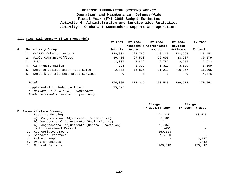### **III. Financial Summary (\$ in Thousands):**

|    |                                                                         | FY 2003     | FY 2004                  | FY 2004 | FY 2004  | FY 2005  |
|----|-------------------------------------------------------------------------|-------------|--------------------------|---------|----------|----------|
|    |                                                                         |             | President's Appropriated |         | Revised  |          |
| А. | Subactivity Group:                                                      | Actuals     | Budget                   | Amount  | Estimate | Estimate |
|    | C4IFTW*/Mission Support                                                 | 138,301     | 123,786                  | 113,140 | 122,563  | 119,451  |
|    | Field Commands/Offices<br>2.                                            | 30,416      | 27,530                   | 22,096  | 28,707   | 30,579   |
|    | 3.<br>JSSC                                                              | 3,007       | 2,832                    | 2,757   | 2,757    | 2,912    |
|    | C2 Transformation<br>4.                                                 | 384         | 3,332                    | 1,317   | 3,529    | 5,559    |
|    | Defense Collaboration Tool Suite<br>5.                                  | 2,878       | 16,835                   | 11,213  | 10,957   | 16,065   |
|    | Network Centric Enterprise Services<br>6.                               | $\mathbf 0$ | 0                        | 0       | 0        | 4,476    |
|    | Total:                                                                  | 174,986     | 174,315                  | 150,523 | 168,513  | 179,042  |
|    | Supplemental included in Total:<br>* includes FY 2003 ADNET Counterdrug | 15,525      |                          |         |          |          |

*funds received in execution year only*

|    |                                                  | Change<br>FY 2004/FY 2004 | Change<br>FY 2004/FY 2005 |
|----|--------------------------------------------------|---------------------------|---------------------------|
|    | B .Reconciliation Summary:                       |                           |                           |
|    | Baseline Funding                                 | 174,315                   | 168,513                   |
|    | a) Congressional Adjustments (Distributed)       | $-6,500$                  |                           |
|    | b) Congressional Adjustments (Undistributed)     |                           |                           |
|    | c) Congressional Adjustments (General Provision) | $-16.654$                 |                           |
|    | d) Congressional Earmark                         | $-638$                    |                           |
|    | Appropriated Amount                              | 150,523                   |                           |
|    | Approved Transfers                               | 17,990                    |                           |
| 4. | Price Change                                     |                           | 3,117                     |
| 5. | Program Changes                                  |                           | 7,412                     |
| б. | Current Estimate                                 | 168,513                   | 179,042                   |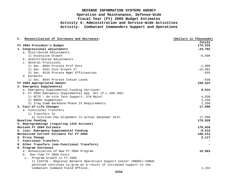| C. Reconciliation of Increases and Decreases:                        | (Dollars in Thousands) |
|----------------------------------------------------------------------|------------------------|
|                                                                      | Totals                 |
| FY 2004 President's Budget                                           | 174, 315               |
| 1. Congressional adjustments                                         | $-23,792$              |
| a. Distributed Adjustments                                           |                        |
| 1) Excessive Growth                                                  | $-6,500$               |
| b. Undistributed Adjustments                                         |                        |
| c. General Provisions                                                |                        |
| 1) Sec. 8094 Prorate Prof Sycs                                       | $-1,008$               |
| 2) Sec. 8101 Cost Growth IT                                          | $-15,091$              |
| 3) Sec. 8126 Prorate Mgmt Efficiencies                               | $-555$                 |
| d. Earmarks                                                          |                        |
| 1) Sec. 8044 Prorate Indian Lands                                    | $-638$                 |
| FY 2004 Appropriated Amount                                          | 150,523                |
| 2. Emergency Supplemental                                            |                        |
| a. Emergency Supplemental Funding Carryover                          | 9,515                  |
| b. FY 2004 Emergency Supplemental App. Act (P.L.108-106)             |                        |
| 1) DCTS - On-site Tech Support; S/W Maint.                           | 4,930                  |
| 2) RNOSC Augmentees                                                  | 2,235                  |
| 3) Iraq Comm Backbone-Phase IV Requirements                          | 2,350                  |
| 3. Fact-of-Life Changes                                              | 17,990                 |
| a. Functional Transfers                                              |                        |
| 1) Transfers In                                                      |                        |
| a) Civilian Pay alignment to actual manpower dist.                   | 17,990                 |
| Baseline Funding                                                     | 178,028                |
| 4. Reprogrammings (requiring 1415 Actions)                           |                        |
| Revised FY 2004 Estimate                                             | 178,028                |
| 5. Less: Emergency Supplemental Funding                              | $-9,515$               |
| Normalized Current Estimate for FY 2004                              | 168,513                |
| 6. Price Change                                                      | 3,117                  |
| 7. Functional Transfers                                              |                        |
| 8. Other Transfers (non-Functional Transfers)                        |                        |
| 9. Program Increases                                                 |                        |
| a. Annualization of New FY 2004 Program                              | 10,683                 |
| b. One-Time FY 2005 Costs                                            |                        |
| c. Program Growth in FY 2005                                         |                        |
| 1) C4IFTW - Regional Network Operations Support Center (RNOSC)-CONUS |                        |
| workload continues to grow as a result of increased support to the   |                        |
| Combatant Command Field Offices.                                     | 1,244                  |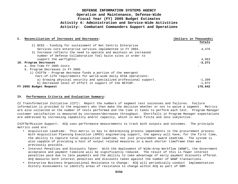| C. Reconciliation of Increases and Decreases:                      | (Dollars in Thousands) |
|--------------------------------------------------------------------|------------------------|
|                                                                    | Totals                 |
| 2) NCES - Funding for sustainment of Net Centric Enterprise        |                        |
| Services core enterprise services implemented in FY 2004.          | 4,476                  |
| 3) Increase reflects the need to operate and maintain an increased |                        |
| number of Defense Collaboration Tool Suite sites in order to       |                        |
| support the warfighter.                                            | 4,963                  |
| 10. Program Decreases                                              | $-3,271$               |
| a. One-Time FY 2005 Costs                                          |                        |
| b. Program Decreases in FY 2005                                    |                        |
| 1) C41FTW - Program decrease funds a portion of the emergent       |                        |
| Fact-of-life requirements for world-wide daily DISA operations:    |                        |
| a) Growing physical security and specialized professional support. | $-1,399$               |
| b) Decreased level of effort in support of the NETCOP.             | $-1.872$               |
| FY 2005 Budget Request                                             | 179,042                |

#### **IV. Performance Criteria and Evaluation Summary:**

*C2 Transformation Initiative (C2T)*: Report the numbers of segment test successes and failures. Failure information is provided to the engineers who then make the decision whether or not to waive a segment. Metrics are also collected on the number of tests performed and the time it takes to perform each test. Program Manager customer satisfaction is measured by increases/decreases throughput. Shortfalls in Program Manager expectations are addressed by increasing capability and/or capacity, which is more finite and less subjective.

*C4IFTW/Mission Support*: ACQ uses performance measurements to track both outputs and outcomes. The principle metrics used are:

- Acquisition Leadtime: This metric is key to determining process impediments in the procurement process. With Acquisition Planning Execution (APEX) engineering support, the agency will have, for the first time, the ability to capture total acquisition leadtime, not just procurement award leadtime. The system is also capable of providing a host of output related measures in a much shorter timeframe than was previously possible.
- Interest Penalties and Discounts Taken: With the deployment of Wide-Area Workflow (WAWF), the Government acceptance and payment timeline will be significantly reduced. The result of this is fewer interest penalties paid due to late payments and the ability to take advantage of early payment discounts offered. ACQ measures both interest penalties and discounts taken against the number of WAWF transactions.
- Enterprise Business Organizational Resistance to Change: ACQ will periodically conduct Implementation History Assessments to identify areas of resistance to change within ACQ as part of EBM.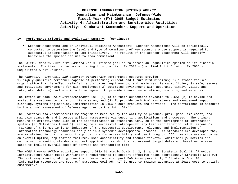#### **IV. Performance Criteria and Evaluation Summary: (continued)**

• Sponsor Assessment and an Individual Readiness Assessment: Sponsor Assessments will be periodically conducted to determine the level and type of commitment of key sponsors whose support is required for successful implementation of EBM initiatives. The results of the sponsor assessment will identify behaviors the sponsor can use to show commitment.

The *Chief Financial Executive/Comptroller's* ultimate goal is to obtain an unqualified opinion on its financial statements. The timeline for accomplishing this goal is: FY 2004 - Qualified Audit Opinion; FY 2005 - Unqualified Audit Opinion.

#### The *Manpower, Personnel, and Security Directorate* performance measures provide:

1) highly-qualified personnel capable of performing current and future DISA missions; 2) customer-focused organization that is effectively-led, anticipates requirements, and maximizes its capabilities; 3) safe, secure, and motivating environment for DISA employees; 3) automated environment with accurate, timely, valid, and integrated data; 4) partnership with management to provide innovative solutions, products, and services.

The intent of each *Field Office/Commands* is: (1) To be their customer's advocate to DISA; (2) To advise and assist the customer to carry out his mission; and (3) To provide technical assistance and management support in planning, systems engineering, implementation in DISA's core products and services. The performance is measured by the annual assessment of Defense Agencies by the Joint Staff.

The *Standards and Interoperability* program is measured by the ability to produce, promulgate, implement, and maintain standards and interoperability assessments via supporting applications and processes. The primary measure of effectiveness lies in the identification of standards early on in the development of information systems (at Milestones A and B) leading to a successful interoperability test certification (at Milestone C). Tracking of this metric is an indicator of the successful development, relevance and implementation of information technology standards early on in a system's developmental process. As standards are developed they are maintained in on-line support applications for accessibility and use throughout DOD. Metrics are maintained on overall uptime, application failures, user accessibility and trouble tickets. Additionally, metrics are maintained in meeting standards support application capability improvement target dates and baseline release dates to include overall speed of service and transaction time.

The *NCES Program Office* activities support DISA Strategic Goals 1, 2, 3, and 5. Strategic Goal #1: "Provide infrastructure which meets Warfighter's requirements to support effective joint operations." Strategic Goal #2: "Support easy sharing of high quality information to support DoD interoperability." Strategic Goal #3: "Information resources are secure." Strategic Goal #5: "IT is used to maximum advantage at least cost to satisfy customers."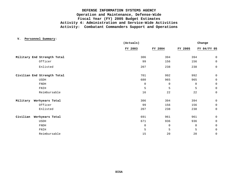**V. Personnel Summary:**

|                             | (Actuals)   |             | Change      |              |  |
|-----------------------------|-------------|-------------|-------------|--------------|--|
|                             | FY 2003     | FY 2004     | FY 2005     | FY 04/FY 05  |  |
| Military End Strength Total | 306         | 394         | 394         | 0            |  |
| Officer                     | 99          | 156         | 156         | $\mathsf{O}$ |  |
| Enlisted                    | 207         | 238         | 238         | $\mathsf{O}$ |  |
| Civilian End Strength Total | 701         | 992         | 992         | 0            |  |
| USDH                        | 680         | 965         | 965         | 0            |  |
| FNDH                        | $\mathbf 0$ | 0           | 0           | $\mathsf{O}$ |  |
| FNIH                        | 5           | 5           | 5           | 0            |  |
| Reimbursable                | 16          | 22          | 22          | $\mathsf{O}$ |  |
| Military<br>Workyears Total | 306         | 394         | 394         | 0            |  |
| Officer                     | 99          | 156         | 156         | $\mathsf{O}$ |  |
| Enlisted                    | 207         | 238         | 238         | 0            |  |
| Civilian<br>Workyears Total | 691         | 961         | 961         | 0            |  |
| USDH                        | 671         | 936         | 936         | $\mathsf{O}$ |  |
| <b>FNDH</b>                 | $\mathbf 0$ | $\mathbf 0$ | $\mathbf 0$ | 0            |  |
| FNIH                        | 5           | 5           | 5           | $\mathbf 0$  |  |
| Reimbursable                | 15          | 20          | 20          | $\mathsf 0$  |  |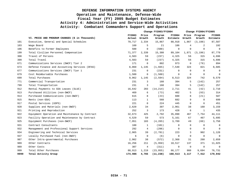### **DEFENSE INFORMATION SYSTEMS AGENCY**

### **Operation and Maintenance, Defense-Wide**

### **Fiscal Year (FY) 2005 Budget Estimates**

# **Activity 4: Administration and Service-Wide Activities**

**Activity: Combatant Commanders Support and Operations**

|      |                                                 |                  |                 | Change FY2003/FY2004 |                    |                 | Change FY2004/FY2005 |                    |  |
|------|-------------------------------------------------|------------------|-----------------|----------------------|--------------------|-----------------|----------------------|--------------------|--|
|      | VI. PRICE AND PROGRAM CHANGES (\$ in Thousands) | FY2003<br>Actual | Price<br>Growth | Program<br>Growth    | FY2004<br>Estimate | Price<br>Growth | Program<br>Growth    | FY2005<br>Estimate |  |
| 101  | Executive, General and Special Schedules        | 70,717           | 2,334           | 15,867               | 88,918             | 1,867           | (3, 198)             | 87,587             |  |
| 103  | Wage Board                                      | 160              | 5               | 21                   | 186                | 4               | 2                    | 192                |  |
| 106  | Benefits to Former Employees                    | 500              | $\mathbf 0$     | (500)                | $\mathbf 0$        | 0               | $\mathbf{0}$         | $\overline{0}$     |  |
| 199  | Total Civilian Personnel Compensation           | 71,377           | 2,339           | 15,388               | 89,104             | 1,871           | (3, 196)             | 87,779             |  |
| 308  | Travel of Persons                               | 4,503            | 59              | (237)                | 4,325              | 56              | 315                  | 4,696              |  |
| 399  | Total Travel                                    | 4,503            | 59              | (237)                | 4,325              | 56              | 315                  | 4,696              |  |
| 671  | Communications Services (DWCF) Tier 2           | 171              | $\Omega$        | 802                  | 973                | $\Omega$        | (79)                 | 894                |  |
| 673  | Defense Finance and Accounting Services (DFAS)  | 8,060            | 1,145           | (1, 665)             | 7,540              | 324             | 821                  | 8,685              |  |
| 677  | Communications Services (DWCF) Tier 1           | 231              | $\mathbf 0$     | (231)                | $\mathbf 0$        | $\mathbf 0$     | $\mathbf 0$          | $\overline{0}$     |  |
| 679  | Cost Reimbursable Purchases                     | 1,500            | $\mathbf 0$     | (1, 500)             | $\mathbf{0}$       | $\mathbf 0$     | $\mathbf 0$          | $\mathbf 0$        |  |
| 699  | Total Purchases                                 | 9,962            | 1,145           | (2, 594)             | 8,513              | 324             | 742                  | 9,579              |  |
| 771  | Commercial Transportation                       | 231              | 3               | 160                  | 394                | 5               | (142)                | 257                |  |
| 799  | Total Transportation                            | 231              | 3               | 160                  | 394                | 5               | (142)                | 257                |  |
| 912  | Rental Payments to GSA Leases (SLUC)            | 16,642           | 283             | (14, 214)            | 2,711              | 41              | (42)                 | 2,710              |  |
| 913  | Purchased Utilities (non-DWCF)                  | 469              | 6               | (73)                 | 402                | 5               | (93)                 | 314                |  |
| 914  | Purchased Communications (non-DWCF)             | 615              | 8               | (23)                 | 600                | 8               | (21)                 | 587                |  |
| 915  | Rents (non-GSA)                                 | 113              | $\mathbf{1}$    | 568                  | 682                | 9               | 8                    | 699                |  |
| 917  | Postal Services (USPS)                          | 221              | $\Omega$        | 224                  | 445                | $\Omega$        | 6                    | 451                |  |
| 920  | Supplies and Materials (non-DWCF)               | 2,620            | 34              | 307                  | 2,961              | 38              | 160                  | 3,159              |  |
| 921  | Printing and Reproduction                       | 252              | 3               | 173                  | 428                | 6               | $\mathbf{1}$         | 435                |  |
| 922  | Equipment Operation and Maintenance by Contract | 32,673           | 425             | 2,792                | 35,890             | 467             | 7,754                | 44,111             |  |
| 923  | Facility Operation and Maintenance by Contract  | 4,529            | 59              | 573                  | 5,161              | 67              | 467                  | 5,695              |  |
| 925  | Equipment Purchases (non-DWCF)                  | 7,951            | 103             | (4, 265)             | 3,789              | 49              | (80)                 | 3,758              |  |
| 931  | Contract Consultants                            | 100              | 1               | (101)                | $\Omega$           | $\Omega$        | $\mathbf 0$          | $\mathbf 0$        |  |
| 932  | Management and Professional Support Services    | 292              | 4               | (296)                | $\Omega$           | $\Omega$        | $\mathbf 0$          | $\Omega$           |  |
| 934  | Engineering and Technical Services              | 2,965            | 39              | (2, 781)             | 223                | 3               | 902                  | 1,128              |  |
| 937  | Locally Purchased Fuel (non-DWCF)               | 6                | $\Omega$        | (6)                  | $\Omega$           | $\Omega$        | $\mathbf{0}$         | $\Omega$           |  |
| 987  | Other Intra-governmental Purchases              | 2,902            | 38              | (572)                | 2,368              | 31              | 260                  | 2,659              |  |
| 989  | Other Contracts                                 | 16,256           | 211             | (5, 950)             | 10,517             | 137             | 371                  | 11,025             |  |
| 989  | Other Costs                                     | 307              | $\overline{4}$  | (311)                | $\mathbf 0$        | $\mathbf 0$     | $\mathbf 0$          | $\Omega$           |  |
| 999  | Total Other Purchases                           | 88,913           | 1,219           | (23, 955)            | 66,177             | 860             | 9,694                | 76,731             |  |
| 9999 | Total Activity Group                            | 174,986          | 4,765           | (11, 238)            | 168,513            | 3,117           | 7,412                | 179,042            |  |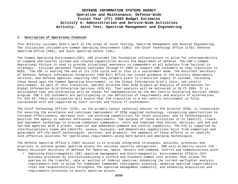#### **I. Description of Operations Financed:**

This Activity includes DISA's work in the areas of Joint Testing, Spectrum Management and General Engineering. The initiatives included are Common Operating Environment (COE); the Chief Technology Office (CTO); Defense Spectrum Office (DSO); and Joint Spectrum Center (JSC).

The Common Operating Environment(COE): COE provides the foundation infrastructure to allow for interoperability of command and control systems and related capabilities across the Department of Defense. The COE's Common Operational Picture is used to provide situational awareness to commanders at all echelons from tactical to strategic. Civilian personnel funding continues through FY 2009 to support COE customers as they transition to NCES. The COE is nearing the end of its life cycle and is thus in a sustainment mode. The Assistant Secretary of Defense, Network Information Integration (ASD-NII) Office has issued guidance to the military departments, services, and defense agencies requiring that they prepare plans to transition legacy IT systems, including those based upon the Common Operating Environment, to the Global Information Grid's joint, net-centric environment. As part of this transition, ASD-NII directed that DISA prepare an Analysis of Alternatives for Global Information Grid Enterprise Services (GIG ES). That analysis will be delivered in 2Q FY 2004. It is anticipated that one alternative will be chosen for implementation by the Net Centric Enterprise Services (NCES) program. COE's 125 customers are participating in the definition of requirements and analysis of alternatives for GIG ES. Their participation will ensure that the transition to a net-centric environment is fully coordinated with and supported by their current and future IT investments.

The Chief Technology Officer (CTO), as the primary senior technical advisor to the Director DISA, is responsible for ensuring the excellence and continued improvement of DISA supplied technology, recognizing opportunities to increase effectiveness, decrease cost, use existing capabilities for novel solutions, and to technologically position the agency to address unforeseen requirements. The purpose of these activities is to identify, create, and implement technology to provide Combatant Commanders, Joint and Combined Task Forces, Services, and DoD and non-DoD agencies with a proven, superior and adaptable command and control capability. The CTO is supported by interdisciplinary teams who identify, assess, evaluate, and demonstrate capabilities built from commercial and government off-the-shelf technologies, services, and products. The emphasis of these efforts is to identify cost-effective solutions for operational requirements using both mature and emerging technologies.

The Defense Spectrum Office's (DSO) mission is to provide integrated strategies, policies, processes and practices to achieve global spectrum access for national security obligations. DSO will primarily assist the Deputy Assistant Secretary of Defense for Spectrum, Space, Sensors and Command, Control and Communications with:

• Improving Electromagnetic (EM) spectrum management and Electromagnectic, Environmental Effects (E3) business processes by institutionalizing a uniform and standard common cost process that allows for queries on the transfer, sale or auction of federal spectrum; enhancing the current warfighter analysis requirements tool to allow for Combatant Commander contingency planning; updating spectrum supportability roles and responsibilities throughout the spectrum management community; and enhancing acquisition and requirements processes to assure spectrum access.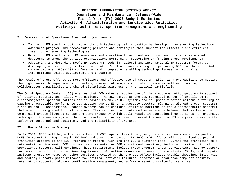#### **I. Description of Operations Financed: (continued)**

- Improving EM spectrum utilization through technological innovation by developing an emerging technology awareness program, and recommending policies and strategies that support the effective and efficient insertion of emerging technologies.
- Promoting EM spectrum and E3 awareness and education through outreach programs on spectrum-related developments among the various organizations performing, supporting or funding these developments.
- Advocating and defending DoD's EM spectrum needs in national and international EM spectrum forums by developing and executing realistic allocation/reallocation/ strategies; preparing DOD for the World Radio Communications (WRC)-2007 Conference; and integrating enabling technology issues in national and international policy development and execution.

The result of these efforts is more efficient and effective use of spectrum, which is a prerequisite to meeting the high bandwidth requirements supporting movement of imagery and intelligence as well as providing collaboration capabilities and shared situational awareness on the tactical battlefield.

The Joint Spectrum Center (JSC) ensures that DOD makes effective use of the electromagnetic spectrum in support of national security and military objectives. The JSC serves as the DOD technical center of excellence for electromagnetic spectrum matters and is tasked to ensure DOD systems and equipment function without suffering or causing unacceptable performance degradation due to E3 or inadequate spectrum planning. Without proper spectrum planning and E3 assessments, weapons systems can be designed utilizing portions of the electromagnetic spectrum that are not designated for military use. This can lead to unintended interference between that system and a commercial system licensed to use the same frequency which could result in operational constraints, or expensive redesign of the weapon system. Joint and coalition forces have increased the need for E3 analyses to ensure the safety of personnel and equipment, and the reliability of ordnance.

#### **II. Force Structure Summary:**

In FY 2004, NCES will begin the transition of COE capabilities to a joint, net-centric environment as part of NCES Increment 1. Beginning in FY 2007 and continuing through FY 2009, COE efforts will be limited to providing transition support to the 125 Programs of record which are the COE's customer base. During the transition to a net-centric environment, COE customer requirements for COE sustainment services, including mission critical operational support, will continue. These requirements include cross-program, inter-service/inter-agency support for resolution of critical engineering issues, information assurance vulnerability analysis (IAVA), and computer incident emergency response. Other services provided by the project office include trouble shooting, integration and testing support, patch releases for critical software failures, information assurance/computer security integration support, software configuration management, and software asset distribution services.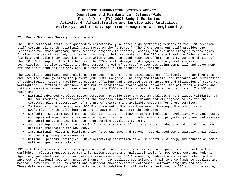#### **II. Force Structure Summary: (continued)**

The CTO's permanent staff is augmented by competitively selected high-performing members of the DISA technical staff serving six-month rotational assignments on the "D-Force." The CTO's permanent staff provides the leadership for cross-program, quick response projects to identify, assess, and evaluate emerging technologies. It also provides structured, on-the-job training to D-Force members. The CTO's staff and the D-Force form a flexible and agile interdisciplinary team which engages in quick response efforts to carry out the mission of the CTO. With support from the D-Force, the CTO's staff designs and engages in analytical studies of technologies. It also develops and demonstrates "proof of concept" prototypes using commercial and government off-the-shelf products and services in a fast-paced, quick response environment.

The DSO will investigate and exploit new methods of using and managing spectrum efficiently. To achieve this end, requires synergy among the players (DOD, FCC, Congress, Industry and Academia) and research and development of technologies, tools and policy to support efficient and unimpeded use of spectrum and mitigation of risks to warfighters. Shifting priorities, fluid market conditions, technological advances, the political climate, and national security issues all have a bearing on the DSO's ability to meet the Department's goals. The DSO will focus on:

- National Advanced Wireless System Decision. Provide DISA and DOD an analysis that includes validation of DOD requirements; an assessment of the business plan/consumer demand and willingness to pay for the services; plus a description of the use of existing and available spectrum for these services.
- Implementation of the approved DOD Electromagnetic Spectrum Management Strategic Plan which sets forth DOD's plan for the efficient use and management of spectrum through 2020.
- Warfighter Spectrum Requirements Analysis Tool II Follow-on effort includes: evolutionary changes based on requested improvements; expanded equipment section to include recent and projected programs and systems and continue to examine links to other service-developed systems.
- Spectrum Supportability Overhaul of the spectrum certification process. Adequate and coordinated DOD position preparation for WRC-2007.
- International Telecommunications Union (ITU) WRC-2007 and Beyond Coordinated DOD preparation; NII policy vs. nothing; adequate resources.
- National Spectrum Strategies Development/implementation of a DOD spectrum strategy and foundation for a national spectrum strategy.

JSC fulfills its mission by providing a myriad of products and services such as: operational support to the warfighter; electromagnetic spectrum information systems and analytical tools for DOD Components and Federal Agencies; and electromagnetic analyses and assessments for DOD Components, Federal Agencies and, when in the interest of national security, private industry. JSC utilizes operations and maintenance funds to populate and maintain extensive EM environmental and equipment characteristics databases, software programs and models. These databases and tools provide the technical foundation for all analysis performed by JSC and, for example,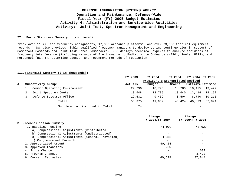#### **II. Force Structure Summary: (continued)**

track over 11 million frequency assignments, 17,000 ordnance platforms, and over 73,000 tactical equipment records. JSC also provides highly qualified frequency managers to deploy during contingencies in support of Combatant Commands and Joint Task Force Commanders. JSC deploys technical experts to analyze incidents of frequency interference (including Hazards of Electromagnetic Radiation to Ordnance (HERO), Fuels (HERF), and Personnel (HERP)), determine causes, and recommend methods of resolution.

#### **III. Financial Summary (\$ in Thousands):**

|    |                                 | FY 2003 | FY 2004                          | FY 2004 | FY 2004 FY 2005          |                          |
|----|---------------------------------|---------|----------------------------------|---------|--------------------------|--------------------------|
|    |                                 |         | President's Appropriated Revised |         |                          |                          |
| Α. | Subactivity Group:              | Actuals | Budget                           | Amount  |                          | <b>Estimate Estimate</b> |
|    | Common Operating Environment    | 24,296  | 18,795                           | 18,280  | 18,475                   | 13,477                   |
|    | Joint Spectrum Center           | 13,548  | 13,705                           | 13,640  | 13,414                   | 14,152                   |
|    | Defense Spectrum Office         | 12,531  | 9,409                            | 8,504   | 8,740                    | 10,215                   |
|    | Total                           | 50,375  | 41,909                           | 40,424  | 40,629                   | 37,844                   |
|    | Supplemental included in Total: | 24      |                                  |         | $\overline{\phantom{a}}$ |                          |

|                                                  | Change                   | Change          |
|--------------------------------------------------|--------------------------|-----------------|
|                                                  |                          | FY 2004/FY 2005 |
| . Reconciliation Summary:                        |                          |                 |
| 1. Baseline Funding                              | 41,909                   | 40,629          |
| a) Congressional Adjustments (Distributed)       | $\overline{\phantom{0}}$ |                 |
| b) Congressional Adjustments (Undistributed)     | $\overline{\phantom{m}}$ |                 |
| c) Congressional Adjustments (General Provision) | $-1.485$                 |                 |
| d) Congressional Earmark                         |                          |                 |
| 2. Appropriated Amount                           | 40,424                   |                 |
| 3. Approved Transfers                            | 205                      |                 |
| 4. Price Change                                  |                          | 637             |
| 5. Program Changes                               |                          | $-3.422$        |
| 6. Current Estimates                             | 40,629                   | 37,844          |
|                                                  |                          | FY 2004/FY 2004 |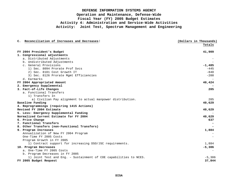| C. Reconciliation of Increases and Decreases:                     | (Dollars in Thousands) |
|-------------------------------------------------------------------|------------------------|
|                                                                   | Totals                 |
|                                                                   |                        |
| FY 2004 President's Budget                                        | 41,909                 |
| 1. Congressional adjustments                                      |                        |
| a. Distributed Adjustments                                        |                        |
| b. Undistributed Adjustments                                      |                        |
| c. General Provisions                                             | $-1,485$               |
| 1) Sec. 8094 Prorate Prof Svcs                                    | $-445$                 |
| 2) Sec. 8101 Cost Growth IT                                       | $-840$                 |
| 3) Sec. 8126 Prorate Mgmt Efficiencies                            | $-200$                 |
| d. Earmarks                                                       |                        |
| FY 2004 Appropriated Amount                                       | 40,424                 |
| 2. Emergency Supplemental                                         |                        |
| 3. Fact-of-Life Changes                                           | 205                    |
| a. Functional Transfers                                           |                        |
| 1) Transfers In                                                   |                        |
| a) Civilian Pay alignment to actual manpower distribution.        | 205                    |
| Baseline Funding                                                  | 40,629                 |
| 4. Reprogrammings (requiring 1415 Actions)                        |                        |
| Revised FY 2004 Estimate                                          | 40,629                 |
| 5. Less: Emergency Supplemental Funding                           |                        |
| Normalized Current Estimate for FY 2004                           | 40,629                 |
| 6. Price Change                                                   | 637                    |
| 7. Functional Transfers                                           |                        |
| 8. Other Transfers (non-Functional Transfers)                     |                        |
| 9. Program Increases                                              | 1,884                  |
| Annualization of New FY 2004 Program                              |                        |
| One-Time FY 2005 Costs                                            |                        |
| Program Growth in FY 2005                                         |                        |
| 1) Contract support for increasing DSO/JSC requirements.          | 1,884                  |
| 10. Program Decreases                                             | $-5,306$               |
| a. One-Time FY 2005 Costs                                         |                        |
| b. Program Decreases in FY 2005                                   |                        |
| 1) Joint Test and Eng. - Sustainment of COE capabilities to NCES. | $-5,306$               |
| FY 2005 Budget Request                                            | 37,844                 |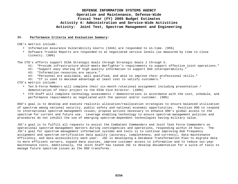#### **IV. Performance Criteria and Evaluation Summary:**

COE's metrics include:

- Information Assurance Vulnerability Alerts (IAVA) are responded to on-time. (95%)
- Software Trouble Reports are responded to at negotiated service levels (as measured by time to close tickets). (90%)

The CTO's efforts support DISA Strategic Goals through Strategic Goals 1 through 5.

- #1: "Provide infrastructure which meets Warfighter's requirements to support effective joint operations."
- #2: "Support easy sharing of high quality information to support DoD interoperability."
- #3: "Information resources are secure."
- #4: "Personnel are available, well qualified, and able to improve their professional skills."
- #5: "IT is used to maximum advantage at least cost to satisfy customers."

CTO's metrics include:

- Ten D-Force Members will complete their six-month rotational assignment including presentation / demonstration of their project to the DISA Vice Director. (100%)
- CTO Staff will complete technology assessments / demonstrations in accordance with the cost, schedule, and performance requirements as negotiated with the sponsor and/or customer. (90%)

DSO's goal is to develop and execute realistic allocation/reallocation strategies to ensure balanced utilization of spectrum among national security, public safety and national economic opportunities. Position DOD to respond to international spectrum management issues; propose actions necessary to enhance DOD's global access to the spectrum for current and future use. Leverage enabling technology to ensure spectrum management policies and procedures do not inhibit the use of emerging spectrum-dependent technologies having military value.

JSC's goal is to fulfill all requests to assist the Combatant Commanders and Joint Task Force Commanders on operational spectrum management matters during contingencies and operations, responding within 24 hours. The JSC's goal for spectrum management information systems and tools is to continue improving DoD frequency assignment and spectrum certification data quality (accuracy, completeness, and currency), data maintenance efficiency, and data accessibility each year. JSC is developing a Database Transformation Plan to migrate data to more efficient servers, expand data sources, improve customer access to information and to reduce out-year maintenance costs. Additionally, the Joint Staff has tasked JSC to develop documentation for a suite of tools to manage future spectrum issues as the DOD transforms.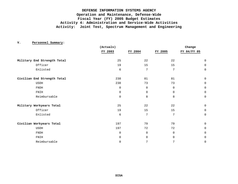|                             | (Actuals)   |             |             | Change      |
|-----------------------------|-------------|-------------|-------------|-------------|
|                             | FY 2003     | FY 2004     | FY 2005     | FY 04/FY 05 |
| Military End Strength Total | 25          | 22          | 22          | $\mathbf 0$ |
| Officer                     | 19          | 15          | 15          | 0           |
| Enlisted                    | 6           | 7           | 7           | $\mathbf 0$ |
| Civilian End Strength Total | 238         | 81          | 81          | $\mathbf 0$ |
| USDH                        | 238         | 73          | 73          | 0           |
| <b>FNDH</b>                 | $\mathbf 0$ | $\mathbf 0$ | $\mathbf 0$ | $\mathbf 0$ |
| FNIH                        | $\mathbf 0$ | $\mathbf 0$ | $\Omega$    | $\mathbf 0$ |
| Reimbursable                | $\mathbf 0$ | 8           | 8           | $\mathbf 0$ |
| Military Workyears Total    | 25          | 22          | 22          | $\mathbf 0$ |
| Officer                     | 19          | 15          | 15          | $\mathbf 0$ |
| Enlisted                    | 6           | 7           | 7           | $\mathbf 0$ |
| Civilian Workyears Total    | 197         | 79          | 79          | $\mathbf 0$ |
| USDH                        | 197         | 72          | 72          | 0           |
| <b>FNDH</b>                 | $\mathbf 0$ | $\mathbf 0$ | $\mathbf 0$ | $\mathbf 0$ |
| FNIH                        | $\mathbf 0$ | $\Omega$    | $\Omega$    | $\mathbf 0$ |
| Reimbursable                | 0           | 7           | 7           | $\mathbf 0$ |

**V. Personnel Summary:**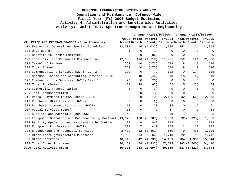|     |                                                            |               |          | Change FY2003/FY2004 |                                        |                | Change FY2004/FY2005 |                |
|-----|------------------------------------------------------------|---------------|----------|----------------------|----------------------------------------|----------------|----------------------|----------------|
|     |                                                            |               |          | FY2003 Price Program |                                        |                | FY2004 Price Program | <b>FY2005</b>  |
|     | VI. PRICE AND PROGRAM CHANGES (\$ in Thousands)            | Actual Growth |          |                      | Growth Estimate Growth Growth Estimate |                |                      |                |
|     | 101 Executive, General and Special Schedules               | 12,601        | 416      | (1, 032)             | 11,985                                 | 252            | 121                  | 12,358         |
|     | 103 Wage Board                                             | $\mathbf{1}$  | $\Omega$ | (1)                  | $\Omega$                               | $\Omega$       | $\Omega$             | $\Omega$       |
|     | 106 Benefits to Former Employees                           | 86            | 0        | (86)                 | $\mathbf 0$                            | $\overline{0}$ | $\mathbf 0$          | $\Omega$       |
|     | 199 Total Civilian Personnel Compensation                  | 12,688        | 416      | (1, 119)             | 11,985                                 | 252            | 121                  | 12,358         |
|     | 308 Travel of Persons                                      | 752           | 10       | (173)                | 589                                    | 8              | 19                   | 616            |
|     | 399 Total Travel                                           | 752           | 10       | (173)                | 589                                    | 8              | 19                   | 616            |
|     | 671 Communications Services (DWCF) Tier 2                  | 120           | $\Omega$ | 2                    | 122                                    | 0              | (17)                 | 105            |
|     | 673 Defense Finance and Accounting Services (DFAS)         | 338           | 48       | (46)                 | 340                                    | 15             | (6)                  | 349            |
|     | 677 Communications Services (DWCF) Tier 1                  | 23            | $\Omega$ | (23)                 | $\Omega$                               | $\Omega$       | $\Omega$             | $\overline{0}$ |
|     | 699 Total Purchases                                        | 481           | 48       | (67)                 | 462                                    | 15             | (23)                 | 454            |
| 771 | Commercial Transportation                                  | 3             | $\Omega$ | (3)                  | $\Omega$                               | $\Omega$       | $\Omega$             | $\Omega$       |
|     | 799 Total Transportation                                   | 3             | $\Omega$ | (3)                  | $\Omega$                               | 0              | $\Omega$             | $\Omega$       |
|     | 912 Rental Payments to GSA Leases (SLUC)                   | 0             | 0        | 2,106                | 2,106                                  | 32             | (65)                 | 2,073          |
|     | 913 Purchased Utilities (non-DWCF)                         | 2             | $\Omega$ | (2)                  | 0                                      | $\overline{0}$ | $\Omega$             | $\overline{0}$ |
|     | 914 Purchased Communications (non-DWCF)                    | 12            | $\Omega$ | 23                   | 35                                     | $\Omega$       | 16                   | 51             |
|     | 917 Postal Services (USPS)                                 | 16            | $\Omega$ | 1                    | 17                                     | $\Omega$       | 1                    | 18             |
| 920 | Supplies and Materials (non-DWCF)                          | 40            | 1        | 8                    | 49                                     | 1              | 13                   | 63             |
|     | 922 Equipment Operation and Maintenance by Contract 13,678 |               | 178      | (6, 787)             | 7,069                                  |                | 92 (5,325)           | 1,836          |
|     | 923 Facility Operation and Maintenance by Contract         | 26            | $\Omega$ | 847                  | 873                                    | 11             | 15                   | 899            |
| 925 | Equipment Purchases (non-DWCF)                             | 528           | 7        | 410                  | 945                                    | 12             | 28                   | 985            |
|     | 934 Engineering and Technical Services                     | 2,479         | 32       | (1, 851)             | 660                                    | 9              | 436                  | 1,105          |
| 987 | Other Intra-governmental Purchases                         | 1,053         | 14       | 643                  | 1,710                                  | 22             | 10                   | 1,742          |
|     | 989 Other Contracts                                        | 18,617        | 242      | (4, 730)             | 14,129                                 | 184            | 1,331                | 15,644         |
|     | 999 Total Other Purchases                                  | 36,451        |          | 474 (9,332)          | 27,593                                 |                | 363 (3,540)          | 24,416         |
|     | 9999 Total Activity Group                                  | 50,375        |          | 948 (10,694)         | 40,629                                 |                | 637 (3,422)          | 37,844         |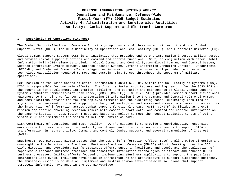#### **I. Description of Operations Financed:**

The Combat Support/Electronic Commerce Activity group consists of three subactivities: the Global Combat Support System (GCSS), the DISA Continuity of Operations and Test Facility (DCTF), and Electronic Commerce (EC).

Global Combat Support System: GCSS is an initiative that provides end-to-end information interoperability across and between combat support functions and command and control functions. GCSS, in conjunction with other Global Information Grid (GIG) elements including Global Command and Control System Global Command and Control System, Defense Information System Network, Defense Message System, Defense Enterprise Computing Centers – Detachments (DECC-D), and Combatant Commands/Service/Agencies information architectures, will provide the information technology capabilities required to move and sustain joint forces throughout the spectrum of military operations.

Per Chairman of the Joint Chiefs of Staff Instruction (CJCSI) 6723.01, within the GCSS Family of Systems (FOS), DISA is responsible for two main efforts. The first is System Architecture and Engineering for the GCSS FOS and the second is for development, integration, fielding, and operation and maintenance of Global Combat Support System (Combatant Commands/Joint Task Force) (GCSS (CC/JTF)). GCSS (CC/JTF) provides Combat Support situational awareness to the joint warfighter by integrating CS information into the Command and Control (C2) environment and communications between the forward deployed elements and the sustaining bases, ultimately resulting in significant enhancement of combat support to the joint warfighter and increased access to information as well as the integration of information across combat support functional areas. GCSS (CC/JTF) is fielded as a GCCS mission application providing decision makers with combat support data, and command and control information on the same workstation. GCSS (CC/JTF) uses web-based technology to meet the Focused Logistics tenets of Joint Vision 2020 and implements the vision of Network Centric Warfare.

DISA Continuity of Operations and Test Facility: DCTF's mission is to provide a knowledgeable, responsive workforce with flexible enterprise, network, mainframe, and client- server environments to support DISA's transformation in net-centricity, Command and Control, Combat Support, and several Communities of Interest (COI).

EBusiness: DOD Directive 8190.2 states that the DOD Chief Information Officer (CIO) shall provide direction and oversight to the Department's Electronic Business/Electronic Commerce (EB/EC) effort. Working under the DOD CIO's direction and oversight, DISA's eBusiness efforts support, facilitate and accelerate the application of paperless electronic business practices and associated information technologies to improve and enhance DOD's business processes. Initial efforts focused on implementing eBusiness applications to support the paperless contracting life cycle, including developing an infrastructure and architecture to support electronic business. The ebusiness vision is to develop, implement and sustain common enterprise-wide solutions that support strategic information exchange in the DOD marketplace.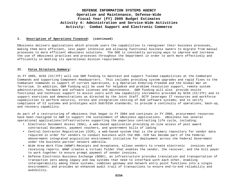#### **I. Description of Operations Financed: (continued)**

EBusiness delivers applications which provide users the capabilities to reengineer their business processes, making them more efficient, less paper intensive and allowing functional business owners to migrate from manual processes to more efficient eBusiness solutions. The DOD is constantly pursuing ways to improve and increase the use of eBusiness practices and processes throughout the Department in order to work more effectively and efficiently in meeting its operational mission requirements.

#### **II. Force Structure Summary:**

In FY 2005, GCSS (CC/JTF) will use O&M funding to maintain and support fielded capabilities at the Combatant Commands and supporting Component Headquarters. This includes providing system upgrades and rapid fixes to the Combatant Commands in support of current operations, e.g Operation Enduring Freedom and the Global War on Terrorism. In addition, O&M funding will be used for helpdesk and problem resolution support, remote system administration, hardware and software licenses and maintenance. O&M funding will also provide onsite functional and technical support to assist users with new capability increments provided by GCSS (CC/JTF) and to support exercises and demonstrations as directed by the Joint Staff. DCTF leverages IT resources and workforce capabilities to perform security, stress and integration testing of DoD software systems; and to verify compliance of C2 systems and prototypes with DoD/DISA standards; to provide a continuity of operations, back-up, and recovery capability.

As part of a restructuring of eBusiness that began in FY 2004 and continues in FY 2005, procurement resources have been realigned to O&M to support the sustainment of eBusiness applications. eBusiness has several operational applications/infrastructures supporting the paperless contracting life cycle, including:

- Electronic Document Access (EDA), a web-based application providing on-line access of post award contractual documents, payment vouchers, and government bills of lading
- Central Contractor Registration (CCR), a web-based system that is the primary repository for vendor data required in order for vendors to conduct business with the DOD. CCR has become part of the Federal eGovernment integrated acquisition environment initiative for deployment across the Federal Government under the business partner network umbrella.
- Wide Area Work Flow (WAWF)–Receipts and Acceptance, allows vendors to create electronic invoices and receiving reports. WAWF creates a virtual folder that enables the vendor, the receiver, and the bill payer to work together to ensure prompt payment of vendor invoices.
- Defense Electronic Business Exchange (DEBX), an infrastructure provides translation and transportation of transaction sets among legacy and new systems that need to interface with each other, enabling interoperability among these systems; combines gateway and network entry point functions into a single environment; and provides an enhanced audit trail of transactions to ensure end-to-end reliability and audibility.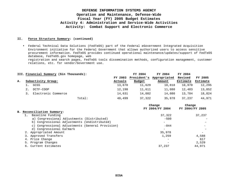#### **II. Force Structure Summary: (continued)**

• Federal Technical Data Solutions (FedTeDS) part of the Federal eGovernment Integrated Acquisition Environment initiative for the Federal Government that allows authorized users to access sensitive procurement information. FedTeDS provides continued operational maintenance/updates/support of FedTeDS database, FedTeDS.gov homepage, web

registration and search pages, FedTeDS tools dissemination methods, configuration management, customer relations, etc. for vendor/Government use.

|    | III. Financial Summary (\$in Thousands): |        |         | FY 2004     | FY 2004      | FY 2004  |          |
|----|------------------------------------------|--------|---------|-------------|--------------|----------|----------|
|    |                                          |        | FY 2003 | President's | Appropriated | Revised  | FY 2005  |
| А. | Subactivity Group:                       |        | Actuals | Budget      | Amount       | Estimate | Estimate |
|    | GCSS                                     |        | 13,670  | 11,629      | 10,818       | 10,970   | 12,295   |
|    | DCTF-COOP                                |        | 12,198  | 11,611      | 11,080       | 12,483   | 13,852   |
|    | Electronic Commerce                      |        | 14,631  | 14,082      | 14,080       | 13,784   | 18,824   |
|    |                                          | Total: | 40,499  | 37,322      | 35,978       | 37,237   | 44,971   |

|  |                                                  | Change<br>FY 2004/FY 2004 | Change<br>FY 2004/FY 2005 |
|--|--------------------------------------------------|---------------------------|---------------------------|
|  | B. Reconciliation Summary:                       |                           |                           |
|  | Baseline Funding                                 | 37,322                    | 37,237                    |
|  | a) Congressional Adjustments (Distributed)       | $-500$                    |                           |
|  | b) Congressional Adjustments (Undistributed)     |                           |                           |
|  | c) Congressional Adjustments (General Provision) | $-844$                    |                           |
|  | d) Congressional Earmark                         | $\qquad \qquad -$         |                           |
|  | 2. Appropriated Amount                           | 35,978                    |                           |
|  | 3. Approved Transfers                            | 1,259                     | 4,588                     |
|  | 4. Price Change                                  |                           | 617                       |
|  | 5. Program Changes                               |                           | 2,529                     |
|  | 6. Current Estimates                             | 37,237                    | 44.971                    |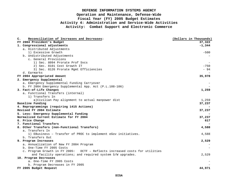| $\mathbf{c}$ . | Reconciliation of Increases and Decreases:                                     | (Dollars in Thousands) |
|----------------|--------------------------------------------------------------------------------|------------------------|
|                | FY 2004 President's Budget                                                     | 37,322                 |
|                | 1. Congressional adjustments                                                   | $-1,344$               |
|                | a. Distributed Adjustments                                                     |                        |
|                | 1) Excessive Growth                                                            | $-500$                 |
|                | b. Undistributed Adjustments                                                   |                        |
|                | c. General Provisions                                                          |                        |
|                | 1) Sec. 8094 Prorate Prof Svcs                                                 |                        |
|                | 2) Sec. 8101 Cost Growth IT                                                    | $-750$                 |
|                | 3) Sec. 8126 Prorate Mgmt Efficiencies                                         | $-94$                  |
|                | d. Earmarks                                                                    |                        |
|                | FY 2004 Appropriated Amount                                                    | 35,978                 |
|                | 2. Emergency Supplemental                                                      |                        |
|                | a. Emergency Supplemental Funding Carryover                                    |                        |
|                | b. FY 2004 Emergency Supplemental App. Act (P.L.108-106)                       |                        |
|                | 3. Fact-of-Life Changes                                                        | 1,259                  |
|                | a. Functional Transfers (internal)                                             |                        |
|                | 1) Transfers In                                                                |                        |
|                | a)Civilian Pay alignment to actual manpower dist                               | 1,259                  |
|                | Baseline Funding                                                               | 37,237                 |
|                | 4. Reprogrammings (requiring 1415 Actions)                                     |                        |
|                | Revised FY 2004 Estimate                                                       | 37,237                 |
|                | 5. Less: Emergency Supplemental Funding                                        |                        |
|                | Normalized Current Estimate for FY 2004                                        | 37,237                 |
|                | 6. Price Change                                                                | 617                    |
|                | 7. Functional Transfers                                                        |                        |
|                | 8. Other Transfers (non-Functional Transfers)                                  | 4,588                  |
|                | a. Transfers In                                                                |                        |
|                | 1) EBusiness - Transfer of PROC to implement eGov initiatives.                 | 4,588                  |
|                | b. Transfers Out                                                               |                        |
|                | 9. Program Increases                                                           | 2,529                  |
|                | a. Annualization of New FY 2004 Program                                        |                        |
|                | b. One-Time FY 2005 Costs                                                      |                        |
|                | DCTF - Reflects increased costs for utilities<br>c. Program Growth in FY 2005: |                        |
|                | and facility operations; and required system S/W upgrades.                     | 2,529                  |
|                | 10. Program Decreases                                                          |                        |
|                | a. One-Time FY 2005 Costs                                                      |                        |
|                | b. Program Decreases in FY 2005                                                |                        |
|                | FY 2005 Budget Request                                                         | 44,971                 |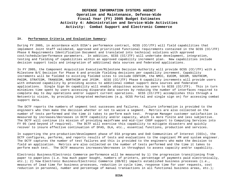#### **IV. Performance Criteria and Evaluation Summary:**

During FY 2005, in accordance with DISA's performance contract, GCSS (CC/JTF) will field capabilities that implement Joint Staff validated, approved and prioritized functional requirements contained in the GCSS (CC/JTF) Phase 6 Requirements Identification Document and translated into technical solutions with approved cost/schedule/performance parameters. In addition, GCSS (CC/JTF) will undertake development, integration, testing and fielding of capabilities within an approved capability increment plan. New capabilities include decision support tools and integration of additional data sources and federated applications.

In FY 2005, the Component Acquisition Executive/Milestone Decision Authority will provide GCSS (CC/JTF) with a Milestone B/C Decision for Phase 6 and provide fielding decisions per capability increment. Capability increments will be fielded to existing fielded sites to include CENTCOM, the NMCC, EUCOM, SOCOM, SOUTHCOM, PACOM, STRATCOM, TRANSCOM, NORTHCOM and JFCOM. GCSS (CC/JTF) Phase 6 capability increments will provide users with enhanced capability by providing access to additional combat support data sources and federated applications. Single Sign On capability will enable ubiquitous access by users to GCSS (CC/JTF). This in turn minimizes time spent by users accessing disparate data sources by reducing the number of interfaces required to complete day to day operations and/or support current operations. GCSS (CC/JTF) accomplishes this through a Netcentric vision, by providing integrated mechanisms (e.g. GCSS Portal and single sign on) for accessing combat support data.

The DCTF reports the numbers of segment test successes and failures. Failure information is provided to the engineers who then make the decision whether or not to waive a segment. Metrics are also collected on the number of tests performed and the time it takes to perform each test. Program Manager customer satisfaction is measured by increases/decreases in DCTF capability and/or capacity, which is more finite and less subjective. The DCTF will continue its mission of providing mainframe and mid-tier COOP support to Computing Services into FY 05 (and beyond if required). The DCTF will exercise this capability to mitigate disasters and quickly recover to insure effective continuation of DFAS, DLA, etc., essential functions, production and services.

In supporting the pre-production/development phase of DIA programs and DoD Communities of Interest (COIs), the DCTF configures, performs, and reports results of tests and evaluations to the cognizant PM and system engineer. The DCTF captures the number of test failures and this is provided to the engineers who make the decision to field an application. Metrics are also collected on the number of tests performed and the time it takes to perform each test. The DCTF measures increases/decreases in throughput to assess capacity and/or capability.

Electronic Business/Electronic Commerce performance will be measured by 1) the progression transitioning from paper to paperless (i.e. how much paper bought, numbers of printers, percentage of payments paid electronically, etc.); 2) how Electronic Business/Electronic Commerce (EB/EC) impacts established business processes (i.e., measures of lead time for business processes, reduction in cycle time, response time for user requests, cost reduction in personnel, number and percentage of manual transactions in all functional business areas, etc.);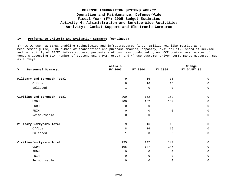#### **IV. Performance Criteria and Evaluation Summary: (continued)**

3) how we use new EB/EC enabling technologies and infrastructures (i.e., utilize ROI-like metrics as a measurement guide, DEBX number of transactions and purchase amounts, capacity, availability, speed of service and reliability of EB/EC infrastructure, percentage of business conducted by non CCR contractors, number of vendors accessing EDA, number of systems using PKI, etc.); and 4) use customer-driven performance measures, such as surveys.

|                             | Actuals      |             |             | Change      |
|-----------------------------|--------------|-------------|-------------|-------------|
| Personnel Summary:<br>v.    | FY 2003      | FY 2004     | FY 2005     | FY 04/FY 05 |
| Military End Strength Total | 9            | 16          | 16          | $\mathbf 0$ |
| Officer                     | 8            | 16          | 16          | $\mathbf 0$ |
| Enlisted                    | $\mathbf{1}$ | $\mathbf 0$ | $\mathbf 0$ | $\mathbf 0$ |
| Civilian End Strength Total | 200          | 152         | 152         | $\mathbf 0$ |
| <b>USDH</b>                 | 200          | 152         | 152         | $\mathbf 0$ |
| FNDH                        | $\mathbf 0$  | $\mathbf 0$ | $\Omega$    | $\mathbf 0$ |
| FNIH                        | $\mathbf 0$  | $\Omega$    | $\Omega$    | $\mathbf 0$ |
| Reimbursable                | $\mathbf 0$  | $\Omega$    | $\mathbf 0$ | $\mathbf 0$ |
| Military Workyears Total    | 9            | 16          | 16          | $\Omega$    |
| Officer                     | 8            | 16          | 16          | 0           |
| Enlisted                    | $\mathbf{1}$ | $\Omega$    | $\mathbf 0$ | $\Omega$    |
| Civilian Workyears Total    | 195          | 147         | 147         | $\mathbf 0$ |
| <b>USDH</b>                 | 195          | 147         | 147         | $\mathbf 0$ |
| <b>FNDH</b>                 | $\mathbf 0$  | $\mathbf 0$ | $\mathbf 0$ | $\mathbf 0$ |
| FNIH                        | $\mathbf 0$  | $\mathbf 0$ | $\mathbf 0$ | $\mathbf 0$ |
| Reimbursable                | $\mathbf 0$  | 0           | $\mathbf 0$ | $\mathbf 0$ |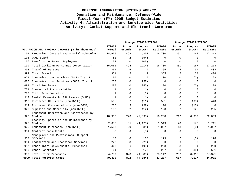|      |                                                    |                  | Change FY2003/FY2004 |                   | Change FY2004/FY2005      |                 |                   |                           |
|------|----------------------------------------------------|------------------|----------------------|-------------------|---------------------------|-----------------|-------------------|---------------------------|
|      | VI. PRICE AND PROGRAM CHANGES (\$ in Thousands)    | FY2003<br>Actual | Price<br>Growth      | Program<br>Growth | <b>FY2004</b><br>Estimate | Price<br>Growth | Program<br>Growth | <b>FY2005</b><br>Estimate |
| 101  | Executive, General and Special Schedules           | 14,906           | 492                  | 1,302             | 16,700                    | 351             | 167               | 17,218                    |
| 103  | Wage Board                                         | 52               | 2                    | (54)              | $\Omega$                  | $\Omega$        | $\Omega$          | $\mathbf 0$               |
| 106  | Benefits to Former Employees                       | 103              | $\mathbf 0$          | (103)             | $\Omega$                  | $\Omega$        | $\mathbf 0$       | $\mathbf 0$               |
| 199  | Total Civilian Personnel Compensation              | 15,061           | 494                  | 1,145             | 16,700                    | 351             | 167               | 17,218                    |
| 308  | Travel of Persons                                  | 351              | 5                    | 9                 | 365                       | 5               | 34                | 404                       |
| 399  | Total Travel                                       | 351              | 5                    | 9                 | 365                       | 5               | 34                | 404                       |
| 671  | Communications Services (DWCF) Tier 2              | 30               | $\mathbf 0$          | 0                 | 30                        | 0               | (2)               | 28                        |
| 677  | Communications Services (DWCF) Tier 1              | 257              | $\Omega$             | (257)             | $\Omega$                  | $\Omega$        | $\Omega$          | $\Omega$                  |
| 699  | Total Purchases                                    | 287              | $\Omega$             | (257)             | 30                        | 0               | (2)               | 28                        |
| 771  | Commercial Transportation                          | 1                | $\Omega$             | (1)               | $\Omega$                  | $\Omega$        | $\Omega$          | $\mathbf 0$               |
| 799  | Total Transportation                               | $\mathbf{1}$     | $\Omega$             | (1)               | $\Omega$                  | $\Omega$        | $\Omega$          | $\Omega$                  |
| 912  | Rental Payments to GSA Leases (SLUC)               | 1                | $\Omega$             | (1)               | $\Omega$                  | $\Omega$        | $\Omega$          | $\mathbf 0$               |
| 913  | Purchased Utilities (non-DWCF)                     | 505              | 7                    | (11)              | 501                       | 7               | (68)              | 440                       |
| 914  | Purchased Communications (non-DWCF)                | 266              | 3                    | (259)             | 10                        | $\Omega$        | (10)              | $\Omega$                  |
| 920  | Supplies and Materials (non-DWCF)                  | 138              | 2                    | (12)              | 128                       | 2               | 125               | 255                       |
| 922  | Equipment Operation and Maintenance by<br>Contract | 18,937           | 246                  | (2, 895)          | 16,288                    | 212             | 6,359             | 22,859                    |
|      | Facility Operation and Maintenance by              |                  |                      |                   |                           |                 |                   |                           |
| 923  | Contract                                           | 2,657            | 35                   | (1, 173)          | 1,519                     | 20              | 172               | 1,711                     |
| 925  | Equipment Purchases (non-DWCF)                     | 1,538            | 20                   | (531)             | 1,027                     | 13              | (3)               | 1,037                     |
| 931  | Contract Consultants                               | 8                | $\Omega$             | (8)               | 0                         | $\mathbf 0$     | $\Omega$          | $\mathbf 0$               |
| 932  | Management and Professional Support<br>Services    | 13               | $\Omega$             | 166               | 179                       | 2               | (3)               | 178                       |
| 934  | Engineering and Technical Services                 | 226              | 3                    | (229)             | $\Omega$                  | $\Omega$        | $\Omega$          | $\mathbf 0$               |
| 987  | Other Intra-governmental Purchases                 | 446              | 6                    | (199)             | 253                       | 3               | 4                 | 260                       |
| 989  | Other Contracts                                    | 64               | $\mathbf{1}$         | 172               | 237                       | 3               | 341               | 581                       |
| 999  | Total Other Purchases                              | 24,799           | 323                  | (4,980)           | 20,142                    | 262             | 6,917             | 27,321                    |
| 9999 | Total Activity Group                               | 40,499           | 822                  | (4,084)           | 37,237                    | 617             | 7,117             | 44,971                    |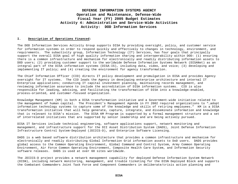#### **I. Description of Operations Financed:**

The DOD Information Services Activity Group supports DISA by providing oversight, policy, and customer service for information systems in order to respond quickly and effectively to changes in technology, environment, and requirements. The subactivity group, Information Technology (IT) Services, has four goals that principally support the overall DISA goal of high quality information sharing and interoperability within DOD: (1) ensuring there is a common infrastructure and mechanism for electronically and readily distributing information assets to DOD users; (2) providing customer support to the worldwide Defense Information Systems Network (DISANet) as an integral part of the DISA information systems (DISA-IS), including data, video, and voice; (3) developing and implementing IT policy; and (4) creating the environment for agency transformation.

The Chief Information Officer (CIO) directs IT policy development and promulgation in DISA and provides Agency oversight for IT systems. The CIO leads the Agency in developing enterprise architecture and internal IT Enterprise applications; conducting IT capital investment planning, maintaining records management, and reviewing information assurance to include the accreditation of DISA information systems. CIO is also responsible for leading, advising, and facilitating the transformation of DISA into a knowledge-enabled, process-oriented, and customer-focused organization.

Knowledge Management (KM) is both a DISA transformation initiative and a Government-wide initiative related to the management of human capital. The President's Management Agenda in FY 2002 required organizations to "…adopt information technology systems to capture some of the knowledge and skills of retiring employees." KM is a DISA transformation initiative that will help generate, capture, integrate, and disseminate information and knowledge that is relevant to DISA's mission. The DISA KM Program is supported by a formal management structure and a set of interrelated initiatives that are supported by senior leadership and are being actively pursued.

DISA IT Services include technical engineering, software applications support, network monitoring and management, and infrastructure support for the DII Asset Distribution System (DADS), Joint Defense Information Infrastructure Control System-Deployed (JDIICS-D), and Enterprise Software Licensing.

DADS is a web based software distribution architecture that provides a common infrastructure and mechanism for electronically and readily distributing Global Information Grid information assets to DoD users. DADS provides global access to the Common Operating Environment, Global Command and Control System, Army Common Operating Environment, Air Force Common Operating Environment, Composite Health Care System, and Information Security software releases. DADS is used at over 60 sites worldwide.

The JDIICS-D project provides a network management capability for deployed Defense Information System Network (DISN), including network monitoring, management, and trouble ticketing for the DISN Deployed Block and supports the Combatant Commanders Joint Task Force and Component Commanders in deliberate/crisis action planning and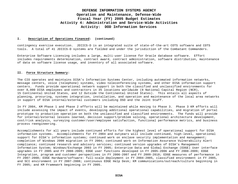#### **I. Description of Operations Financed: (continued)**

contingency exercise execution. JDIICS-D is an integrated suite of state-of-the-art COTS software and COTS tools. A total of 41 JDIICS-D systems are fielded and under the jurisdiction of the Combatant Commanders.

Enterprise Software Licensing includes a large, multi-user license for Oracle database software. Effort includes requirements determination, contract award, contract administration, software distribution, maintenance of data on software license usage, and inventory of all associated software.

#### **II. Force Structure Summary:**

The CIO operates and maintains DISA's Information Systems Center, including automated information networks, message centers, voice (telephone) systems, video teleconferencing systems, and other DISA information support centers. Funds provide operational network support in both the classified and unclassified environments for over 8,000 DISA employees and contractors in 35 locations worldwide (8 National Capital Region (NCR), 15 Continental United States, and 12 Outside the Continental United States). This entails all aspects of planning, procuring, systems integration, installation, and operation and maintenance of the local area networks in support of DISA internal/external customers including OSD and the Joint Staff.

In FY 2004, KM Phase 1 and Phase 2 efforts will be maintained while moving to Phase 3. Phase 3 KM efforts will include assessing the impact of events, developing additional operational capabilities, and migration of portal prototype to production operation on both the unclassified and classified environments. The funds will provide for internal/external lessons learned, decision support/problem solving, operational architecture development, cost/risk analysis, surveying customer/user/employee satisfaction, functional performance metrics, and business process reengineering.

Accomplishments for all years include continued efforts for the highest level of operational support for DISA information systems. Accomplishments for FY 2004 and outyears will include continued, high-level, operational support for DISA's information systems; continued work on enclave security implementation and management; completion of Windows 2000 migration in FY 2004; continued work on Information Assurance Vulnerability Alert compliance; continued research and advisory services; continued version upgrades of DISA's Management Information System; Windows/Exchange 2003 in FY 2005; Enterprise Data and Global Exchange (EDGE) User interface upgrades in FY 2005 and FY 2008-2009; EDGE user functions developed in FY 2005-2006 and FY 2008-2009; EDGE Integration, program and customer perspectives in FY 2006-2007 and FY 2009-2010; EDGE measures of performance in FY 2007-2008; EDGE Hardware/software: full-scale deployment in FY 2004-2005, classified environment in FY 2005, and SCI environment in FY 2007-2008; continuous EDGE Help Desk; KM communications/outreach/culture beginning in FY 2005; and KM Framework beginning in FY 2005.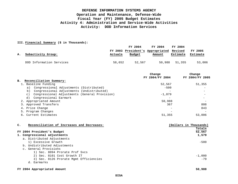### **III. Financial Summary (\$ in Thousands):**

|    |                          |         | FY 2004 | FY 2004                                  | FY 2004       |          |
|----|--------------------------|---------|---------|------------------------------------------|---------------|----------|
| А. |                          |         |         | FY 2003 President's Appropriated Revised |               | FY 2005  |
|    | Subactivity Group:       | Actuals | Budget  | Amount                                   | Estimate      | Estimate |
|    | DOD Information Services | 58,652  | 52,567  |                                          | 50,988 51,355 | 53,006   |

|                                                            | Change          | Change          |
|------------------------------------------------------------|-----------------|-----------------|
|                                                            | FY 2004/FY 2004 | FY 2004/FY 2005 |
| Reconciliation Summary:<br>в.                              |                 |                 |
| 1. Baseline Funding                                        | 52,567          | 51,355          |
| Congressional Adjustments (Distributed)<br>a)              | $-500$          |                 |
| Congressional Adjustments (Undistributed)<br>b)            |                 |                 |
| Congressional Adjustments (General Provision)<br>$\circ$ ) | $-1.079$        |                 |
| Congressional Earmark<br>d)                                |                 |                 |
| 2. Appropriated Amount                                     | 50,988          |                 |
| 3. Approved Transfers                                      | 367             | 808             |
| 4. Price Change                                            |                 | 843             |
| 5. Program Changes                                         |                 |                 |
| 6. Current Estimates                                       | 51,355          | 53,006          |
|                                                            |                 |                 |

| c. | Reconciliation of Increases and Decreases: |  | (Dollars in Thousands) |
|----|--------------------------------------------|--|------------------------|
|    |                                            |  | Totals                 |
|    | FY 2004 President's Budget                 |  | 52,567                 |
|    | 1. Congressional adjustments               |  | 1,579                  |
|    | a. Distributed Adjustments                 |  |                        |
|    | 1) Excessive Growth                        |  | $-500$                 |
|    | b. Undistributed Adjustments               |  |                        |
|    | c. General Provisions                      |  |                        |
|    | 1) Sec. 8094 Prorate Prof Svcs             |  |                        |
|    | 2) Sec. 8101 Cost Growth IT                |  | $-1,000$               |
|    | 3) Sec. 8126 Prorate Mgmt Efficiencies     |  | $-79$                  |
|    | Earmarks<br>d.                             |  |                        |
|    |                                            |  |                        |

**FY 2004 Appropriated Amount 50,988**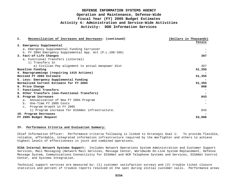| $\mathbf{c}$ . | Reconciliation of Increases and Decreases: (continued)   | (Dollars in Thousands) |
|----------------|----------------------------------------------------------|------------------------|
|                |                                                          | Totals                 |
|                | 2. Emergency Supplemental                                |                        |
|                | a. Emergency Supplemental Funding Carryover              |                        |
|                | b. FY 2004 Emergency Supplemental App. Act (P.L.108-106) |                        |
|                | 3. Fact-of-Life Changes                                  | 367                    |
|                | a. Functional Transfers (internal)                       |                        |
|                | 1) Transfers In                                          |                        |
|                | a) Civilian Pay alignment to actual manpower dist        | 367                    |
|                | Baseline Funding                                         | 51,355                 |
|                | 4. Reprogrammings (requiring 1415 Actions)               |                        |
|                | Revised FY 2004 Estimate                                 | 51,355                 |
|                | 5. Less: Emergency Supplemental Funding                  |                        |
|                | Normalized Current Estimate for FY 2004                  | 51,355                 |
|                | 6. Price Change                                          | 808                    |
|                | 7. Functional Transfers                                  |                        |
|                | 8. Other Transfers (non-Functional Transfers)            |                        |
|                | 9. Program Increases                                     | 843                    |
|                | a. Annualization of New FY 2004 Program                  |                        |
|                | b. One-Time FY 2005 Costs                                |                        |
|                | c. Program Growth in FY 2005                             |                        |
|                | 1) Program increase for DISANet infrastructure.          | 843                    |
|                | 10. Program Decreases                                    |                        |
|                | FY 2005 Budget Request                                   | 53,006                 |

#### **IV. Performance Criteria and Evaluation Summary:**

Chief Information Officer: Performance criteria following is linked to Strategic Goal 1: To provide flexible, reliable, affordable, integrated information infrastructure required by the Warfighter and others to achieve highest levels of effectiveness in joint and combined operations.

**DISA Internal Network Systems Support:** Includes Network Operations System Administration and Customer Support Services, Mail Messaging (Network Mail Services, Message Center, Worldwide On-Line System Replacement, Defense Message System, Communications Connectivity for DISANet and NCR Telephone Systems and Services, DISANet Control Center, and Systems Integration.

Technical support services are measured by: (1) customer satisfaction surveys and (2) trouble ticket closure statistics and percent of trouble reports resolved on the spot during initial customer calls. Performance areas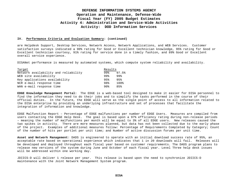#### **IV. Performance Criteria and Evaluation Summary: (continued)**

are Helpdesk Support, Desktop Services, Network Access, Network Applications, and WEB Services. Customer satisfaction surveys indicated a 90% rating for Good or Excellent technician knowledge, 95% rating for Good or Excellent technician courtesy, 91% rating for service done in a timely fashion, and 89% Good or Excellent overall service experience.

DISANet performance is measured by automated systems, which compute system reliability and availability.

| Target                               | Results |       |
|--------------------------------------|---------|-------|
| Network availability and reliability | 99%     | 97.5% |
| WEB site availability                | 99%     | 99%   |
| Key applications availability        | 95%     | 95%   |
| NCR e-mail response time             | 98%     | 100%  |
| WAN e-mail response time             | 90%     | 85%   |

**EDGE Knowledge Management Portal:** The EDGE is a web-based tool designed to make it easier for DISA personnel to find the information they need to do their jobs and to simplify the tasks performed in the course of their official duties. In the future, the EDGE will serve as the single point of access to all information related to the DISA enterprise by providing an underlying infrastructure and set of processes that facilitate the integration of information and knowledge.

EDGE Malfunction Report – Percentage of EDGE malfunctions per number of EDGE Users. Measures are compiled from users contacting the EDGE Help Desk. The goal is based upon a 97% efficiency rating during non-release periods – meaning the number of malfunctions per month will be equal to 3% of all EDGE users. New releases caused the two spikes in activity. There are more measures planned, but data has not been collected due to the early phase of the project. Examples of additional measures follow: Percentage of Requirements Completed by Category; Count of the number of hits per portlet per unit time; and Number of active discussion forums per unit time.

**Asset and Network Management**: DADS is engineered to operate with an initial download success rate of 95%, an acceptable rate based on operational experience which indicates that 1 in 20 downloads will fail. Releases will be developed and deployed throughout each fiscal year based on customer requirements. The DADS program plans to release new versions of the system during June and October of each fiscal year. Level Three help desk issues will be addressed within one working day.

JDIICS-D will deliver 1 release per year. This release is based upon the need to synchronize JDIICS-D maintenance with the Joint Network Management System program.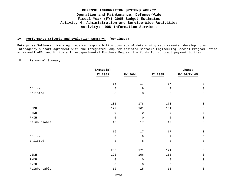### **DEFENSE INFORMATION SYSTEMS AGENCY Operation and Maintenance, Defense-Wide Fiscal Year (FY) 2005 Budget Estimates Activity 4: Administration and Service-Wide Activities Activity: DOD Information Services**

### **IV. Performance Criteria and Evaluation Summary: (continued)**

**Enterprise Software Licensing:** Agency responsibility consists of determining requirements, developing an interagency support agreement with the Integrated Computer Assisted Software Engineering Special Program Office at Maxwell AFB, and Military Interdepartmental Purchase Request the funds for contract payment to them.

### **V. Personnel Summary:**

|              | (Actuals)   |                  |             | Change              |
|--------------|-------------|------------------|-------------|---------------------|
|              | FY 2003     | FY 2004          | FY 2005     | FY 04/FY 05         |
|              | 16          | $17$             | $17$        | $\mathbf 0$         |
|              |             |                  |             |                     |
| Officer      | $\,8\,$     | 9                | 9           | $\mathsf{O}$        |
| Enlisted     | $\,8\,$     | $\,8\,$          | $\,8\,$     | $\mathsf{O}\xspace$ |
|              |             |                  |             |                     |
|              | 185         | 178              | 178         | $\mathsf{O}$        |
| USDH         | 172         | 161              | 161         | $\mathsf{O}\xspace$ |
| ${\tt FNDH}$ | $\mathbf 0$ | $\boldsymbol{0}$ | $\mathbf 0$ | $\mathsf{O}$        |
| ${\tt FNIH}$ | $\mathbf 0$ | $\mathsf 0$      | $\mathsf 0$ | $\mathsf{O}\xspace$ |
| Reimbursable | $13$        | $17\,$           | $17\,$      | $\mathsf{O}$        |
|              | 16          | $17$             | $17\,$      | $\mathsf{O}$        |
| Officer      | $\,8\,$     | 9                | 9           | $\mathsf{O}\xspace$ |
| Enlisted     | 8           | 8                | 8           | $\mathsf 0$         |
|              | 205         | 171              | 171         | $\mathsf{O}$        |
| USDH         | 193         | 156              | 156         | $\mathsf{O}\xspace$ |
| ${\tt FNDH}$ | $\mathsf 0$ | 0                | 0           | $\mathsf 0$         |
| ${\tt FNIH}$ | $\mathbf 0$ | $\mathbf 0$      | $\mathbf 0$ | $\mathsf 0$         |
| Reimbursable | $1\,2$      | $15$             | $15\,$      | $\mathsf 0$         |
|              |             |                  |             |                     |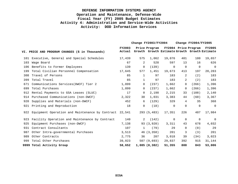# **DEFENSE INFORMATION SYSTEMS AGENCY Operation and Maintenance, Defense-Wide Fiscal Year (FY) 2005 Budget Estimates Activity 4: Administration and Service-Wide Activities Activity: DOD Information Services**

|     |                                                            | Change $FY2003/FY2004$  |              |               |                                               | Change FY2004/FY2005 |                      |               |  |
|-----|------------------------------------------------------------|-------------------------|--------------|---------------|-----------------------------------------------|----------------------|----------------------|---------------|--|
|     | VI. PRICE AND PROGRAM CHANGES (\$ in Thousands)            | <b>FY2003</b><br>Actual |              | Price Program | Growth Growth Estimate Growth Growth Estimate |                      | FY2004 Price Program | <b>FY2005</b> |  |
|     | 101 Executive, General and Special Schedules               | 17,439                  | 575          | 1,062         | 19,076                                        | 401                  | 180                  | 19,657        |  |
| 103 | Wage Board                                                 | 67                      | 2            | 528           | 597                                           | 13                   | 16                   | 626           |  |
| 106 | Benefits to Former Employees                               | 139                     | $\mathbf 0$  | (139)         | $\mathbf 0$                                   | $\mathbf 0$          | $\mathbf 0$          | $\mathbf 0$   |  |
| 199 | Total Civilian Personnel Compensation                      | 17,645                  | 577          | 1,451         | 19,673                                        | 413                  | 197                  | 20,283        |  |
| 308 | Travel of Persons                                          | 85                      | 1            | 97            | 183                                           | 2                    | (2)                  | 183           |  |
| 399 | Total Travel                                               | 85                      | $\mathbf{1}$ | 97            | 183                                           | $\overline{2}$       | (2)                  | 183           |  |
| 671 | Communications Services(DWCF) Tier 2                       | 1,899                   | 0            | (237)         | 1,662                                         | 0                    | (266)                | 1,396         |  |
| 699 | Total Purchases                                            | 1,899                   | $\Omega$     | (237)         | 1,662                                         | 0                    | (266)                | 1,396         |  |
|     | 912 Rental Payments to GSA Leases (SLUC)                   | 17                      | 0            | 2,198         | 2,215                                         | 33                   | (108)                | 2,140         |  |
|     | 914 Purchased Communications (non-DWCF)                    | 2,322                   | 30           | 1,031         | 3,383                                         | 44                   | (60)                 | 3,367         |  |
| 920 | Supplies and Materials (non-DWCF)                          | 452                     | 6            | (129)         | 329                                           | 4                    | 35                   | 368           |  |
|     | 921 Printing and Reproduction                              | 18                      | 0            | (18)          | 0                                             | 0                    | 0                    | $\Omega$      |  |
|     | 922 Equipment Operation and Maintenance by Contract 22,541 |                         |              | 293 (5,483)   | 17,351                                        | 226                  | 407                  | 17,984        |  |
| 923 | Facility Operation and Maintenance by Contract             | 140                     | 2            | (142)         | $\mathbf 0$                                   | $\Omega$             | 0                    | $\mathbf{0}$  |  |
| 925 | Equipment Purchases (non-DWCF)                             | 7,138                   |              | 93 (3,920)    | 3,311                                         | 43                   | 678                  | 4,032         |  |
| 931 | Contract Consultants                                       | 107                     | 1            | (79)          | 29                                            | $\Omega$             | (0)                  | 29            |  |
| 987 | Other Intra-governmental Purchases                         | 3,513                   |              | 46 (3,358)    | 201                                           | 3                    | (3)                  | 201           |  |
| 989 | Other Contracts                                            | 2,775                   | 36           | 207           | 3,018                                         | 39                   | (34)                 | 3,023         |  |
| 999 | Total Other Purchases                                      | 39,023                  |              | 507(9,693)    | 29,837                                        | 392                  | 915                  | 31,144        |  |
|     | 9999 Total Activity Group                                  | 58,652                  |              | 1,085(8,382)  | 51,355                                        | 808                  | 843                  | 53,006        |  |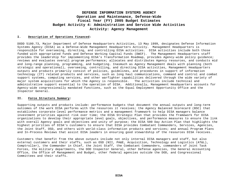#### **I. Description of Operations Financed:**

DODD 5100.73, Major Department of Defense Headquarters Activities, 13 May 1999, designates Defense Information Systems Agency (DISA) as a Defense-Wide Management Headquarters Activity. Management Headquarters is responsible for overseeing, directing, and controlling DISA activities. DISA activities include both those funded with appropriated funds and Defense Working Capital Funds (DWCF). The Management Headquarters staff provides the leadership for implementing DISA's Transformation Roadmap, provides Agency-wide policy guidance; reviews and evaluates overall program performance; allocates and distributes Agency resources, and conducts mid and long-range planning, programming, and budgeting. Inasmuch as Agency Management deals with planning (both strategic and operational), overseeing, controlling, and directing DISA activities, Management Headquarters outputs and products primarily consist of policies, guidelines, and procedures in support of information technology (IT) related products and services, such as long haul communications, command and control and combat support systems, computing services, and other warfighter capabilities delivered through the wide variety of major system acquisitions for which the Agency is responsible. The activities include technical and administrative support essential to the operation of DISA. Additionally, Management Headquarters accounts for Agency-wide congressionally mandated functions, such as the Equal Employment Opportunity Office and the Inspector General.

#### **II. Force Structure Summary:**

Supporting outputs and products include: performance budgets that document the annual outputs and long-term outcomes of the work DISA performs with the resources it receives; the Agency Balanced Scorecard (BSC) that establishes corporate-level performance metrics and a management framework to help DISA managers balance investment priorities against risk over time; the DISA Strategic Plan that provides the framework for DISA organizations to develop their appropriate level goals, objectives, and performance measures to ensure the link with overall Agency goals and objectives and unity of purpose; the DISA 500 Day Action Plan that highlights the highest priorities of DISA's customers to ensure that DISA provides Combatant Commanders, Services, Agencies, the Joint Staff, OSD, and others with world-class information products and services; and annual Program Plans and In-Process Reviews that assist DISA leaders in ensuring good stewardship of the resources DISA receives.

Customers that benefit from the above outputs include not only internal DISA managers and staff, but also external customers and their staffs, such as OSD (NII, PA&E, Acquisition, Technology and Logistics (AT&L), Comptroller), the Commander in Chief, the Joint Staff, the Combatant Commanders, commanders of Joint Task Forces, the military departments, the DOD Inspector General, other Defense agencies, the General Accounting Office, the Office of Management and Budget, other federal agencies outside the DOD, and Congressional Committees and their staffs.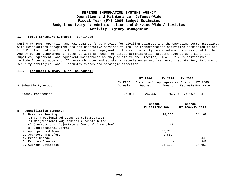#### **II. Force Structure Summary: (continued)**

During FY 2005, Operation and Maintenance funds provide for civilian salaries and the operating costs associated with Headquarters Management and administrative services to include transformation activities identified to and by OSD. Included are funds for the mandated repayment of Agency disability compensation costs assigned to the Agency by the Department of Labor as well as funds for direct administration support such as general office supplies, equipment, and equipment maintenance as they relate to the Director, DISA. FY 2005 initiatives include Internet access to IT research notes and strategic reports on enterprise network strategies, information security strategies, and IT industry trends and strategic direction.

#### **III. Financial Summary (\$ in Thousands):**

| A. Subactivity Group:                                      | FY 2003<br>Actuals | FY 2004<br>President's Appropriated Revised FY 2005<br>Budget | FY 2004<br>Amount        | FY 2004<br><b>Estimate Estimate</b> |        |
|------------------------------------------------------------|--------------------|---------------------------------------------------------------|--------------------------|-------------------------------------|--------|
| Agency Management                                          | 27,911             | 26,755                                                        | 26,738                   | 24,169                              | 24,966 |
|                                                            |                    | Change                                                        | FY 2004/FY 2004          | Change<br>FY 2004/FY 2005           |        |
| B. Reconciliation Summary:                                 |                    |                                                               |                          |                                     |        |
| 1. Baseline Funding                                        |                    |                                                               | 26,755                   |                                     | 24,169 |
| a) Congressional Adjustments (Distributed)                 |                    |                                                               |                          |                                     | -      |
| b) Congressional Adjustments (Undistributed)               |                    |                                                               | $\overline{\phantom{a}}$ |                                     |        |
| Congressional Adjustments (General Provision)<br>$\circ$ ) |                    |                                                               | $-17$                    |                                     |        |
| d) Congressional Earmark                                   |                    |                                                               |                          |                                     |        |
| 2. Appropriated Amount                                     |                    |                                                               | 26,738                   |                                     |        |
| 3. Approved Transfers                                      |                    |                                                               | $-2,569$                 |                                     |        |
| Price Change<br>4.                                         |                    |                                                               |                          |                                     | 449    |
| 5. Program Changes                                         |                    |                                                               |                          |                                     | 347    |

6. Current Estimates 24,169 24,965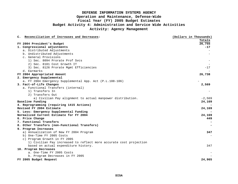| C. Reconciliation of Increases and Decreases:                      | (Dollars in Thousands) |
|--------------------------------------------------------------------|------------------------|
|                                                                    | Totals                 |
| FY 2004 President's Budget                                         | 26,755                 |
| 1. Congressional adjustments                                       | $-17$                  |
| a. Distributed Adjustments                                         |                        |
| b. Undistributed Adjustments                                       |                        |
| c. General Provisions                                              |                        |
| 1) Sec. 8094 Prorate Prof Sycs                                     |                        |
| 2) Sec. 8101 Cost Growth IT                                        |                        |
| 3) Sec. 8126 Prorate Mgmt Efficiencies                             | $-17$                  |
| d. Earmarks                                                        |                        |
| FY 2004 Appropriated Amount                                        | 26,738                 |
| 2. Emergency Supplemental                                          |                        |
| a. FY 2004 Emergency Supplemental App. Act (P.L.108-106)           |                        |
| 3. Fact-of-Life Changes                                            | 2,569                  |
| a. Functional Transfers (internal)                                 |                        |
| 1) Transfers In                                                    |                        |
| 2) Transfers Out                                                   |                        |
| a) Civilian Pay alignment to actual manpower distribution.         | $-2,569$               |
| Baseline Funding                                                   | 24,169                 |
| 4. Reprogramming (requiring 1415 Actions)                          |                        |
| Revised FY 2004 Estimate                                           | 24,169                 |
| 5. Less: Emergency Supplemental Funding                            |                        |
| Normalized Current Estimate for FY 2004                            | 24,169                 |
| 6. Price Change                                                    | 449                    |
| 7. Functional Transfers                                            |                        |
| 8. Other Transfers (non-Functional Transfers)                      |                        |
| 9. Program Increases                                               |                        |
| a) Annualization of New FY 2004 Program                            | 347                    |
| b) One-Time FY 2005 Costs                                          |                        |
| c) Program Growth in FY 2005                                       |                        |
| 1) Civilian Pay increased to reflect more accurate cost projection |                        |
| based on actual expenditure history.                               | 347                    |
| 10. Program Decreases                                              |                        |
| a. One-Time FY 2005 Costs                                          |                        |
| b. Program Decreases in FY 2005                                    |                        |
| FY 2005 Budget Request                                             | 24,965                 |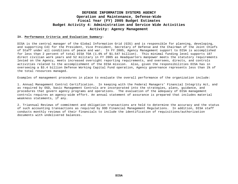#### **IV. Performance Criteria and Evaluation Summary:**

DISA is the central manager of the Global Information Grid (GIG) and is responsible for planning, developing, and supporting C4I for the President, Vice President, Secretary of Defense and the Chairman of the Joint Chiefs of Staff under all conditions of peace and war. In FY 2005, Agency Management support to DISA is accomplished for less than 2 percent of total DISA TOA (1.6% of \$1.547 billion). This minimal funding level supports 187 direct civilian work years and 52 military in FY 2005 as Headquarters manpower meets the statutory requirements levied on the Agency, meets increased oversight reporting requirements, and oversees, directs, and controls activities related to the accomplishment of the DISA mission. Also, given the responsibilities DISA has in overseeing a \$3.4 billion Defense Working Capital Fund operation, Agency governance represents less than 1% of the total resources managed.

Examples of management procedures in place to evaluate the overall performance of the organization include:

1. Annual Management Control Certification. In keeping with the Federal Managers' Financial Integrity Act, and as required by OSD, basic Management Controls are incorporated into the strategies, plans, guidance, and procedures that govern agency programs and operations. The evaluation of the adequacy of DISA management controls requires an agency-wide effort. An annual statement of assurance is prepared that includes material weakness statements, if any.

2. Triannual Reviews of commitment and obligation transactions are held to determine the accuracy and the status of such accounting transactions as required by DOD Financial Management Regulations. In addition, DISA staff conducts monthly reviews of their financials to include the identification of requisitions/authorization documents with undelivered balances.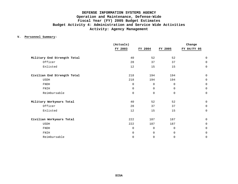### **V. Personnel Summary:**

|                             | (Actuals)   |             | Change      |             |  |  |
|-----------------------------|-------------|-------------|-------------|-------------|--|--|
|                             | FY 2003     | FY 2004     | FY 2005     | FY 04/FY 05 |  |  |
| Military End Strength Total | 40          | 52          | 52          | $\mathbf 0$ |  |  |
| Officer                     | 28          | 37          | 37          | $\Omega$    |  |  |
| Enlisted                    | 12          | 15          | 15          | $\mathbf 0$ |  |  |
| Civilian End Strength Total | 218         | 194         | 194         | $\mathbf 0$ |  |  |
| <b>USDH</b>                 | 218         | 194         | 194         | $\mathbf 0$ |  |  |
| FNDH                        | $\Omega$    | $\mathbf 0$ | $\mathbf 0$ | $\mathbf 0$ |  |  |
| FNIH                        | $\Omega$    | 0           | $\mathbf 0$ | $\Omega$    |  |  |
| Reimbursable                | $\Omega$    | $\mathbf 0$ | $\Omega$    | $\mathbf 0$ |  |  |
| Military Workyears Total    | 40          | 52          | 52          | $\Omega$    |  |  |
| Officer                     | 28          | 37          | 37          | $\mathbf 0$ |  |  |
| Enlisted                    | 12          | 15          | 15          | $\mathbf 0$ |  |  |
| Civilian Workyears Total    | 222         | 187         | 187         | $\mathbf 0$ |  |  |
| <b>USDH</b>                 | 222         | 187         | 187         | $\mathbf 0$ |  |  |
| FNDH                        | $\mathbf 0$ | 0           | $\mathbf 0$ | $\mathbf 0$ |  |  |
| FNIH                        | $\Omega$    | 0           | $\mathbf 0$ | $\Omega$    |  |  |
| Reimbursable                | $\Omega$    | 0           | 0           | $\mathbf 0$ |  |  |